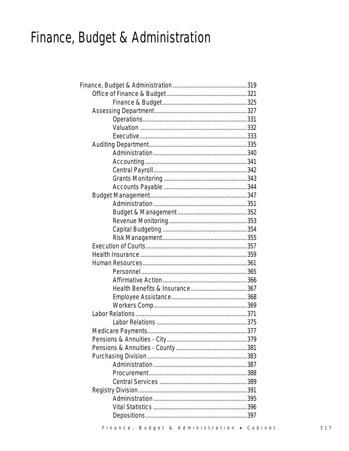# Finance, Budget & Administration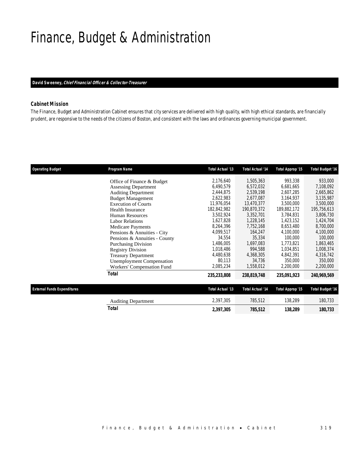## Finance, Budget & Administration

#### *David Sweeney, Chief Financial Officer & Collector-Treasurer*

## *Cabinet Mission*

The Finance, Budget and Administration Cabinet ensures that city services are delivered with high quality, with high ethical standards, are financially prudent, are responsive to the needs of the citizens of Boston, and consistent with the laws and ordinances governing municipal government.

| <b>Operating Budget</b>            | Program Name                     | Total Actual '13        | <b>Total Actual '14</b> | Total Approp '15 | <b>Total Budget '16</b> |
|------------------------------------|----------------------------------|-------------------------|-------------------------|------------------|-------------------------|
|                                    | Office of Finance & Budget       | 2,176,640               | 1,505,363               | 993,338          | 933,000                 |
|                                    | <b>Assessing Department</b>      | 6,490,579               | 6,572,032               | 6,681,665        | 7,108,092               |
|                                    | <b>Auditing Department</b>       | 2,444,875               | 2,539,198               | 2,607,285        | 2,665,862               |
|                                    | <b>Budget Management</b>         | 2,622,983               | 2,677,087               | 3,164,937        | 3,135,987               |
|                                    | <b>Execution of Courts</b>       | 11.976.054              | 13,470,377              | 3,500,000        | 3,500,000               |
|                                    | <b>Health Insurance</b>          | 182,842,982             | 190,870,372             | 189,882,172      | 195,756,613             |
|                                    | <b>Human Resources</b>           | 3,502,924               | 3,352,701               | 3,784,831        | 3,806,730               |
|                                    | <b>Labor Relations</b>           | 1,627,828               | 1,228,145               | 1,423,152        | 1,424,704               |
|                                    | <b>Medicare Payments</b>         | 8,264,396               | 7,752,168               | 8,653,480        | 8,700,000               |
|                                    | Pensions & Annuities - City      | 4,099,517               | 164,247                 | 4,100,000        | 4,100,000               |
|                                    | Pensions & Annuities - County    | 34,554                  | 35,334                  | 100,000          | 100,000                 |
|                                    | <b>Purchasing Division</b>       | 1,486,005               | 1,697,083               | 1,773,821        | 1,863,465               |
|                                    | <b>Registry Division</b>         | 1,018,486               | 994,588                 | 1,034,851        | 1,008,374               |
|                                    | <b>Treasury Department</b>       | 4,480,638               | 4,368,305               | 4,842,391        | 4,316,742               |
|                                    | <b>Unemployment Compensation</b> | 80,113                  | 34,736                  | 350,000          | 350,000                 |
|                                    | Workers' Compensation Fund       | 2,085,234               | 1,558,012               | 2,200,000        | 2,200,000               |
|                                    | <b>Total</b>                     | 235,233,808             | 238,819,748             | 235,091,923      | 240,969,569             |
| <b>External Funds Expenditures</b> |                                  | <b>Total Actual '13</b> | <b>Total Actual '14</b> | Total Approp '15 | <b>Total Budget '16</b> |
|                                    | <b>Auditing Department</b>       | 2,397,305               | 785,512                 | 138,289          | 180,733                 |
|                                    | <b>Total</b>                     | 2,397,305               | 785,512                 | 138,289          | 180,733                 |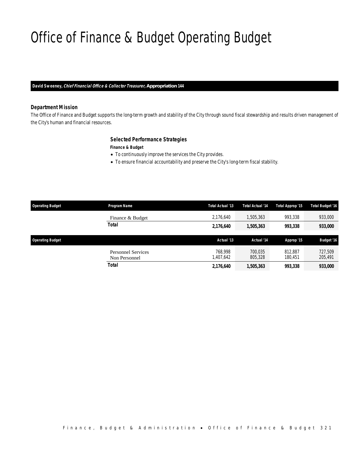# Office of Finance & Budget Operating Budget

*David Sweeney, Chief Financial Office & Collector Treasurer, Appropriation 144* 

### *Department Mission*

The Office of Finance and Budget supports the long-term growth and stability of the City through sound fiscal stewardship and results driven management of the City's human and financial resources.

## *Selected Performance Strategies*

*Finance & Budget* 

- To continuously improve the services the City provides.
- To ensure financial accountability and preserve the City's long-term fiscal stability.

| <b>Operating Budget</b> | Program Name                               | Total Actual '13     | <b>Total Actual '14</b> | Total Approp '15   | Total Budget '16   |
|-------------------------|--------------------------------------------|----------------------|-------------------------|--------------------|--------------------|
|                         | Finance & Budget                           | 2,176,640            | 1,505,363               | 993,338            | 933,000            |
|                         | <b>Total</b>                               | 2,176,640            | 1,505,363               | 993,338            | 933,000            |
| <b>Operating Budget</b> |                                            | Actual '13           | Actual '14              | Approp '15         | <b>Budget '16</b>  |
|                         | <b>Personnel Services</b><br>Non Personnel | 768.998<br>1,407,642 | 700.035<br>805,328      | 812.887<br>180.451 | 727.509<br>205,491 |
|                         | <b>Total</b>                               | 2,176,640            |                         | 993,338            | 933,000            |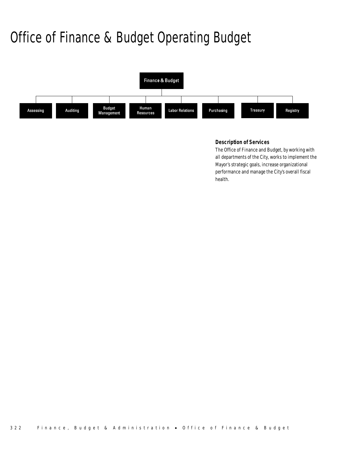# Office of Finance & Budget Operating Budget



### *Description of Services*

The Office of Finance and Budget, by working with all departments of the City, works to implement the Mayor's strategic goals, increase organizational performance and manage the City's overall fiscal health.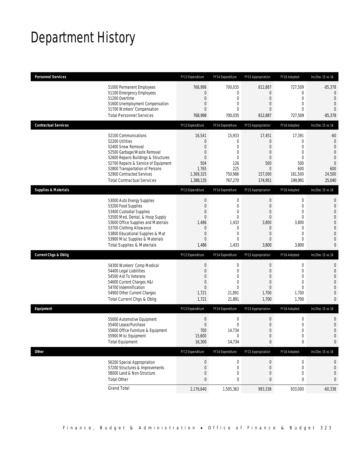## Department History

| <b>Personnel Services</b>       |                                                                                                                                                                                                                                                                                                      | FY13 Expenditure                                                                                                    | FY14 Expenditure                                                                                                                    | FY15 Appropriation                                                                                                                        | FY16 Adopted                                                                                                                      | Inc/Dec 15 vs 16                                                                                               |
|---------------------------------|------------------------------------------------------------------------------------------------------------------------------------------------------------------------------------------------------------------------------------------------------------------------------------------------------|---------------------------------------------------------------------------------------------------------------------|-------------------------------------------------------------------------------------------------------------------------------------|-------------------------------------------------------------------------------------------------------------------------------------------|-----------------------------------------------------------------------------------------------------------------------------------|----------------------------------------------------------------------------------------------------------------|
|                                 | 51000 Permanent Employees<br>51100 Emergency Employees<br>51200 Overtime<br>51600 Unemployment Compensation<br>51700 Workers' Compensation<br><b>Total Personnel Services</b>                                                                                                                        | 768,998<br>$\mathbf 0$<br>$\boldsymbol{0}$<br>0<br>$\overline{0}$<br>768,998                                        | 700,035<br>0<br>$\overline{0}$<br>$\mathbf{0}$<br>$\Omega$<br>700,035                                                               | 812,887<br>$\overline{0}$<br>$\boldsymbol{0}$<br>$\mathbf{0}$<br>$\overline{0}$<br>812,887                                                | 727,509<br>0<br>$\mathbf{0}$<br>$\mathbf{0}$<br>$\theta$<br>727,509                                                               | $-85,378$<br>0<br>$\theta$<br>$\overline{0}$<br>$\Omega$<br>$-85,378$                                          |
| <b>Contractual Services</b>     |                                                                                                                                                                                                                                                                                                      | FY13 Expenditure                                                                                                    | FY14 Expenditure                                                                                                                    | FY15 Appropriation                                                                                                                        | FY16 Adopted                                                                                                                      | Inc/Dec 15 vs 16                                                                                               |
|                                 | 52100 Communications<br>52200 Utilities<br>52400 Snow Removal<br>52500 Garbage/Waste Removal<br>52600 Repairs Buildings & Structures<br>52700 Repairs & Service of Equipment<br>52800 Transportation of Persons<br>52900 Contracted Services<br><b>Total Contractual Services</b>                    | 16,541<br>$\mathbf 0$<br>$\overline{0}$<br>$\overline{0}$<br>0<br>504<br>1,765<br>1,369,325<br>1,388,135            | 15,933<br>0<br>$\mathbf{0}$<br>$\mathbf{0}$<br>$\mathbf 0$<br>126<br>225<br>750,986<br>767,270                                      | 17,451<br>0<br>$\overline{0}$<br>$\overline{0}$<br>$\mathbf{0}$<br>500<br>$\overline{0}$<br>157,000<br>174,951                            | 17,391<br>$\mathbf{0}$<br>$\overline{0}$<br>$\mathbf{0}$<br>$\mathbf{0}$<br>500<br>600<br>181,500<br>199,991                      | $-60$<br>$\mathbf 0$<br>$\overline{0}$<br>$\overline{0}$<br>$\mathbf 0$<br>$\theta$<br>600<br>24,500<br>25,040 |
| <b>Supplies &amp; Materials</b> |                                                                                                                                                                                                                                                                                                      | FY13 Expenditure                                                                                                    | FY14 Expenditure                                                                                                                    | FY15 Appropriation                                                                                                                        | FY16 Adopted                                                                                                                      | Inc/Dec 15 vs 16                                                                                               |
|                                 | 53000 Auto Energy Supplies<br>53200 Food Supplies<br>53400 Custodial Supplies<br>53500 Med, Dental, & Hosp Supply<br>53600 Office Supplies and Materials<br>53700 Clothing Allowance<br>53800 Educational Supplies & Mat<br>53900 Misc Supplies & Materials<br><b>Total Supplies &amp; Materials</b> | $\boldsymbol{0}$<br>$\boldsymbol{0}$<br>0<br>$\overline{0}$<br>1,486<br>$\mathbf 0$<br>0<br>$\overline{0}$<br>1,486 | $\boldsymbol{0}$<br>$\overline{0}$<br>$\mathbf 0$<br>$\overline{0}$<br>1,433<br>$\mathbf 0$<br>$\mathbf 0$<br>$\mathbf{0}$<br>1,433 | $\boldsymbol{0}$<br>$\overline{0}$<br>$\overline{0}$<br>$\overline{0}$<br>3,800<br>$\mathbf 0$<br>$\mathbf{0}$<br>$\overline{0}$<br>3,800 | $\boldsymbol{0}$<br>$\mathbf{0}$<br>$\mathbf 0$<br>$\mathbf 0$<br>3,800<br>$\mathbf 0$<br>$\mathbf{0}$<br>$\overline{0}$<br>3,800 | 0<br>$\mathbf 0$<br>$\overline{0}$<br>0<br>$\mathbf 0$<br>$\overline{0}$<br>0<br>0<br>0                        |
| <b>Current Chgs &amp; Oblig</b> |                                                                                                                                                                                                                                                                                                      | FY13 Expenditure                                                                                                    | FY14 Expenditure                                                                                                                    | FY15 Appropriation                                                                                                                        | FY16 Adopted                                                                                                                      | Inc/Dec 15 vs 16                                                                                               |
|                                 | 54300 Workers' Comp Medical<br>54400 Legal Liabilities<br>54500 Aid To Veterans<br>54600 Current Charges H&I<br>54700 Indemnification<br>54900 Other Current Charges<br>Total Current Chgs & Oblig                                                                                                   | $\boldsymbol{0}$<br>$\boldsymbol{0}$<br>$\overline{0}$<br>$\boldsymbol{0}$<br>$\overline{0}$<br>1,721<br>1,721      | $\boldsymbol{0}$<br>$\overline{0}$<br>$\Omega$<br>$\overline{0}$<br>$\Omega$<br>21,891<br>21,891                                    | $\boldsymbol{0}$<br>$\mathbf{0}$<br>$\overline{0}$<br>$\overline{0}$<br>0<br>1,700<br>1,700                                               | 0<br>$\mathbf{0}$<br>$\overline{0}$<br>$\mathbf{0}$<br>$\mathbf{0}$<br>1,700<br>1,700                                             | 0<br>$\mathbf 0$<br>0<br>0<br>0<br>$\overline{0}$<br>0                                                         |
| Equipment                       |                                                                                                                                                                                                                                                                                                      | FY13 Expenditure                                                                                                    | FY14 Expenditure                                                                                                                    | FY15 Appropriation                                                                                                                        | FY16 Adopted                                                                                                                      | Inc/Dec 15 vs 16                                                                                               |
|                                 | 55000 Automotive Equipment<br>55400 Lease/Purchase<br>55600 Office Furniture & Equipment<br>55900 Misc Equipment<br><b>Total Equipment</b>                                                                                                                                                           | $\boldsymbol{0}$<br>$\theta$<br>700<br>15,600<br>16,300                                                             | 0<br>$\Omega$<br>14,734<br>0<br>14,734                                                                                              | $\boldsymbol{0}$<br>$\Omega$<br>$\boldsymbol{0}$<br>$\mathbf 0$<br>0                                                                      | $\boldsymbol{0}$<br>$\Omega$<br>$\boldsymbol{0}$<br>$\boldsymbol{0}$<br>0                                                         | 0<br>$\Omega$<br>$\mathbf 0$<br>0<br>0                                                                         |
| Other                           |                                                                                                                                                                                                                                                                                                      | FY13 Expenditure                                                                                                    | FY14 Expenditure                                                                                                                    | FY15 Appropriation                                                                                                                        | FY16 Adopted                                                                                                                      | Inc/Dec 15 vs 16                                                                                               |
|                                 | 56200 Special Appropriation<br>57200 Structures & Improvements<br>58000 Land & Non-Structure<br><b>Total Other</b>                                                                                                                                                                                   | $\pmb{0}$<br>$\boldsymbol{0}$<br>0<br>$\bf{0}$                                                                      | 0<br>0<br>0<br>0                                                                                                                    | $\boldsymbol{0}$<br>$\mathbf 0$<br>0<br>0                                                                                                 | 0<br>0<br>$\boldsymbol{0}$<br>0                                                                                                   | 0<br>$\mathbf 0$<br>0<br>0                                                                                     |
|                                 | <b>Grand Total</b>                                                                                                                                                                                                                                                                                   | 2,176,640                                                                                                           | 1,505,363                                                                                                                           | 993,338                                                                                                                                   | 933,000                                                                                                                           | $-60,338$                                                                                                      |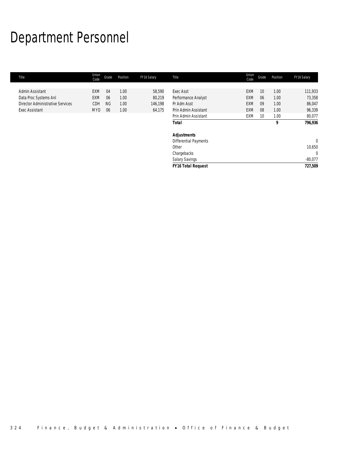## Department Personnel

| Title                                   | Union<br>Code | Grade     | Position | FY16 Salary | Title                     | Union<br>Code | Grade | Position | FY16 Salary  |
|-----------------------------------------|---------------|-----------|----------|-------------|---------------------------|---------------|-------|----------|--------------|
|                                         |               |           |          |             |                           |               |       |          |              |
| Admin Assistant                         | <b>EXM</b>    | 04        | 1.00     | 58,590      | Exec Asst                 | EXM           | 10    | 1.00     | 111,933      |
| Data Proc Systems Anl                   | EXM           | 06        | 1.00     | 80,219      | Performance Analyst       | EXM           | 06    | 1.00     | 73,358       |
| <b>Director Administrative Services</b> | CDH           | <b>NG</b> | 1.00     | 146,198     | Pr Adm Asst               | <b>EXM</b>    | 09    | 1.00     | 86,047       |
| <b>Exec Assistant</b>                   | MY0           | 06        | 1.00     | 64,175      | Prin Admin Assistant      | EXM           | 08    | 1.00     | 96,339       |
|                                         |               |           |          |             | Prin Admin Assistant      | <b>EXM</b>    | 10    | 1.00     | 80,077       |
|                                         |               |           |          |             | <b>Total</b>              |               |       | 9        | 796,936      |
|                                         |               |           |          |             | <b>Adjustments</b>        |               |       |          |              |
|                                         |               |           |          |             | Differential Payments     |               |       |          | $\mathbf{0}$ |
|                                         |               |           |          |             | Other                     |               |       |          | 10,650       |
|                                         |               |           |          |             | Chargebacks               |               |       |          | $\mathbf{0}$ |
|                                         |               |           |          |             | Salary Savings            |               |       |          | $-80,077$    |
|                                         |               |           |          |             | <b>FY16 Total Request</b> |               |       |          | 727,509      |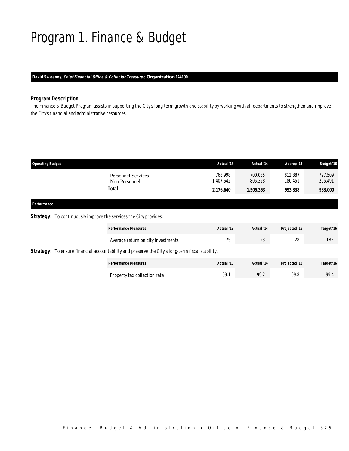# Program 1. Finance & Budget

*David Sweeney, Chief Financial Office & Collector Treasurer, Organization 144100* 

## *Program Description*

The Finance & Budget Program assists in supporting the City's long-term growth and stability by working with all departments to strengthen and improve the City's financial and administrative resources.

| <b>Operating Budget</b> |                                            | Actual '13           | Actual '14         | Approp '15         | <b>Budget '16</b>  |
|-------------------------|--------------------------------------------|----------------------|--------------------|--------------------|--------------------|
|                         | <b>Personnel Services</b><br>Non Personnel | 768.998<br>1,407,642 | 700,035<br>805,328 | 812,887<br>180,451 | 727,509<br>205,491 |
|                         | Total                                      | 2,176,640            | 1,505,363          | 993,338            | 933,000            |
| Performance             |                                            |                      |                    |                    |                    |

### **Strategy:** To continuously improve the services the City provides.

| <b>Performance Measures</b>                                                                             | Actual '13 | Actual '14 | Projected '15 | Target '16 |
|---------------------------------------------------------------------------------------------------------|------------|------------|---------------|------------|
| Average return on city investments                                                                      | .25        | .23        | .28           | TBR        |
| <b>Strategy:</b> To ensure financial accountability and preserve the City's long-term fiscal stability. |            |            |               |            |
| <b>Performance Measures</b>                                                                             | Actual '13 | Actual '14 | Projected '15 | Target '16 |
| Property tax collection rate                                                                            | 99.1       | 99.2       | 99.8          | 99.4       |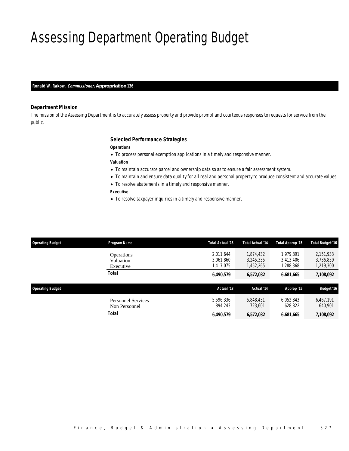# Assessing Department Operating Budget

*Ronald W. Rakow, Commissioner, Appropriation 136* 

### *Department Mission*

The mission of the Assessing Department is to accurately assess property and provide prompt and courteous responses to requests for service from the public.

### *Selected Performance Strategies*

*Operations* 

• To process personal exemption applications in a timely and responsive manner.

*Valuation* 

- To maintain accurate parcel and ownership data so as to ensure a fair assessment system.
- To maintain and ensure data quality for all real and personal property to produce consistent and accurate values.
- To resolve abatements in a timely and responsive manner.

### *Executive*

• To resolve taxpayer inquiries in a timely and responsive manner.

| <b>Operating Budget</b> | Program Name                                | Total Actual '13                    | <b>Total Actual '14</b>             | <b>Total Approp '15</b>             | <b>Total Budget '16</b>             |
|-------------------------|---------------------------------------------|-------------------------------------|-------------------------------------|-------------------------------------|-------------------------------------|
|                         | <b>Operations</b><br>Valuation<br>Executive | 2.011.644<br>3.061.860<br>1,417,075 | 1.874.432<br>3.245.335<br>1,452,265 | 1.979.891<br>3.413.406<br>1,288,368 | 2,151,933<br>3,736,859<br>1,219,300 |
|                         | <b>Total</b>                                | 6,490,579                           | 6,572,032                           | 6,681,665                           | 7,108,092                           |
| <b>Operating Budget</b> |                                             | Actual '13                          | Actual '14                          | Approp '15                          | <b>Budget '16</b>                   |
|                         | <b>Personnel Services</b><br>Non Personnel  | 5.596.336<br>894.243                | 5.848.431<br>723,601                | 6.052.843<br>628,822                | 6.467.191<br>640,901                |
|                         | <b>Total</b>                                | 6,490,579                           | 6,572,032                           | 6,681,665                           | 7,108,092                           |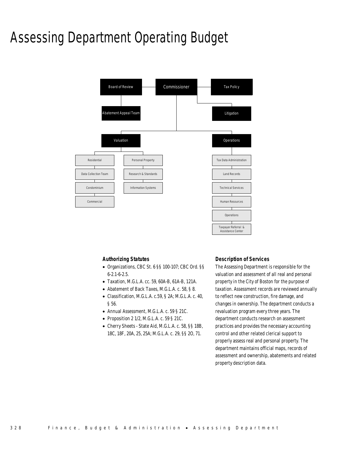## Assessing Department Operating Budget



### *Authorizing Statutes*

- Organizations, CBC St. 6 §§ 100-107; CBC Ord. §§ 6-2.1-6-2.5.
- Taxation, M.G.L.A. cc. 59, 60A-B, 61A-B, 121A.
- Abatement of Back Taxes, M.G.L.A. c. 58, § 8.
- Classification, M.G.L.A. c.59, § 2A; M.G.L.A. c. 40, § 56.
- Annual Assessment, M.G.L.A. c. 59 § 21C.
- Proposition 2 1/2, M.G.L.A. c. 59  $\S$  21C.
- Cherry Sheets State Aid, M.G.L.A. c. 58, §§ 18B, 18C, 18F, 20A, 25, 25A; M.G.L.A. c. 29, §§ 2O, 71.

## *Description of Services*

The Assessing Department is responsible for the valuation and assessment of all real and personal property in the City of Boston for the purpose of taxation. Assessment records are reviewed annually to reflect new construction, fire damage, and changes in ownership. The department conducts a revaluation program every three years. The department conducts research on assessment practices and provides the necessary accounting control and other related clerical support to properly assess real and personal property. The department maintains official maps, records of assessment and ownership, abatements and related property description data.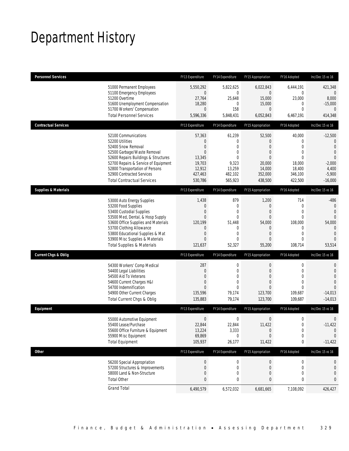# Department History

| <b>Personnel Services</b>                                                 |                                                                                                                                                                                                                                                                               | FY13 Expenditure                                                                                        | FY14 Expenditure                                                                                          | FY15 Appropriation                                                                                            | FY16 Adopted                                                                                                       | Inc/Dec 15 vs 16                                                                                                             |
|---------------------------------------------------------------------------|-------------------------------------------------------------------------------------------------------------------------------------------------------------------------------------------------------------------------------------------------------------------------------|---------------------------------------------------------------------------------------------------------|-----------------------------------------------------------------------------------------------------------|---------------------------------------------------------------------------------------------------------------|--------------------------------------------------------------------------------------------------------------------|------------------------------------------------------------------------------------------------------------------------------|
| 51200 Overtime                                                            | 51000 Permanent Employees<br>51100 Emergency Employees<br>51600 Unemployment Compensation<br>51700 Workers' Compensation<br><b>Total Personnel Services</b>                                                                                                                   | 5,550,292<br>0<br>27,764<br>18,280<br>$\overline{0}$<br>5,596,336                                       | 5,822,625<br>0<br>25,648<br>$\mathbf 0$<br>158<br>5,848,431                                               | 6,022,843<br>$\mathbf 0$<br>15,000<br>15,000<br>$\theta$<br>6,052,843                                         | 6,444,191<br>0<br>23,000<br>0<br>$\mathbf{0}$<br>6,467,191                                                         | 421,348<br>$\Omega$<br>8,000<br>$-15,000$<br>$\Omega$<br>414,348                                                             |
| <b>Contractual Services</b>                                               |                                                                                                                                                                                                                                                                               | FY13 Expenditure                                                                                        | FY14 Expenditure                                                                                          | FY15 Appropriation                                                                                            | FY16 Adopted                                                                                                       | Inc/Dec 15 vs 16                                                                                                             |
| 52200 Utilities<br>52400 Snow Removal                                     | 52100 Communications<br>52500 Garbage/Waste Removal<br>52600 Repairs Buildings & Structures<br>52700 Repairs & Service of Equipment<br>52800 Transportation of Persons<br>52900 Contracted Services<br><b>Total Contractual Services</b>                                      | 57,363<br>0<br>$\boldsymbol{0}$<br>$\mathbf{0}$<br>13,345<br>19,703<br>12,912<br>427,463<br>530,786     | 61,239<br>$\mathbf 0$<br>$\mathbf{0}$<br>$\mathbf 0$<br>$\Omega$<br>9,323<br>13,259<br>482,102<br>565,923 | 52,500<br>$\overline{0}$<br>$\overline{0}$<br>$\theta$<br>$\theta$<br>20,000<br>14,000<br>352,000<br>438,500  | 40,000<br>$\mathbf 0$<br>$\overline{0}$<br>$\mathbf 0$<br>$\Omega$<br>18,000<br>18,400<br>346,100<br>422,500       | $-12,500$<br>$\mathbf{0}$<br>$\mathbf{0}$<br>$\overline{0}$<br>$\theta$<br>$-2,000$<br>4,400<br>$-5,900$<br>$-16,000$        |
| <b>Supplies &amp; Materials</b>                                           |                                                                                                                                                                                                                                                                               | FY13 Expenditure                                                                                        | FY14 Expenditure                                                                                          | FY15 Appropriation                                                                                            | FY16 Adopted                                                                                                       | Inc/Dec 15 vs 16                                                                                                             |
| 53200 Food Supplies                                                       | 53000 Auto Energy Supplies<br>53400 Custodial Supplies<br>53500 Med, Dental, & Hosp Supply<br>53600 Office Supplies and Materials<br>53700 Clothing Allowance<br>53800 Educational Supplies & Mat<br>53900 Misc Supplies & Materials<br><b>Total Supplies &amp; Materials</b> | 1,438<br>$\mathbf 0$<br>0<br>$\overline{0}$<br>120,199<br>0<br>$\mathbf 0$<br>$\overline{0}$<br>121,637 | 879<br>$\mathbf 0$<br>$\mathbf 0$<br>$\mathbf{0}$<br>51,448<br>0<br>$\mathbf 0$<br>$\mathbf{0}$<br>52,327 | 1,200<br>$\theta$<br>$\theta$<br>$\overline{0}$<br>54,000<br>$\theta$<br>$\theta$<br>$\overline{0}$<br>55,200 | 714<br>$\mathbf{0}$<br>$\mathbf{0}$<br>$\overline{0}$<br>108,000<br>0<br>$\mathbf{0}$<br>$\overline{0}$<br>108,714 | $-486$<br>$\mathbf{0}$<br>$\overline{0}$<br>$\overline{0}$<br>54,000<br>$\mathbf{0}$<br>$\overline{0}$<br>$\Omega$<br>53,514 |
| <b>Current Chgs &amp; Oblig</b>                                           |                                                                                                                                                                                                                                                                               | FY13 Expenditure                                                                                        | FY14 Expenditure                                                                                          | FY15 Appropriation                                                                                            | FY16 Adopted                                                                                                       | Inc/Dec 15 vs 16                                                                                                             |
| 54400 Legal Liabilities<br>54500 Aid To Veterans<br>54700 Indemnification | 54300 Workers' Comp Medical<br>54600 Current Charges H&I<br>54900 Other Current Charges<br>Total Current Chgs & Oblig                                                                                                                                                         | 287<br>0<br>0<br>$\mathbf 0$<br>$\Omega$<br>135,596<br>135,883                                          | $\boldsymbol{0}$<br>$\mathbf{0}$<br>$\Omega$<br>$\mathbf{0}$<br>$\mathbf 0$<br>79,174<br>79,174           | $\theta$<br>$\overline{0}$<br>$\Omega$<br>$\theta$<br>$\theta$<br>123,700<br>123,700                          | 0<br>$\mathbf{0}$<br>$\Omega$<br>$\mathbf{0}$<br>$\Omega$<br>109,687<br>109,687                                    | $\mathbf 0$<br>$\mathbf 0$<br>$\overline{0}$<br>$\overline{0}$<br>$\Omega$<br>$-14,013$<br>$-14,013$                         |
| Equipment                                                                 |                                                                                                                                                                                                                                                                               | FY13 Expenditure                                                                                        | FY14 Expenditure                                                                                          | FY15 Appropriation                                                                                            | FY16 Adopted                                                                                                       | Inc/Dec 15 vs 16                                                                                                             |
| <b>Total Equipment</b>                                                    | 55000 Automotive Equipment<br>55400 Lease/Purchase<br>55600 Office Furniture & Equipment<br>55900 Misc Equipment                                                                                                                                                              | $\boldsymbol{0}$<br>22,844<br>13,224<br>69,869<br>105,937                                               | 0<br>22,844<br>3,333<br>$\mathbf 0$<br>26,177                                                             | $\boldsymbol{0}$<br>11,422<br>$\boldsymbol{0}$<br>$\theta$<br>11,422                                          | $\mathbf 0$<br>$\mathbf 0$<br>$\boldsymbol{0}$<br>$\mathbf 0$<br>0                                                 | $\mathbf 0$<br>$-11,422$<br>$\theta$<br>0<br>$-11,422$                                                                       |
| Other                                                                     |                                                                                                                                                                                                                                                                               | FY13 Expenditure                                                                                        | FY14 Expenditure                                                                                          | FY15 Appropriation                                                                                            | FY16 Adopted                                                                                                       | Inc/Dec 15 vs 16                                                                                                             |
| <b>Total Other</b>                                                        | 56200 Special Appropriation<br>57200 Structures & Improvements<br>58000 Land & Non-Structure                                                                                                                                                                                  | $\boldsymbol{0}$<br>0<br>0<br>0                                                                         | 0<br>0<br>$\mathbf 0$<br>0                                                                                | $\boldsymbol{0}$<br>$\theta$<br>$\overline{0}$<br>0                                                           | 0<br>0<br>$\mathbf 0$<br>0                                                                                         | 0<br>0<br>0<br>0                                                                                                             |
| <b>Grand Total</b>                                                        |                                                                                                                                                                                                                                                                               | 6,490,579                                                                                               | 6,572,032                                                                                                 | 6,681,665                                                                                                     | 7,108,092                                                                                                          | 426,427                                                                                                                      |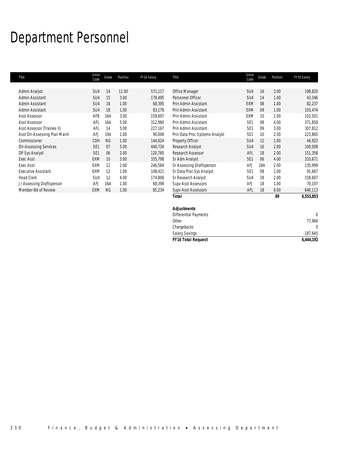## Department Personnel

| Title                         | Union<br>Code   | Grade     | Position | FY16 Salary | Title                          | Union<br>Code   | Grade | Position | FY16 Salary |
|-------------------------------|-----------------|-----------|----------|-------------|--------------------------------|-----------------|-------|----------|-------------|
|                               |                 |           |          |             |                                |                 |       |          |             |
| Admin Analyst                 | SU <sub>4</sub> | 14        | 11.00    | 571,117     | Office Manager                 | SU <sub>4</sub> | 16    | 3.00     | 198,820     |
| Admin Assistant               | SU4             | 15        | 3.00     | 178,495     | Personnel Officer              | SU <sub>4</sub> | 14    | 1.00     | 43,346      |
| Admin Assistant               | SU4             | 16        | 1.00     | 68,395      | Prin Admin Assistant           | <b>EXM</b>      | 08    | 1.00     | 82,237      |
| Admin Assistant               | SU4             | 18        | 1.00     | 83,176      | Prin Admin Assistant           | <b>EXM</b>      | 09    | 1.00     | 103,474     |
| <b>Asst Assessor</b>          | AFB             | 16A       | 3.00     | 159,697     | Prin Admin Assistant           | <b>EXM</b>      | 10    | 1.00     | 102,501     |
| <b>Asst Assessor</b>          | AFL             | 16A       | 5.00     | 312,980     | Prin Admin Assistant           | SE <sub>1</sub> | 08    | 4.00     | 371,858     |
| Asst Assessor (Trainee II)    | AFL             | 14        | 5.00     | 227,167     | Prin Admin Assistant           | SE <sub>1</sub> | 09    | 3.00     | 307,812     |
| Asst Dir-Assessing Plan Maint | <b>AFJ</b>      | 19A       | 1.00     | 90,006      | Prin Data Proc Systems Analyst | SE <sub>1</sub> | 10    | 2.00     | 223,865     |
| Commissioner                  | CDH             | <b>NG</b> | 1.00     | 144,624     | Property Officer               | SU <sub>4</sub> | 12    | 1.00     | 44,923      |
| <b>Dir-Assessing Services</b> | SE <sub>1</sub> | 07        | 5.00     | 440,734     | Research Analyst               | SU <sub>4</sub> | 16    | 2.00     | 100,008     |
| DP Sys Analyst                | SE <sub>1</sub> | 06        | 2.00     | 120,765     | Research Assessor              | AFL             | 18    | 2.00     | 151,358     |
| <b>Exec Asst</b>              | <b>EXM</b>      | 10        | 3.00     | 335,798     | Sr Adm Analyst                 | SE <sub>1</sub> | 06    | 4.00     | 310,671     |
| <b>Exec Asst</b>              | EXM             | 12        | 2.00     | 246,584     | Sr Assessing Draftsperson      | <b>AFJ</b>      | 18A   | 2.00     | 135,999     |
| <b>Executive Assistant</b>    | <b>EXM</b>      | 12        | 1.00     | 108,421     | Sr Data Proc Sys Analyst       | SE <sub>1</sub> | 08    | 1.00     | 91,667      |
| <b>Head Clerk</b>             | SU4             | 12        | 4.00     | 174,806     | Sr Research Analyst            | SU <sub>4</sub> | 18    | 2.00     | 158,607     |
| Jr Assessing Draftsperson     | AFJ             | 16A       | 1.00     | 68,398      | Supv Asst Assessors            | AFJ             | 18    | 1.00     | 70,197      |
| Member-Bd of Review           | EXM             | <b>NG</b> | 1.00     | 85,234      | Supv Asst Assessors            | AFL             | 18    | 8.00     | 640,113     |
|                               |                 |           |          |             | <b>Total</b>                   |                 |       | 89       | 6,553,853   |
|                               |                 |           |          |             |                                |                 |       |          |             |

| $\sim$ $\sim$ $\sim$ $\sim$ $\sim$ $\sim$ |    |              |
|-------------------------------------------|----|--------------|
| <b>Total</b>                              | 89 | 6,553,853    |
| <b>Adjustments</b>                        |    |              |
| <b>Differential Payments</b>              |    | $\mathbf{0}$ |
| Other                                     |    | 77,984       |
| Chargebacks                               |    | $\mathbf{0}$ |
| <b>Salary Savings</b>                     |    | $-187,645$   |
| <b>FY16 Total Request</b>                 |    | 6,444,192    |
|                                           |    |              |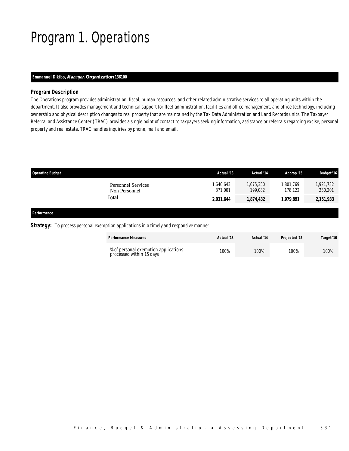# Program 1. Operations

### *Emmanuel Dikibo, Manager, Organization 136100*

### *Program Description*

The Operations program provides administration, fiscal, human resources, and other related administrative services to all operating units within the department. It also provides management and technical support for fleet administration, facilities and office management, and office technology, including ownership and physical description changes to real property that are maintained by the Tax Data Administration and Land Records units. The Taxpayer Referral and Assistance Center (TRAC) provides a single point of contact to taxpayers seeking information, assistance or referrals regarding excise, personal property and real estate. TRAC handles inquiries by phone, mail and email.

| .640.643<br><b>Personnel Services</b><br>371.001<br>Non Personnel | .675.350<br>199,082 | 1,801,769<br>178.122 | 1,921,732<br>230,201 |
|-------------------------------------------------------------------|---------------------|----------------------|----------------------|
| Total<br>2,011,644                                                | 1,874,432           | 1,979,891            | 2,151,933            |

### *Performance*

**Strategy:** To process personal exemption applications in a timely and responsive manner.

| <b>Performance Measures</b>                                      | Actual '13 | Actual '14 | Projected '15 | Target '16 |
|------------------------------------------------------------------|------------|------------|---------------|------------|
| % of personal exemption applications<br>processed within 15 days | 100%       | 100%       | 100%          | 100%       |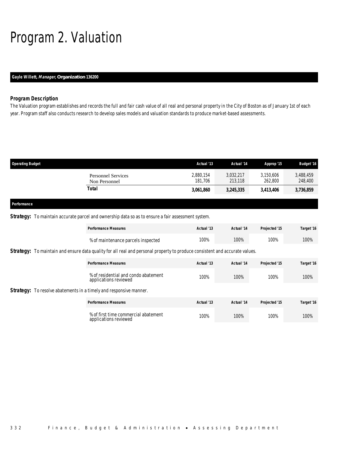## Program 2. Valuation

## *Gayle Willett, Manager, Organization 136200*

### *Program Description*

The Valuation program establishes and records the full and fair cash value of all real and personal property in the City of Boston as of January 1st of each year. Program staff also conducts research to develop sales models and valuation standards to produce market-based assessments.

| <b>Operating Budget</b> |                                            | Actual '13           | Actual '14           | Approp '15           | <b>Budget '16</b>    |
|-------------------------|--------------------------------------------|----------------------|----------------------|----------------------|----------------------|
|                         | <b>Personnel Services</b><br>Non Personnel | 2,880,154<br>181,706 | 3,032,217<br>213,118 | 3,150,606<br>262.800 | 3,488,459<br>248,400 |
|                         | Total                                      | 3,061,860            | 3,245,335            | 3,413,406            | 3,736,859            |
| Performance             |                                            |                      |                      |                      |                      |

## **Strategy:** To maintain accurate parcel and ownership data so as to ensure a fair assessment system.

|  | <b>Performance Measures</b>                                                                                                        | Actual '13 | Actual '14 | Projected '15 | Target '16 |
|--|------------------------------------------------------------------------------------------------------------------------------------|------------|------------|---------------|------------|
|  | % of maintenance parcels inspected                                                                                                 | 100%       | 100%       | 100%          | 100%       |
|  | <b>Strategy:</b> To maintain and ensure data quality for all real and personal property to produce consistent and accurate values. |            |            |               |            |
|  | <b>Performance Measures</b>                                                                                                        | Actual '13 | Actual '14 | Projected '15 | Target '16 |
|  | % of residential and condo abatement<br>applications reviewed                                                                      | 100%       | 100%       | 100%          | 100%       |
|  | <b>Strategy:</b> To resolve abatements in a timely and responsive manner.                                                          |            |            |               |            |
|  | <b>Performance Measures</b>                                                                                                        | Actual '13 | Actual '14 | Projected '15 | Target '16 |
|  | % of first time commercial abatement<br>applications reviewed                                                                      | 100%       | 100%       | 100%          | 100%       |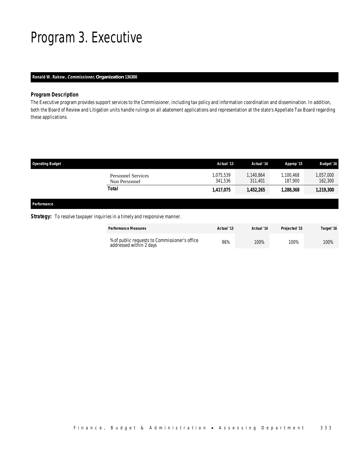## Program 3. Executive

## *Ronald W. Rakow, Commissioner, Organization 136300*

### *Program Description*

The Executive program provides support services to the Commissioner, including tax policy and information coordination and dissemination. In addition, both the Board of Review and Litigation units handle rulings on all abatement applications and representation at the state's Appellate Tax Board regarding these applications.

| <b>Operating Budget</b> |                                            | Actual '13           | Actual '14           | Approp '15           | <b>Budget '16</b>    |
|-------------------------|--------------------------------------------|----------------------|----------------------|----------------------|----------------------|
|                         | <b>Personnel Services</b><br>Non Personnel | 1,075,539<br>341.536 | 1,140,864<br>311,401 | 1.100.468<br>187.900 | 1,057,000<br>162,300 |
|                         | Total                                      | 1,417,075            | 1,452,265            | 1,288,368            | 1,219,300            |
| Performance             |                                            |                      |                      |                      |                      |

## **Strategy:** To resolve taxpayer inquiries in a timely and responsive manner.

| <b>Performance Measures</b>                                              | Actual '13 | Actual '14 | Projected '15 | Target '16 |
|--------------------------------------------------------------------------|------------|------------|---------------|------------|
| % of public requests to Commissioner's office<br>addressed within 2 days | 96%        | 100%       | 100%          | 100%       |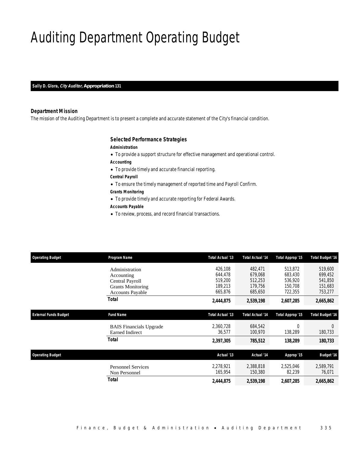# Auditing Department Operating Budget

*Sally D. Glora, City Auditor, Appropriation 131* 

### *Department Mission*

The mission of the Auditing Department is to present a complete and accurate statement of the City's financial condition.

#### *Selected Performance Strategies*

### *Administration*

• To provide a support structure for effective management and operational control.

*Accounting* 

- To provide timely and accurate financial reporting.
- *Central Payroll*
- To ensure the timely management of reported time and Payroll Confirm.

#### *Grants Monitoring*

- To provide timely and accurate reporting for Federal Awards.
- *Accounts Payable*
- To review, process, and record financial transactions.

| <b>Operating Budget</b>      | Program Name                   | Total Actual '13 | <b>Total Actual '14</b> | Total Approp '15 | Total Budget '16        |
|------------------------------|--------------------------------|------------------|-------------------------|------------------|-------------------------|
|                              | Administration                 | 426,108          | 482,471                 | 513,872          | 519,600                 |
|                              | Accounting                     | 644,478          | 679,068                 | 683,430          | 699,452                 |
|                              | Central Payroll                | 519,200          | 512.253                 | 536.920          | 541.850                 |
|                              | <b>Grants Monitoring</b>       | 189,213          | 179,756                 | 150,708          | 151,683                 |
|                              | <b>Accounts Payable</b>        | 665,876          | 685,650                 | 722,355          | 753,277                 |
|                              | Total                          | 2,444,875        | 2,539,198               | 2,607,285        | 2,665,862               |
| <b>External Funds Budget</b> | <b>Fund Name</b>               | Total Actual '13 | <b>Total Actual '14</b> | Total Approp '15 | <b>Total Budget '16</b> |
|                              | <b>BAIS</b> Financials Upgrade | 2,360,728        | 684,542                 | 0                | $\theta$                |
|                              | <b>Earned Indirect</b>         | 36,577           | 100,970                 | 138,289          | 180,733                 |
|                              | Total                          | 2,397,305        | 785,512                 | 138,289          | 180,733                 |
|                              |                                |                  |                         |                  |                         |
| <b>Operating Budget</b>      |                                | Actual '13       | Actual '14              | Approp '15       | <b>Budget '16</b>       |
|                              | <b>Personnel Services</b>      | 2,278,921        | 2,388,818               | 2,525,046        | 2,589,791               |
|                              | Non Personnel                  | 165,954          | 150,380                 | 82,239           | 76,071                  |
|                              | Total                          | 2,444,875        | 2,539,198               | 2,607,285        | 2,665,862               |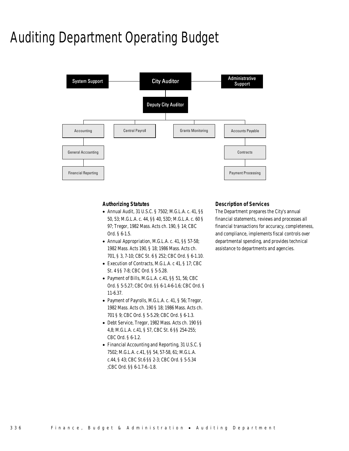# Auditing Department Operating Budget



## *Authorizing Statutes*

- Annual Audit, 31 U.S.C. § 7502; M.G.L.A. c. 41, §§ 50, 53; M.G.L.A. c. 44, §§ 40, 53D; M.G.L.A. c. 60 § 97; Tregor, 1982 Mass. Acts ch. 190, § 14; CBC Ord. § 6-1.5.
- Annual Appropriation, M.G.L.A. c. 41, §§ 57-58; 1982 Mass. Acts 190, § 18; 1986 Mass. Acts ch. 701, § 3, 7-10; CBC St. 6 § 252; CBC Ord. § 6-1.10.
- Execution of Contracts, M.G.L.A. c 41, § 17; CBC St. 4 §§ 7-8; CBC Ord. § 5-5.28.
- Payment of Bills, M.G.L.A. c.41, §§ 51, 56; CBC Ord. § 5-5.27; CBC Ord. §§ 6-1.4-6-1.6; CBC Ord. § 11-6.37.
- Payment of Payrolls, M.G.L.A. c. 41, § 56; Tregor, 1982 Mass. Acts ch. 190 § 18; 1986 Mass. Acts ch. 701 § 9; CBC Ord. § 5-5.29; CBC Ord. § 6-1.3.
- Debt Service, Tregor, 1982 Mass. Acts ch. 190 §§ 4,8; M.G.L.A. c.41, § 57, CBC St. 6 §§ 254-255; CBC Ord. § 6-1.2.
- Financial Accounting and Reporting, 31 U.S.C. § 7502; M.G.L.A. c.41, §§ 54, 57-58, 61; M.G.L.A. c.44, § 43; CBC St.6 §§ 2-3; CBC Ord. § 5-5.34 ;CBC Ord. §§ 6-1.7-6.-1.8.

### *Description of Services*

The Department prepares the City's annual financial statements, reviews and processes all financial transactions for accuracy, completeness, and compliance, implements fiscal controls over departmental spending, and provides technical assistance to departments and agencies.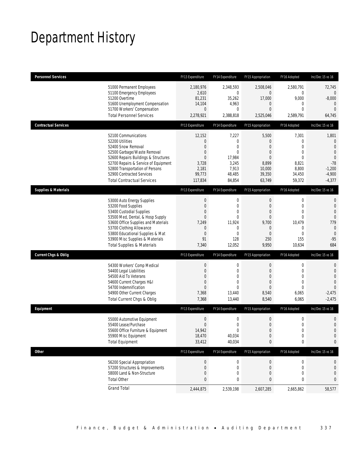# Department History

| <b>Personnel Services</b>       |                                                                                                                                                                                                                                                                                                      | FY13 Expenditure                                                                                                                  | FY14 Expenditure                                                                                                          | FY15 Appropriation                                                                                                          | FY16 Adopted                                                                                                | Inc/Dec 15 vs 16                                                                                       |
|---------------------------------|------------------------------------------------------------------------------------------------------------------------------------------------------------------------------------------------------------------------------------------------------------------------------------------------------|-----------------------------------------------------------------------------------------------------------------------------------|---------------------------------------------------------------------------------------------------------------------------|-----------------------------------------------------------------------------------------------------------------------------|-------------------------------------------------------------------------------------------------------------|--------------------------------------------------------------------------------------------------------|
|                                 | 51000 Permanent Employees<br>51100 Emergency Employees<br>51200 Overtime<br>51600 Unemployment Compensation<br>51700 Workers' Compensation<br><b>Total Personnel Services</b>                                                                                                                        | 2,180,976<br>2,610<br>81,231<br>14,104<br>$\overline{0}$<br>2,278,921                                                             | 2,348,593<br>0<br>35,262<br>4,963<br>$\mathbf 0$<br>2,388,818                                                             | 2,508,046<br>$\mathbf{0}$<br>17,000<br>$\mathbf 0$<br>$\overline{0}$<br>2,525,046                                           | 2,580,791<br>$\mathbf 0$<br>9,000<br>$\mathbf{0}$<br>$\overline{0}$<br>2,589,791                            | 72,745<br>0<br>$-8,000$<br>$\mathbf{0}$<br>$\theta$<br>64,745                                          |
| <b>Contractual Services</b>     |                                                                                                                                                                                                                                                                                                      | FY13 Expenditure                                                                                                                  | FY14 Expenditure                                                                                                          | FY15 Appropriation                                                                                                          | FY16 Adopted                                                                                                | Inc/Dec 15 vs 16                                                                                       |
|                                 | 52100 Communications<br>52200 Utilities<br>52400 Snow Removal<br>52500 Garbage/Waste Removal<br>52600 Repairs Buildings & Structures<br>52700 Repairs & Service of Equipment<br>52800 Transportation of Persons<br>52900 Contracted Services<br><b>Total Contractual Services</b>                    | 12,152<br>$\boldsymbol{0}$<br>$\overline{0}$<br>$\mathbf 0$<br>$\overline{0}$<br>3,728<br>2,181<br>99,773<br>117,834              | 7,227<br>$\mathbf{0}$<br>$\mathbf 0$<br>$\mathbf{0}$<br>17,984<br>3,245<br>7,913<br>48,485<br>84,854                      | 5,500<br>$\mathbf{0}$<br>$\mathbf{0}$<br>$\mathbf{0}$<br>$\Omega$<br>8,899<br>10,000<br>39,350<br>63,749                    | 7,301<br>0<br>$\overline{0}$<br>$\mathbf{0}$<br>$\mathbf{0}$<br>8,821<br>8,800<br>34,450<br>59,372          | 1,801<br>$\theta$<br>$\theta$<br>$\mathbf{0}$<br>$\theta$<br>$-78$<br>$-1,200$<br>$-4,900$<br>$-4,377$ |
| <b>Supplies &amp; Materials</b> |                                                                                                                                                                                                                                                                                                      | FY13 Expenditure                                                                                                                  | FY14 Expenditure                                                                                                          | FY15 Appropriation                                                                                                          | FY16 Adopted                                                                                                | Inc/Dec 15 vs 16                                                                                       |
|                                 | 53000 Auto Energy Supplies<br>53200 Food Supplies<br>53400 Custodial Supplies<br>53500 Med, Dental, & Hosp Supply<br>53600 Office Supplies and Materials<br>53700 Clothing Allowance<br>53800 Educational Supplies & Mat<br>53900 Misc Supplies & Materials<br><b>Total Supplies &amp; Materials</b> | $\boldsymbol{0}$<br>$\boldsymbol{0}$<br>$\overline{0}$<br>$\mathbf{0}$<br>7,249<br>$\mathbf 0$<br>$\boldsymbol{0}$<br>91<br>7,340 | $\boldsymbol{0}$<br>$\mathbf{0}$<br>$\mathbf 0$<br>$\mathbf{0}$<br>11,924<br>$\mathbf 0$<br>$\mathbf{0}$<br>128<br>12,052 | $\boldsymbol{0}$<br>$\overline{0}$<br>$\mathbf{0}$<br>$\mathbf 0$<br>9,700<br>$\mathbf 0$<br>$\overline{0}$<br>250<br>9,950 | 0<br>$\mathbf{0}$<br>$\mathbf{0}$<br>$\mathbf{0}$<br>10,479<br>$\mathbf{0}$<br>$\mathbf 0$<br>155<br>10,634 | 0<br>$\mathbf 0$<br>$\overline{0}$<br>$\overline{0}$<br>779<br>$\mathbf 0$<br>$\theta$<br>$-95$<br>684 |
| <b>Current Chgs &amp; Oblig</b> |                                                                                                                                                                                                                                                                                                      | FY13 Expenditure                                                                                                                  | FY14 Expenditure                                                                                                          | FY15 Appropriation                                                                                                          | FY16 Adopted                                                                                                | Inc/Dec 15 vs 16                                                                                       |
|                                 | 54300 Workers' Comp Medical<br>54400 Legal Liabilities<br>54500 Aid To Veterans<br>54600 Current Charges H&I<br>54700 Indemnification<br>54900 Other Current Charges<br>Total Current Chgs & Oblig                                                                                                   | $\boldsymbol{0}$<br>$\boldsymbol{0}$<br>$\overline{0}$<br>$\boldsymbol{0}$<br>$\overline{0}$<br>7,368<br>7,368                    | $\boldsymbol{0}$<br>$\mathbf 0$<br>$\mathbf 0$<br>$\mathbf{0}$<br>$\theta$<br>13,440<br>13,440                            | $\boldsymbol{0}$<br>$\mathbf 0$<br>$\overline{0}$<br>$\overline{0}$<br>0<br>8,540<br>8,540                                  | $\boldsymbol{0}$<br>$\mathbf 0$<br>$\mathbf{0}$<br>$\mathbf{0}$<br>$\mathbf{0}$<br>6,065<br>6,065           | 0<br>$\mathbf 0$<br>$\overline{0}$<br>$\overline{0}$<br>$\Omega$<br>$-2,475$<br>$-2,475$               |
| Equipment                       |                                                                                                                                                                                                                                                                                                      | FY13 Expenditure                                                                                                                  | FY14 Expenditure                                                                                                          | FY15 Appropriation                                                                                                          | FY16 Adopted                                                                                                | Inc/Dec 15 vs 16                                                                                       |
|                                 | 55000 Automotive Equipment<br>55400 Lease/Purchase<br>55600 Office Furniture & Equipment<br>55900 Misc Equipment<br><b>Total Equipment</b>                                                                                                                                                           | $\boldsymbol{0}$<br>$\overline{0}$<br>14,942<br>18,470<br>33,412                                                                  | $\mathbf 0$<br>$\mathbf 0$<br>$\pmb{0}$<br>40,034<br>40,034                                                               | $\boldsymbol{0}$<br>$\mathbf{0}$<br>$\boldsymbol{0}$<br>$\mathbf 0$<br>0                                                    | $\boldsymbol{0}$<br>$\mathbf 0$<br>$\boldsymbol{0}$<br>$\boldsymbol{0}$<br>0                                | 0<br>$\overline{0}$<br>$\mathbf 0$<br>0<br>0                                                           |
| <b>Other</b>                    |                                                                                                                                                                                                                                                                                                      | FY13 Expenditure                                                                                                                  | FY14 Expenditure                                                                                                          | FY15 Appropriation                                                                                                          | FY16 Adopted                                                                                                | Inc/Dec 15 vs 16                                                                                       |
|                                 | 56200 Special Appropriation<br>57200 Structures & Improvements<br>58000 Land & Non-Structure<br><b>Total Other</b>                                                                                                                                                                                   | $\boldsymbol{0}$<br>0<br>$\overline{0}$<br>0                                                                                      | $\boldsymbol{0}$<br>0<br>$\mathbf 0$<br>0                                                                                 | $\boldsymbol{0}$<br>$\mathbf 0$<br>$\mathbf 0$<br>0                                                                         | 0<br>0<br>$\mathbf 0$<br>0                                                                                  | 0<br>0<br>0<br>0                                                                                       |
|                                 | <b>Grand Total</b>                                                                                                                                                                                                                                                                                   | 2,444,875                                                                                                                         | 2,539,198                                                                                                                 | 2,607,285                                                                                                                   | 2,665,862                                                                                                   | 58,577                                                                                                 |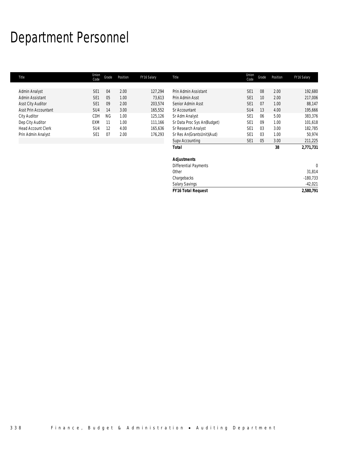# Department Personnel

| Title                     | Union<br>Code   | Grade     | Position | FY16 Salary | Title                        | Union<br>Code   | Grade          | Position | FY16 Salary |
|---------------------------|-----------------|-----------|----------|-------------|------------------------------|-----------------|----------------|----------|-------------|
|                           |                 |           |          |             |                              |                 |                |          |             |
| Admin Analyst             | SE <sub>1</sub> | 04        | 2.00     | 127,294     | Prin Admin Assistant         | SE <sub>1</sub> | 08             | 2.00     | 192,680     |
| Admin Assistant           | SE <sub>1</sub> | 05        | 1.00     | 73,613      | Prin Admin Asst              | SE <sub>1</sub> | 10             | 2.00     | 217,006     |
| <b>Asst City Auditor</b>  | SE <sub>1</sub> | 09        | 2.00     | 203,574     | Senior Admin Asst            | SE <sub>1</sub> | 07             | 1.00     | 88,147      |
| Asst Prin Accountant      | SU4             | 14        | 3.00     | 165,552     | Sr Accountant                | SU <sub>4</sub> | 13             | 4.00     | 195,666     |
| City Auditor              | CDH             | <b>NG</b> | 1.00     | 125,126     | Sr Adm Analyst               | SE <sub>1</sub> | 06             | 5.00     | 383,376     |
| Dep City Auditor          | EXM             | 11        | 1.00     | 111,166     | Sr Data Proc Sys An(Budget)  | SE <sub>1</sub> | 09             | 1.00     | 101,618     |
| <b>Head Account Clerk</b> | SU <sub>4</sub> | 12        | 4.00     | 165,636     | Sr Research Analyst          | SE <sub>1</sub> | 0 <sub>3</sub> | 3.00     | 182,785     |
| Prin Admin Analyst        | SE <sub>1</sub> | 07        | 2.00     | 176,293     | Sr Res An(GrantsUnit)(Aud)   | SE <sub>1</sub> | 03             | 1.00     | 50,974      |
|                           |                 |           |          |             | Supv Accounting              | SE <sub>1</sub> | 05             | 3.00     | 211,225     |
|                           |                 |           |          |             | <b>Total</b>                 |                 |                | 38       | 2,771,731   |
|                           |                 |           |          |             | <b>Adjustments</b>           |                 |                |          |             |
|                           |                 |           |          |             | <b>Differential Payments</b> |                 |                |          | 0           |
|                           |                 |           |          |             | Other                        |                 |                |          | 31,814      |
|                           |                 |           |          |             | Chargebacks                  |                 |                |          | $-180,733$  |
|                           |                 |           |          |             | <b>Salary Savings</b>        |                 |                |          | $-42,021$   |
|                           |                 |           |          |             | <b>FY16 Total Request</b>    |                 |                |          | 2,580,791   |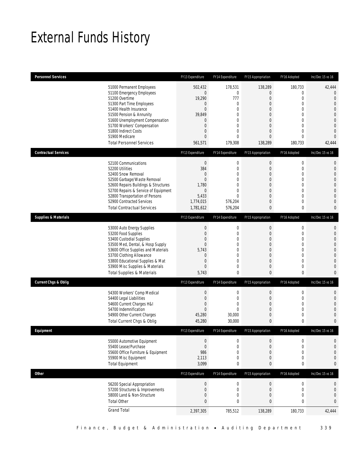## External Funds History

| <b>Personnel Services</b>       |                                                                                                                                                                                                                                                                                                            | FY13 Expenditure                                                                                                           | FY14 Expenditure                                                                                        | FY15 Appropriation                                                                                                                                               | FY16 Adopted                                                                                                                                         | Inc/Dec 15 vs 16                                                                                                                                                        |
|---------------------------------|------------------------------------------------------------------------------------------------------------------------------------------------------------------------------------------------------------------------------------------------------------------------------------------------------------|----------------------------------------------------------------------------------------------------------------------------|---------------------------------------------------------------------------------------------------------|------------------------------------------------------------------------------------------------------------------------------------------------------------------|------------------------------------------------------------------------------------------------------------------------------------------------------|-------------------------------------------------------------------------------------------------------------------------------------------------------------------------|
|                                 | 51000 Permanent Employees<br>51100 Emergency Employees<br>51200 Overtime<br>51300 Part Time Employees<br>51400 Health Insurance<br>51500 Pension & Annunity<br>51600 Unemployment Compensation<br>51700 Workers' Compensation<br>51800 Indirect Costs<br>51900 Medicare<br><b>Total Personnel Services</b> | 502,432<br>0<br>19,290<br>0<br>$\overline{0}$<br>39,849<br>0<br>$\mathbf 0$<br>$\overline{0}$<br>$\overline{0}$<br>561,571 | 178,531<br>0<br>777<br>0<br>$\mathbf{0}$<br>0<br>0<br>$\boldsymbol{0}$<br>0<br>$\mathbf 0$<br>179,308   | 138,289<br>$\overline{0}$<br>$\boldsymbol{0}$<br>$\mathbf{0}$<br>$\Omega$<br>$\mathbf{0}$<br>$\Omega$<br>$\mathbf{0}$<br>$\mathbf{0}$<br>$\mathbf{0}$<br>138,289 | 180,733<br>0<br>$\mathbf 0$<br>$\mathbf{0}$<br>$\mathbf{0}$<br>$\mathbf 0$<br>$\mathbf{0}$<br>$\mathbf 0$<br>$\mathbf{0}$<br>$\mathbf{0}$<br>180,733 | 42,444<br>$\theta$<br>$\overline{0}$<br>$\overline{0}$<br>$\overline{0}$<br>$\mathbf{0}$<br>$\mathbf 0$<br>$\overline{0}$<br>$\overline{0}$<br>$\overline{0}$<br>42,444 |
| <b>Contractual Services</b>     |                                                                                                                                                                                                                                                                                                            | FY13 Expenditure                                                                                                           | FY14 Expenditure                                                                                        | FY15 Appropriation                                                                                                                                               | FY16 Adopted                                                                                                                                         | Inc/Dec 15 vs 16                                                                                                                                                        |
|                                 | 52100 Communications<br>52200 Utilities<br>52400 Snow Removal<br>52500 Garbage/Waste Removal<br>52600 Repairs Buildings & Structures<br>52700 Repairs & Service of Equipment<br>52800 Transportation of Persons<br>52900 Contracted Services<br><b>Total Contractual Services</b>                          | $\boldsymbol{0}$<br>384<br>$\overline{0}$<br>$\overline{0}$<br>1,780<br>$\mathbf{0}$<br>5,433<br>1,774,015<br>1,781,612    | $\boldsymbol{0}$<br>$\boldsymbol{0}$<br>0<br>$\mathbf 0$<br>0<br>0<br>$\mathbf 0$<br>576,204<br>576,204 | $\boldsymbol{0}$<br>$\mathbf{0}$<br>$\mathbf{0}$<br>$\mathbf{0}$<br>$\mathbf{0}$<br>$\mathbf{0}$<br>$\mathbf{0}$<br>$\mathbf{0}$<br>$\bf{0}$                     | $\boldsymbol{0}$<br>$\mathbf 0$<br>$\mathbf{0}$<br>$\mathbf 0$<br>$\mathbf{0}$<br>$\mathbf 0$<br>$\mathbf{0}$<br>$\mathbf 0$<br>$\bf{0}$             | $\mathbf 0$<br>$\mathbf 0$<br>$\overline{0}$<br>$\mathbf{0}$<br>$\mathbf 0$<br>$\overline{0}$<br>$\mathbf{0}$<br>$\overline{0}$<br>$\bf{0}$                             |
| <b>Supplies &amp; Materials</b> |                                                                                                                                                                                                                                                                                                            | FY13 Expenditure                                                                                                           | FY14 Expenditure                                                                                        | FY15 Appropriation                                                                                                                                               | FY16 Adopted                                                                                                                                         | Inc/Dec 15 vs 16                                                                                                                                                        |
|                                 | 53000 Auto Energy Supplies<br>53200 Food Supplies<br>53400 Custodial Supplies<br>53500 Med, Dental, & Hosp Supply<br>53600 Office Supplies and Materials<br>53700 Clothing Allowance<br>53800 Educational Supplies & Mat<br>53900 Misc Supplies & Materials<br><b>Total Supplies &amp; Materials</b>       | $\boldsymbol{0}$<br>$\mathbf{0}$<br>$\overline{0}$<br>$\overline{0}$<br>5,743<br>0<br>0<br>$\overline{0}$<br>5,743         | 0<br>$\boldsymbol{0}$<br>0<br>$\boldsymbol{0}$<br>0<br>0<br>0<br>$\mathbf{0}$<br>0                      | $\boldsymbol{0}$<br>$\mathbf{0}$<br>$\mathbf{0}$<br>$\mathbf{0}$<br>$\mathbf{0}$<br>$\boldsymbol{0}$<br>$\mathbf{0}$<br>$\mathbf{0}$<br>$\mathbf{0}$             | $\boldsymbol{0}$<br>$\mathbf 0$<br>$\mathbf{0}$<br>$\mathbf 0$<br>$\mathbf{0}$<br>$\mathbf 0$<br>$\mathbf{0}$<br>$\mathbf 0$<br>$\bf{0}$             | $\mathbf 0$<br>$\mathbf 0$<br>$\overline{0}$<br>$\overline{0}$<br>$\mathbf 0$<br>$\overline{0}$<br>$\mathbf{0}$<br>$\mathbf{0}$<br>$\overline{0}$                       |
| <b>Current Chgs &amp; Oblig</b> |                                                                                                                                                                                                                                                                                                            | FY13 Expenditure                                                                                                           | FY14 Expenditure                                                                                        | FY15 Appropriation                                                                                                                                               | FY16 Adopted                                                                                                                                         | Inc/Dec 15 vs 16                                                                                                                                                        |
|                                 | 54300 Workers' Comp Medical<br>54400 Legal Liabilities<br>54600 Current Charges H&I<br>54700 Indemnification<br>54900 Other Current Charges<br>Total Current Chgs & Oblig                                                                                                                                  | $\boldsymbol{0}$<br>$\boldsymbol{0}$<br>$\overline{0}$<br>$\mathbf 0$<br>45,280<br>45,280                                  | 0<br>$\boldsymbol{0}$<br>0<br>$\mathbf 0$<br>30,000<br>30,000                                           | 0<br>$\mathbf{0}$<br>$\mathbf{0}$<br>$\mathbf{0}$<br>$\mathbf{0}$<br>0                                                                                           | 0<br>$\mathbf 0$<br>$\mathbf{0}$<br>$\mathbf 0$<br>$\mathbf 0$<br>$\mathbf{0}$                                                                       | $\mathbf 0$<br>$\mathbf 0$<br>$\overline{0}$<br>$\overline{0}$<br>0<br>$\bf{0}$                                                                                         |
| Equipment                       |                                                                                                                                                                                                                                                                                                            | FY13 Expenditure                                                                                                           | FY14 Expenditure                                                                                        | FY15 Appropriation                                                                                                                                               | FY16 Adopted                                                                                                                                         | Inc/Dec 15 vs 16                                                                                                                                                        |
|                                 | 55000 Automotive Equipment<br>55400 Lease/Purchase<br>55600 Office Furniture & Equipment<br>55900 Misc Equipment<br><b>Total Equipment</b>                                                                                                                                                                 | $\boldsymbol{0}$<br>$\boldsymbol{0}$<br>986<br>2,113<br>3,099                                                              | $\boldsymbol{0}$<br>$\boldsymbol{0}$<br>0<br>0<br>0                                                     | 0<br>$\boldsymbol{0}$<br>0<br>0<br>0                                                                                                                             | 0<br>$\boldsymbol{0}$<br>$\mathbf 0$<br>$\boldsymbol{0}$<br>$\bf{0}$                                                                                 | 0<br>$\mathbf 0$<br>0<br>$\mathbf{0}$<br>$\bf{0}$                                                                                                                       |
| <b>Other</b>                    |                                                                                                                                                                                                                                                                                                            | FY13 Expenditure                                                                                                           | FY14 Expenditure                                                                                        | FY15 Appropriation                                                                                                                                               | FY16 Adopted                                                                                                                                         | Inc/Dec 15 vs 16                                                                                                                                                        |
|                                 | 56200 Special Appropriation<br>57200 Structures & Improvements<br>58000 Land & Non-Structure<br><b>Total Other</b>                                                                                                                                                                                         | $\boldsymbol{0}$<br>$\mathbf 0$<br>0<br>0                                                                                  | $\boldsymbol{0}$<br>$\boldsymbol{0}$<br>0<br>$\pmb{0}$                                                  | $\boldsymbol{0}$<br>$\boldsymbol{0}$<br>0<br>$\bf{0}$                                                                                                            | $\boldsymbol{0}$<br>$\boldsymbol{0}$<br>$\boldsymbol{0}$<br>$\pmb{0}$                                                                                | 0<br>0<br>$\mathbf 0$<br>$\bf{0}$                                                                                                                                       |
|                                 | <b>Grand Total</b>                                                                                                                                                                                                                                                                                         | 2,397,305                                                                                                                  | 785,512                                                                                                 | 138,289                                                                                                                                                          | 180,733                                                                                                                                              | 42,444                                                                                                                                                                  |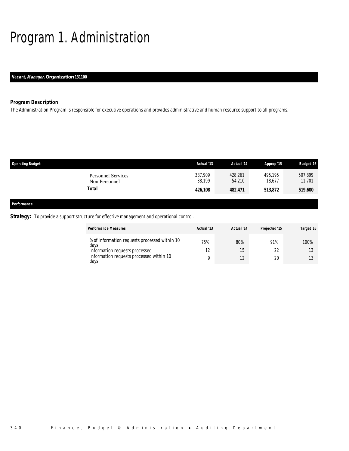# Program 1. Administration

## *Vacant, Manager, Organization 131100*

## *Program Description*

The Administration Program is responsible for executive operations and provides administrative and human resource support to all programs.

| <b>Operating Budget</b>                    | Actual '13        | Actual '14        | Approp '15        | <b>Budget '16</b> |
|--------------------------------------------|-------------------|-------------------|-------------------|-------------------|
| <b>Personnel Services</b><br>Non Personnel | 387,909<br>38,199 | 428,261<br>54,210 | 495,195<br>18,677 | 507,899<br>11,701 |
| Total                                      | 426,108           | 482,471           | 513,872           | 519,600           |
| Performance                                |                   |                   |                   |                   |

### **Strategy:** To provide a support structure for effective management and operational control.

| <b>Performance Measures</b>                                                                                                                 | Actual '13 | Actual '14      | Projected '15         | Target '16              |
|---------------------------------------------------------------------------------------------------------------------------------------------|------------|-----------------|-----------------------|-------------------------|
| % of information requests processed within 10<br>days<br>Information requests processed<br>Information requests processed within 10<br>days | 75%<br>12  | 80%<br>15<br>12 | 91%<br>າາ<br>∠∠<br>20 | 100%<br>13<br>12<br>ں ا |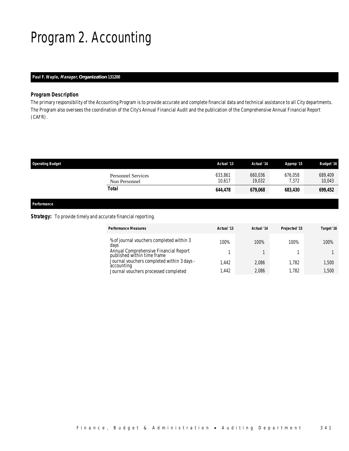# Program 2. Accounting

## *Paul F. Waple, Manager, Organization 131200*

### *Program Description*

The primary responsibility of the Accounting Program is to provide accurate and complete financial data and technical assistance to all City departments. The Program also oversees the coordination of the City's Annual Financial Audit and the publication of the Comprehensive Annual Financial Report (CAFR).

| <b>Operating Budget</b>                    | Actual '13        | Actual '14        | Approp '15       | <b>Budget '16</b> |
|--------------------------------------------|-------------------|-------------------|------------------|-------------------|
| <b>Personnel Services</b><br>Non Personnel | 633,861<br>10.617 | 660,036<br>19.032 | 676.058<br>7,372 | 689,409<br>10,043 |
| Total                                      | 644,478           | 679,068           | 683.430          | 699,452           |
|                                            |                   |                   |                  |                   |

*Performance* 

### **Strategy:** To provide timely and accurate financial reporting.

| <b>Performance Measures</b>                                          | Actual '13 | Actual '14 | Projected '15 | Target '16 |
|----------------------------------------------------------------------|------------|------------|---------------|------------|
| % of journal vouchers completed within 3<br>days                     | 100%       | 100%       | 100%          | 100%       |
| Annual Comprehensive Financial Report<br>published within time frame |            |            |               |            |
| Journal vouchers completed within 3 days -<br>accounting             | l.442      | 2.086      | 1.782         | 1,500      |
| Journal vouchers processed completed                                 | .442       | 2.086      | .782          | 1,500      |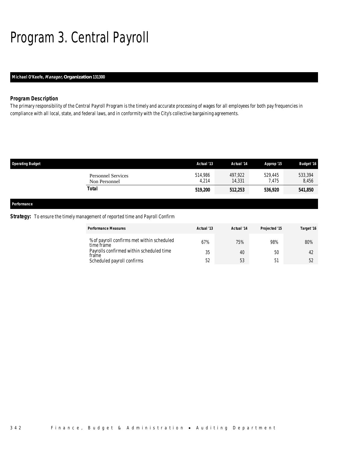# Program 3. Central Payroll

## *Michael O'Keefe, Manager, Organization 131300*

## *Program Description*

The primary responsibility of the Central Payroll Program is the timely and accurate processing of wages for all employees for both pay frequencies in compliance with all local, state, and federal laws, and in conformity with the City's collective bargaining agreements.

| <b>Operating Budget</b>                    | Actual '13       | Actual '14        | Approp '15       | <b>Budget '16</b> |
|--------------------------------------------|------------------|-------------------|------------------|-------------------|
| <b>Personnel Services</b><br>Non Personnel | 514,986<br>4,214 | 497.922<br>14,331 | 529.445<br>7.475 | 533,394<br>8,456  |
| Total                                      | 519,200          | 512,253           | 536,920          | 541,850           |
| Performance                                |                  |                   |                  |                   |

## **Strategy:** To ensure the timely management of reported time and Payroll Confirm

| <b>Performance Measures</b>                              | Actual '13 | Actual '14 | Projected '15 | Target '16 |
|----------------------------------------------------------|------------|------------|---------------|------------|
| % of payroll confirms met within scheduled<br>time fråme | 67%        | 75%        | 98%           | 80%        |
| Payrolls confirmed within scheduled time<br>trame        | 35         | 40         | 50            | 42         |
| Scheduled payroll confirms                               | 52         | 53         | 51            | らつ         |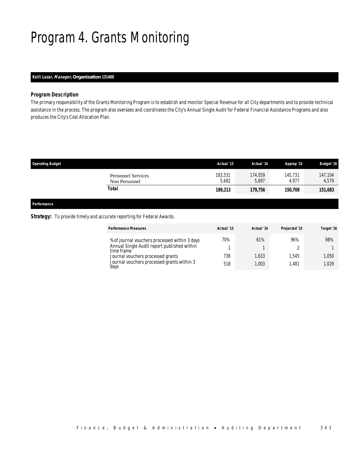# Program 4. Grants Monitoring

## *Kelli Lazar, Manager, Organization 131400*

### *Program Description*

The primary responsibility of the Grants Monitoring Program is to establish and monitor Special Revenue for all City departments and to provide technical assistance in the process. The program also oversees and coordinates the City's Annual Single Audit for Federal Financial Assistance Programs and also produces the City's Cost Allocation Plan.

| <b>Operating Budget</b>                    | Actual '13       | Actual '14       | Approp '15       | <b>Budget '16</b> |
|--------------------------------------------|------------------|------------------|------------------|-------------------|
| <b>Personnel Services</b><br>Non Personnel | 183,531<br>5.682 | 174,059<br>5.697 | 145,731<br>4.977 | 147,104<br>4,579  |
| Total                                      | 189,213          | 179,756          | 150,708          | 151,683           |
|                                            |                  |                  |                  |                   |

## *Performance*

### **Strategy:** To provide timely and accurate reporting for Federal Awards.

| <b>Performance Measures</b>                               | Actual '13 | Actual '14 | Projected '15 | Target '16 |
|-----------------------------------------------------------|------------|------------|---------------|------------|
| % of journal vouchers processed within 3 days             | 70%        | 61%        | 96%           | 98%        |
| Annual Single Audit report published within<br>time frame |            |            |               |            |
| Journal vouchers processed grants                         | 736        | 1.633      | 1.545         | 1,050      |
| Journal vouchers processed grants within 3<br>days        | 518        | 1.003      | .481          | 1,029      |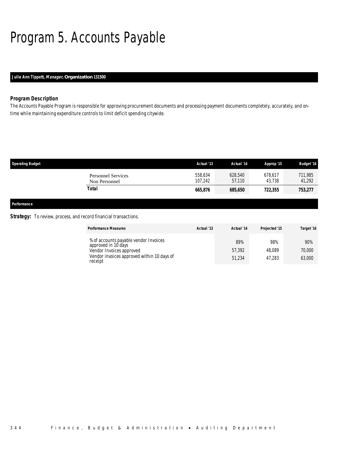# Program 5. Accounts Payable

## *Julie Ann Tippett, Manager, Organization 131500*

### *Program Description*

The Accounts Payable Program is responsible for approving procurement documents and processing payment documents completely, accurately, and ontime while maintaining expenditure controls to limit deficit spending citywide.

| <b>Operating Budget</b>                    | Actual '13         | Actual '14        | Approp '15        | <b>Budget '16</b> |
|--------------------------------------------|--------------------|-------------------|-------------------|-------------------|
| <b>Personnel Services</b><br>Non Personnel | 558,634<br>107,242 | 628,540<br>57,110 | 678.617<br>43.738 | 711,985<br>41,292 |
| <b>Total</b>                               | 665,876            | 685,650           | 722,355           | 753,277           |
|                                            |                    |                   |                   |                   |

*Performance* 

### **Strategy:** To review, process, and record financial transactions.

| <b>Performance Measures</b>                                                                                                                       | Actual '13 | Actual '14              | Projected '15           | Target '16              |
|---------------------------------------------------------------------------------------------------------------------------------------------------|------------|-------------------------|-------------------------|-------------------------|
| % of accounts payable vendor Invoices<br>approved in 10 days<br>Vendor Invoices approved<br>Vendor invoices approved within 10 days of<br>receipt |            | 89%<br>57.392<br>51.234 | 98%<br>48.089<br>47.283 | 90%<br>70,000<br>63,000 |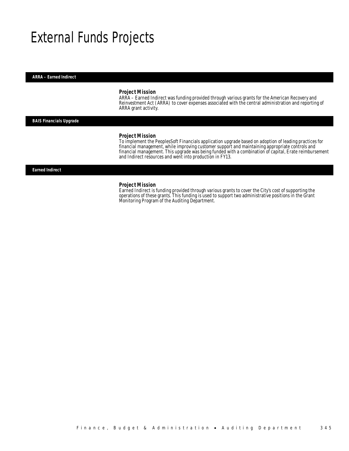## External Funds Projects

#### *ARRA – Earned Indirect*

#### *Project Mission*

ARRA – Earned Indirect was funding provided through various grants for the American Recovery and Reinvestment Act (ARRA) to cover expenses associated with the central administration and reporting of ARRA grant activity.

#### *BAIS Financials Upgrade*

#### *Project Mission*

To implement the PeoplesSoft Financials application upgrade based on adoption of leading practices for financial management, while improving customer support and maintaining appropriate controls and financial management. This upgrade was being funded with a combination of capital, Erate reimbursement and Indirect resources and went into production in FY13.

#### *Earned Indirect*

#### *Project Mission*

Earned Indirect is funding provided through various grants to cover the City's cost of supporting the operations of these grants. This funding is used to support two administrative positions in the Grant Monitoring Program of the Auditing Department.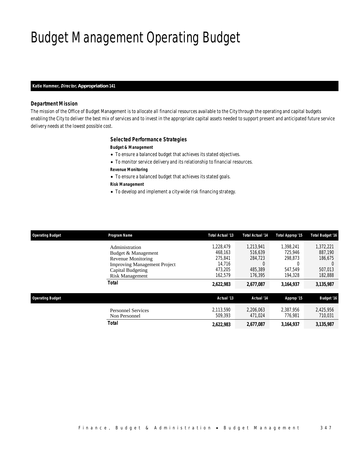# Budget Management Operating Budget

#### *Katie Hammer, Director, Appropriation 141*

### *Department Mission*

The mission of the Office of Budget Management is to allocate all financial resources available to the City through the operating and capital budgets enabling the City to deliver the best mix of services and to invest in the appropriate capital assets needed to support present and anticipated future service delivery needs at the lowest possible cost.

#### *Selected Performance Strategies*

### *Budget & Management*

- To ensure a balanced budget that achieves its stated objectives.
- To monitor service delivery and its relationship to financial resources.
- *Revenue Monitoring*
- To ensure a balanced budget that achieves its stated goals.
- *Risk Management*
- To develop and implement a city-wide risk financing strategy.

| <b>Operating Budget</b> | Program Name                               | Total Actual '13     | Total Actual '14     | Total Approp '15     | <b>Total Budget '16</b> |
|-------------------------|--------------------------------------------|----------------------|----------------------|----------------------|-------------------------|
|                         | Administration                             | 1.228.479            | 1.213.941            | 1,398,241            | 1,372,221               |
|                         | Budget & Management                        | 468.163              | 516.639              | 725.946              | 887,190                 |
|                         | Revenue Monitoring                         | 275.841              | 284,723              | 298.873              | 186.675                 |
|                         | <b>Improving Management Project</b>        | 14.716               | 0                    |                      |                         |
|                         | Capital Budgeting                          | 473.205              | 485,389              | 547.549              | 507,013                 |
|                         | <b>Risk Management</b>                     | 162,579              | 176,395              | 194,328              | 182,888                 |
|                         | Total                                      | 2,622,983            | 2,677,087            | 3,164,937            | 3,135,987               |
| <b>Operating Budget</b> |                                            | Actual '13           | Actual '14           | Approp '15           | <b>Budget '16</b>       |
|                         |                                            |                      |                      |                      |                         |
|                         | <b>Personnel Services</b><br>Non Personnel | 2.113.590<br>509.393 | 2.206.063<br>471.024 | 2.387.956<br>776.981 | 2,425,956<br>710,031    |
|                         | Total                                      | 2,622,983            | 2,677,087            | 3.164.937            | 3,135,987               |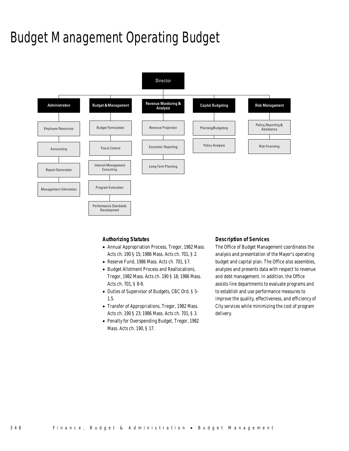## Budget Management Operating Budget



## *Authorizing Statutes*

- Annual Appropriation Process, Tregor, 1982 Mass. Acts ch. 190 § 15; 1986 Mass. Acts ch. 701, § 2.
- Reserve Fund, 1986 Mass. Acts ch. 701, §7.
- Budget Allotment Process and Reallocations, Tregor, 1982 Mass. Acts ch. 190 § 18; 1986 Mass. Acts ch. 701, § 8-9.
- Duties of Supervisor of Budgets, CBC Ord. § 5- 1.5.
- Transfer of Appropriations, Tregor, 1982 Mass. Acts ch. 190 § 23; 1986 Mass. Acts ch. 701, § 3.
- Penalty for Overspending Budget, Tregor, 1982 Mass. Acts ch. 190, § 17.

### *Description of Services*

The Office of Budget Management coordinates the analysis and presentation of the Mayor's operating budget and capital plan. The Office also assembles, analyzes and presents data with respect to revenue and debt management. In addition, the Office assists line departments to evaluate programs and to establish and use performance measures to improve the quality, effectiveness, and efficiency of City services while minimizing the cost of program delivery.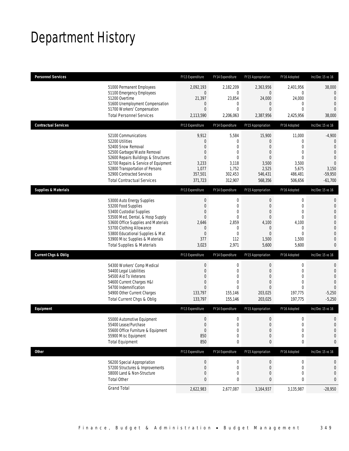# Department History

| <b>Personnel Services</b>       |                                                                                                                                                                                                                                                                                           | FY13 Expenditure                                                                                   | FY14 Expenditure                                                                                       | FY15 Appropriation                                                                                           | FY16 Adopted                                                                                                    | Inc/Dec 15 vs 16                                                                                                                                      |
|---------------------------------|-------------------------------------------------------------------------------------------------------------------------------------------------------------------------------------------------------------------------------------------------------------------------------------------|----------------------------------------------------------------------------------------------------|--------------------------------------------------------------------------------------------------------|--------------------------------------------------------------------------------------------------------------|-----------------------------------------------------------------------------------------------------------------|-------------------------------------------------------------------------------------------------------------------------------------------------------|
|                                 | 51000 Permanent Employees<br>51100 Emergency Employees<br>51200 Overtime<br>51600 Unemployment Compensation<br>51700 Workers' Compensation                                                                                                                                                | 2,092,193<br>0<br>21,397<br>$\mathbf 0$<br>$\overline{0}$                                          | 2,182,209<br>0<br>23,854<br>$\mathbf 0$<br>$\overline{0}$                                              | 2,363,956<br>$\mathbf 0$<br>24,000<br>$\mathbf 0$<br>0                                                       | 2,401,956<br>0<br>24,000<br>$\mathbf{0}$<br>$\mathbf{0}$                                                        | 38,000<br>$\mathbf{0}$<br>$\mathbf{0}$<br>$\overline{0}$<br>$\overline{0}$                                                                            |
|                                 | <b>Total Personnel Services</b>                                                                                                                                                                                                                                                           | 2,113,590                                                                                          | 2,206,063                                                                                              | 2,387,956                                                                                                    | 2,425,956                                                                                                       | 38,000                                                                                                                                                |
| <b>Contractual Services</b>     |                                                                                                                                                                                                                                                                                           | FY13 Expenditure                                                                                   | FY14 Expenditure                                                                                       | FY15 Appropriation                                                                                           | FY16 Adopted                                                                                                    | Inc/Dec 15 vs 16                                                                                                                                      |
|                                 | 52100 Communications<br>52200 Utilities<br>52400 Snow Removal<br>52500 Garbage/Waste Removal<br>52600 Repairs Buildings & Structures<br>52700 Repairs & Service of Equipment<br>52800 Transportation of Persons<br>52900 Contracted Services<br><b>Total Contractual Services</b>         | 9,912<br>0<br>$\overline{0}$<br>$\overline{0}$<br>$\Omega$<br>3,233<br>1,077<br>357,501<br>371,723 | 5,584<br>0<br>$\overline{0}$<br>$\mathbf{0}$<br>$\mathbf{0}$<br>3,118<br>1,752<br>302,453<br>312,907   | 15,900<br>$\mathbf{0}$<br>0<br>$\mathbf{0}$<br>$\mathbf{0}$<br>3,500<br>2,525<br>546,431<br>568,356          | 11,000<br>$\mathbf{0}$<br>$\mathbf 0$<br>$\mathbf{0}$<br>$\mathbf{0}$<br>3,500<br>5,675<br>486,481<br>506,656   | $-4,900$<br>$\mathbf{0}$<br>$\overline{0}$<br>$\overline{0}$<br>$\theta$<br>$\overline{0}$<br>3,150<br>$-59,950$<br>$-61,700$                         |
| <b>Supplies &amp; Materials</b> |                                                                                                                                                                                                                                                                                           | FY13 Expenditure                                                                                   | FY14 Expenditure                                                                                       | FY15 Appropriation                                                                                           | FY16 Adopted                                                                                                    | Inc/Dec 15 vs 16                                                                                                                                      |
|                                 | 53000 Auto Energy Supplies<br>53200 Food Supplies<br>53400 Custodial Supplies<br>53500 Med, Dental, & Hosp Supply<br>53600 Office Supplies and Materials<br>53700 Clothing Allowance<br>53800 Educational Supplies & Mat<br>53900 Misc Supplies & Materials<br>Total Supplies & Materials | 0<br>$\overline{0}$<br>0<br>$\overline{0}$<br>2,646<br>0<br>$\overline{0}$<br>377<br>3,023         | $\mathbf 0$<br>$\mathbf 0$<br>0<br>$\mathbf 0$<br>2,859<br>$\mathbf 0$<br>$\mathbf{0}$<br>112<br>2,971 | $\mathbf 0$<br>$\mathbf{0}$<br>0<br>$\mathbf{0}$<br>4,100<br>$\mathbf 0$<br>$\overline{0}$<br>1,500<br>5,600 | $\boldsymbol{0}$<br>$\mathbf{0}$<br>$\mathbf{0}$<br>$\mathbf 0$<br>4,100<br>0<br>$\mathbf{0}$<br>1,500<br>5,600 | $\mathbf{0}$<br>$\mathbf{0}$<br>$\overline{0}$<br>$\overline{0}$<br>$\mathbf 0$<br>$\overline{0}$<br>$\overline{0}$<br>$\overline{0}$<br>$\mathbf{0}$ |
| <b>Current Chgs &amp; Oblig</b> |                                                                                                                                                                                                                                                                                           | FY13 Expenditure                                                                                   | FY14 Expenditure                                                                                       | FY15 Appropriation                                                                                           | FY16 Adopted                                                                                                    | Inc/Dec 15 vs 16                                                                                                                                      |
|                                 | 54300 Workers' Comp Medical<br>54400 Legal Liabilities<br>54500 Aid To Veterans<br>54600 Current Charges H&I<br>54700 Indemnification<br>54900 Other Current Charges<br>Total Current Chgs & Oblig                                                                                        | $\boldsymbol{0}$<br>$\boldsymbol{0}$<br>0<br>$\overline{0}$<br>$\Omega$<br>133,797<br>133,797      | 0<br>$\mathbf 0$<br>$\Omega$<br>$\mathbf{0}$<br>$\Omega$<br>155,146<br>155,146                         | $\boldsymbol{0}$<br>$\overline{0}$<br>0<br>0<br>0<br>203,025<br>203,025                                      | 0<br>$\mathbf{0}$<br>$\mathbf{0}$<br>$\mathbf{0}$<br>$\theta$<br>197,775<br>197,775                             | $\mathbf 0$<br>$\mathbf 0$<br>$\overline{0}$<br>$\overline{0}$<br>$\overline{0}$<br>$-5,250$<br>$-5,250$                                              |
| Equipment                       |                                                                                                                                                                                                                                                                                           | FY13 Expenditure                                                                                   | FY14 Expenditure                                                                                       | FY15 Appropriation                                                                                           | FY16 Adopted                                                                                                    | Inc/Dec 15 vs 16                                                                                                                                      |
|                                 | 55000 Automotive Equipment<br>55400 Lease/Purchase<br>55600 Office Furniture & Equipment<br>55900 Misc Equipment<br><b>Total Equipment</b>                                                                                                                                                | $\boldsymbol{0}$<br>$\Omega$<br>$\boldsymbol{0}$<br>850<br>850                                     | 0<br>$\Omega$<br>$\boldsymbol{0}$<br>0<br>0                                                            | $\boldsymbol{0}$<br>$\Omega$<br>$\boldsymbol{0}$<br>$\mathbf 0$<br>0                                         | $\boldsymbol{0}$<br>$\theta$<br>$\boldsymbol{0}$<br>$\boldsymbol{0}$<br>0                                       | $\mathbf 0$<br>$\Omega$<br>$\mathbf{0}$<br>$\mathbf 0$<br>0                                                                                           |
| Other                           |                                                                                                                                                                                                                                                                                           | FY13 Expenditure                                                                                   | FY14 Expenditure                                                                                       | FY15 Appropriation                                                                                           | FY16 Adopted                                                                                                    | Inc/Dec 15 vs 16                                                                                                                                      |
|                                 | 56200 Special Appropriation<br>57200 Structures & Improvements<br>58000 Land & Non-Structure<br><b>Total Other</b>                                                                                                                                                                        | $\boldsymbol{0}$<br>0<br>0<br>0                                                                    | 0<br>0<br>0<br>0                                                                                       | $\mathbf 0$<br>$\mathbf 0$<br>0<br>0                                                                         | 0<br>0<br>$\mathbf{0}$<br>0                                                                                     | 0<br>$\mathbf 0$<br>0<br>0                                                                                                                            |
|                                 | <b>Grand Total</b>                                                                                                                                                                                                                                                                        | 2,622,983                                                                                          | 2,677,087                                                                                              | 3,164,937                                                                                                    | 3,135,987                                                                                                       | $-28,950$                                                                                                                                             |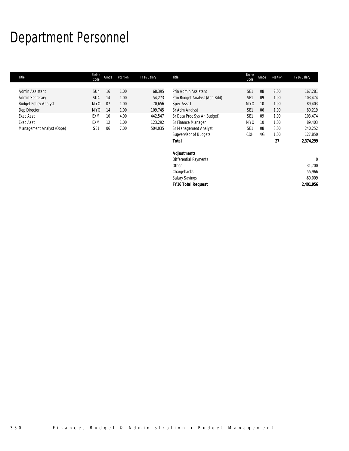# Department Personnel

| Title                        | Union<br>Code   | Grade | Position | FY16 Salary | Title                         | Union<br>Code   | Grade           | Position | FY16 Salary  |
|------------------------------|-----------------|-------|----------|-------------|-------------------------------|-----------------|-----------------|----------|--------------|
|                              |                 |       |          |             |                               |                 |                 |          |              |
| Admin Assistant              | SU <sub>4</sub> | 16    | 1.00     | 68,395      | Prin Admin Assistant          | SE <sub>1</sub> | 08              | 2.00     | 167,281      |
| <b>Admin Secretary</b>       | SU <sub>4</sub> | 14    | 1.00     | 54,273      | Prin Budget Analyst (Ads-Bdd) | SE <sub>1</sub> | 09              | 1.00     | 103,474      |
| <b>Budget Policy Analyst</b> | <b>MYO</b>      | 07    | 1.00     | 70,656      | Spec Asst I                   | MY <sub>0</sub> | 10 <sup>°</sup> | 1.00     | 89,403       |
| Dep Director                 | MY <sub>0</sub> | 14    | 1.00     | 109,745     | Sr Adm Analyst                | SE <sub>1</sub> | 06              | 1.00     | 80,219       |
| Exec Asst                    | EXM             | 10    | 4.00     | 442,547     | Sr Data Proc Sys An(Budget)   | SE <sub>1</sub> | 09              | 1.00     | 103,474      |
| Exec Asst                    | <b>EXM</b>      | 12    | 1.00     | 123,292     | Sr Finance Manager            | <b>MYO</b>      | 10 <sup>1</sup> | 1.00     | 89,403       |
| Management Analyst (Obpe)    | SE <sub>1</sub> | 06    | 7.00     | 504,035     | Sr Management Analyst         | SE <sub>1</sub> | 08              | 3.00     | 240,252      |
|                              |                 |       |          |             | Supvervisor of Budgets        | CDH             | NG.             | 1.00     | 127,850      |
|                              |                 |       |          |             | Total                         |                 |                 | 27       | 2,374,299    |
|                              |                 |       |          |             | <b>Adjustments</b>            |                 |                 |          |              |
|                              |                 |       |          |             | Differential Payments         |                 |                 |          | $\mathbf{0}$ |
|                              |                 |       |          |             | Other                         |                 |                 |          | 31,700       |
|                              |                 |       |          |             | Chargebacks                   |                 |                 |          | 55,966       |
|                              |                 |       |          |             | <b>Salary Savings</b>         |                 |                 |          | $-60,009$    |
|                              |                 |       |          |             | <b>FY16 Total Request</b>     |                 |                 |          | 2,401,956    |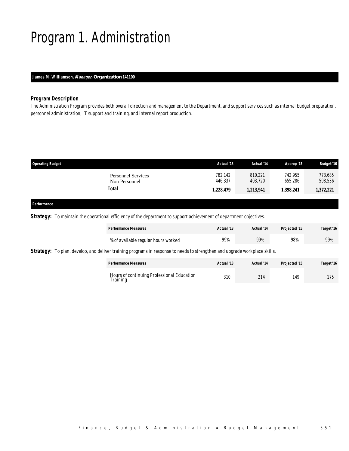# Program 1. Administration

## *James M. Williamson, Manager, Organization 141100*

## *Program Description*

The Administration Program provides both overall direction and management to the Department, and support services such as internal budget preparation, personnel administration, IT support and training, and internal report production.

| <b>Operating Budget</b>                    | Actual '13         | Actual '14         | Approp '15         | <b>Budget '16</b>  |
|--------------------------------------------|--------------------|--------------------|--------------------|--------------------|
| <b>Personnel Services</b><br>Non Personnel | 782,142<br>446.337 | 810,221<br>403.720 | 742,955<br>655.286 | 773,685<br>598,536 |
| Total                                      | 1,228,479          | 1,213,941          | 1.398.241          | 1,372,221          |
|                                            |                    |                    |                    |                    |

## *Performance*

*Strategy:* To maintain the operational efficiency of the department to support achievement of department objectives.

|                                                                                                                                   | <b>Performance Measures</b>         | Actual '13 | Actual '14 | Projected '15 | Target '16 |
|-----------------------------------------------------------------------------------------------------------------------------------|-------------------------------------|------------|------------|---------------|------------|
|                                                                                                                                   | % of available regular hours worked | 99%        | 99%        | 98%           | 99%        |
| <b>Strategy:</b> To plan, develop, and deliver training programs in response to needs to strengthen and upgrade workplace skills. |                                     |            |            |               |            |
|                                                                                                                                   | <b>Performance Measures</b>         | Actual '13 | Actual '14 | Projected '15 | Target '16 |

Hours of continuing Professional Education Training 310 214 149 175

|  | Finance, Budget & Administration • Budget Management |  | 351 |
|--|------------------------------------------------------|--|-----|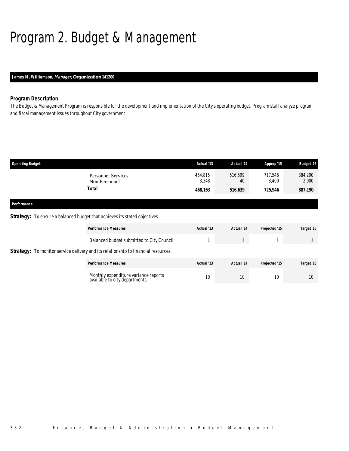# Program 2. Budget & Management

## *James M. Williamson, Manager, Organization 141200*

## *Program Description*

The Budget & Management Program is responsible for the development and implementation of the City's operating budget. Program staff analyze program and fiscal management issues throughout City government.

| <b>Operating Budget</b> |                                            | Actual '13       | Actual '14    | Approp '15       | <b>Budget '16</b> |
|-------------------------|--------------------------------------------|------------------|---------------|------------------|-------------------|
|                         | <b>Personnel Services</b><br>Non Personnel | 464,815<br>3,348 | 516,599<br>40 | 717.546<br>8,400 | 884,290<br>2,900  |
|                         | <b>Total</b>                               | 468,163          | 516,639       | 725,946          | 887,190           |
| Performance             |                                            |                  |               |                  |                   |

### **Strategy:** To ensure a balanced budget that achieves its stated objectives.

|  | <b>Performance Measures</b>                                                               | Actual '13 | Actual '14 | Projected '15 | Target '16 |
|--|-------------------------------------------------------------------------------------------|------------|------------|---------------|------------|
|  | Balanced budget submitted to City Council                                                 |            |            |               |            |
|  | <b>Strategy:</b> To monitor service delivery and its relationship to financial resources. |            |            |               |            |
|  | <b>Performance Measures</b>                                                               | Actual '13 | Actual '14 | Projected '15 | Target '16 |
|  | Monthly expenditure variance reports<br>available to city departments                     | 10         | 10         | 10            | 10         |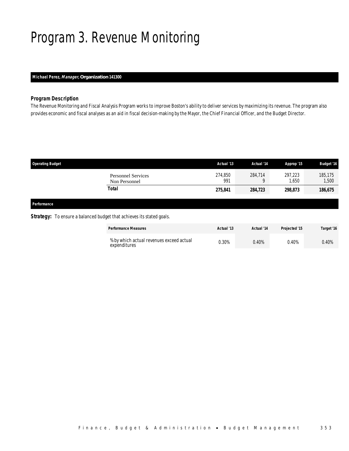## Program 3. Revenue Monitoring

## *Michael Perez, Manager, Organization 141300*

### *Program Description*

The Revenue Monitoring and Fiscal Analysis Program works to improve Boston's ability to deliver services by maximizing its revenue. The program also provides economic and fiscal analyses as an aid in fiscal decision-making by the Mayor, the Chief Financial Officer, and the Budget Director.

| <b>Operating Budget</b> |                                            | Actual '13     | Actual '14 | Approp '15       | <b>Budget '16</b> |
|-------------------------|--------------------------------------------|----------------|------------|------------------|-------------------|
|                         | <b>Personnel Services</b><br>Non Personnel | 274,850<br>991 | 284,714    | 297,223<br>1,650 | 185,175<br>1,500  |
|                         | <b>Total</b>                               | 275,841        | 284,723    | 298,873          | 186,675           |
| Performance             |                                            |                |            |                  |                   |

### **Strategy:** To ensure a balanced budget that achieves its stated goals.

| <b>Performance Measures</b>                              | Actual '13 | Actual '14 | Projected '15 | Target '16 |
|----------------------------------------------------------|------------|------------|---------------|------------|
| % by which actual revenues exceed actual<br>expenditures | 0.30%      | 0.40%      | $0.40\%$      | 0.40%      |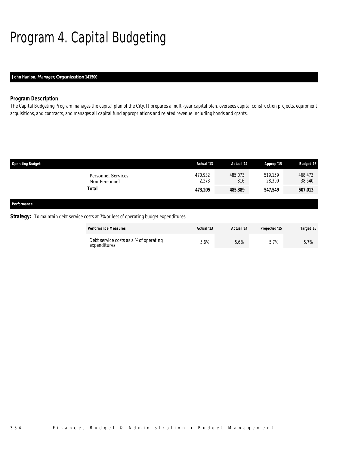# Program 4. Capital Budgeting

## *John Hanlon, Manager, Organization 141500*

### *Program Description*

The Capital Budgeting Program manages the capital plan of the City. It prepares a multi-year capital plan, oversees capital construction projects, equipment acquisitions, and contracts, and manages all capital fund appropriations and related revenue including bonds and grants.

| <b>Operating Budget</b>                    | Actual '13       | Actual '14     | Approp '15        | <b>Budget '16</b> |
|--------------------------------------------|------------------|----------------|-------------------|-------------------|
| <b>Personnel Services</b><br>Non Personnel | 470,932<br>2,273 | 485,073<br>316 | 519.159<br>28,390 | 468,473<br>38,540 |
| <b>Total</b>                               | 473,205          | 485,389        | 547,549           | 507,013           |
|                                            |                  |                |                   |                   |
| Performance                                |                  |                |                   |                   |

### **Strategy:** To maintain debt service costs at 7% or less of operating budget expenditures.

| <b>Performance Measures</b>                            | Actual '13 | Actual '14 | Projected '15 | Target '16 |
|--------------------------------------------------------|------------|------------|---------------|------------|
| Debt service costs as a % of operating<br>expenditures | 5.6%       | 5.6%       | 5.7%          | 5.7%       |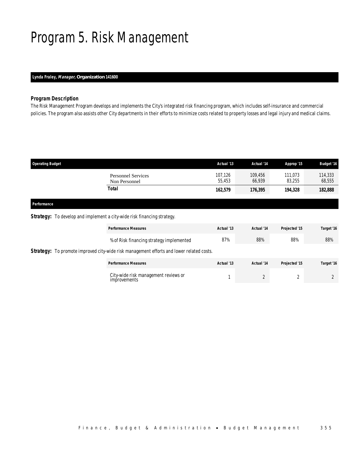# Program 5. Risk Management

## *Lynda Fraley, Manager, Organization 141600*

#### *Program Description*

The Risk Management Program develops and implements the City's integrated risk financing program, which includes self-insurance and commercial policies. The program also assists other City departments in their efforts to minimize costs related to property losses and legal injury and medical claims.

| <b>Operating Budget</b>             | Actual '13        | Actual '14        | Approp '15       | <b>Budget '16</b> |
|-------------------------------------|-------------------|-------------------|------------------|-------------------|
| Personnel Services<br>Non Personnel | 107.126<br>55.453 | 109.456<br>66.939 | 11.073<br>83.255 | 114,333<br>68,555 |
| Total                               | 162,579           | 176,395           | 194.328          | 182,888           |
|                                     |                   |                   |                  |                   |

### *Performance*

### **Strategy:** To develop and implement a city-wide risk financing strategy.

| <b>Performance Measures</b>                                                                     | Actual '13 | Actual '14 | Projected '15 | Target '16 |
|-------------------------------------------------------------------------------------------------|------------|------------|---------------|------------|
| % of Risk financing strategy implemented                                                        | 87%        | 88%        | 88%           | 88%        |
| <b>Strategy:</b> To promote improved city-wide risk management efforts and lower related costs. |            |            |               |            |
| <b>Performance Measures</b>                                                                     | Actual '13 | Actual '14 | Projected '15 | Target '16 |
| City-wide risk management reviews or<br>improvements                                            |            |            |               |            |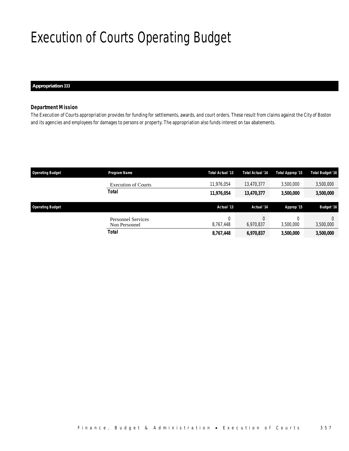# Execution of Courts Operating Budget

*Appropriation 333* 

### *Department Mission*

The Execution of Courts appropriation provides for funding for settlements, awards, and court orders. These result from claims against the City of Boston and its agencies and employees for damages to persons or property. The appropriation also funds interest on tax abatements.

| <b>Operating Budget</b> | Program Name                               | Total Actual '13 | <b>Total Actual '14</b> | Total Approp '15 | <b>Total Budget '16</b> |
|-------------------------|--------------------------------------------|------------------|-------------------------|------------------|-------------------------|
|                         | <b>Execution of Courts</b>                 | 11,976,054       | 13,470,377              | 3,500,000        | 3,500,000               |
|                         | <b>Total</b>                               | 11,976,054       | 13,470,377              | 3,500,000        | 3,500,000               |
| <b>Operating Budget</b> |                                            | Actual '13       | Actual '14              | Approp '15       | <b>Budget '16</b>       |
|                         | <b>Personnel Services</b><br>Non Personnel | U<br>8.767.448   | C<br>6.970.837          | 3.500.000        | 3,500,000               |
|                         | <b>Total</b>                               | 8,767,448        | 6,970,837               | 3,500,000        | 3,500,000               |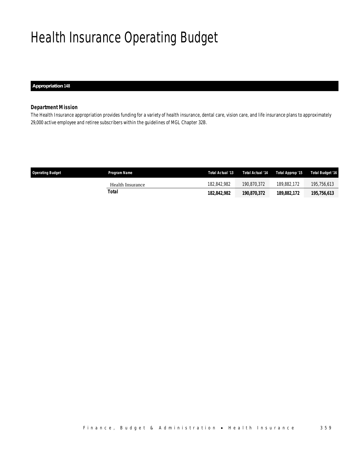# Health Insurance Operating Budget

*Appropriation 148* 

### *Department Mission*

The Health Insurance appropriation provides funding for a variety of health insurance, dental care, vision care, and life insurance plans to approximately 29,000 active employee and retiree subscribers within the guidelines of MGL Chapter 32B.

| <b>Operating Budget</b> | Program Name     | Total Actual '13 | Total Actual '14 |             | Total Budget '16 |  |
|-------------------------|------------------|------------------|------------------|-------------|------------------|--|
|                         | Health Insurance | 182.842.982      | 190.870.372      | 189.882.172 | 195,756,613      |  |
|                         | Total            | 182,842,982      | 190,870,372      | 189,882,172 | 195,756,613      |  |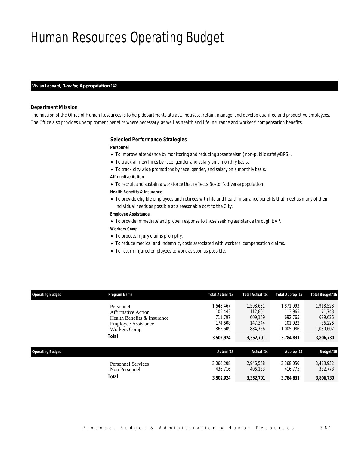## Human Resources Operating Budget

#### *Vivian Leonard, Director, Appropriation 142*

#### *Department Mission*

The mission of the Office of Human Resources is to help departments attract, motivate, retain, manage, and develop qualified and productive employees. The Office also provides unemployment benefits where necessary, as well as health and life insurance and workers' compensation benefits.

#### *Selected Performance Strategies*

#### *Personnel*

- To improve attendance by monitoring and reducing absenteeism (non-public safety/BPS).
- To track all new hires by race, gender and salary on a monthly basis.
- To track city-wide promotions by race, gender, and salary on a monthly basis.
- *Affirmative Action*
- To recruit and sustain a workforce that reflects Boston's diverse population.

#### *Health Benefits & Insurance*

• To provide eligible employees and retirees with life and health insurance benefits that meet as many of their individual needs as possible at a reasonable cost to the City.

#### *Employee Assistance*

- To provide immediate and proper response to those seeking assistance through EAP.
- *Workers Comp*
- To process injury claims promptly.
- To reduce medical and indemnity costs associated with workers' compensation claims.
- To return injured employees to work as soon as possible.

| <b>Operating Budget</b> | Program Name                               | Total Actual '13     | <b>Total Actual '14</b> | Total Approp '15     | <b>Total Budget '16</b> |
|-------------------------|--------------------------------------------|----------------------|-------------------------|----------------------|-------------------------|
|                         | Personnel                                  | 1.648.467            | 1.598.631               | 1.871.993            | 1,918,528               |
|                         | <b>Affirmative Action</b>                  | 105,443              | 112,801                 | 113.965              | 71.748                  |
|                         | Health Benefits & Insurance                | 711.797              | 609.169                 | 692.765              | 699.626                 |
|                         | <b>Employee Assistance</b>                 | 174.608              | 147,344                 | 101.022              | 86.226                  |
|                         | Workers Comp                               | 862,609              | 884,756                 | 1,005,086            | 1,030,602               |
|                         | Total                                      | 3,502,924            | 3,352,701               | 3,784,831            | 3,806,730               |
|                         |                                            |                      |                         |                      |                         |
| <b>Operating Budget</b> |                                            | Actual '13           | Actual '14              | Approp '15           | <b>Budget '16</b>       |
|                         | <b>Personnel Services</b><br>Non Personnel | 3.066.208<br>436.716 | 2.946.568<br>406.133    | 3.368.056<br>416.775 | 3,423,952<br>382,778    |
|                         | Total                                      | 3,502,924            | 3,352,701               | 3,784,831            | 3,806,730               |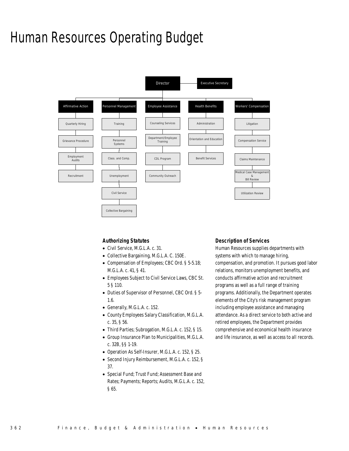## Human Resources Operating Budget



## *Authorizing Statutes*

- Civil Service, M.G.L.A. c. 31.
- Collective Bargaining, M.G.L.A. C. 150E.
- Compensation of Employees; CBC Ord. § 5-5.18; M.G.L.A. c. 41, § 41.
- Employees Subject to Civil Service Laws, CBC St. 5 § 110.
- Duties of Supervisor of Personnel, CBC Ord. § 5- 1.6.
- Generally, M.G.L.A. c. 152.
- County Employees Salary Classification, M.G.L.A. c. 35, § 56.
- Third Parties; Subrogation, M.G.L.A. c. 152, § 15.
- Group Insurance Plan to Municipalities, M.G.L.A. c. 32B, §§ 1-19.
- Operation As Self-Insurer, M.G.L.A. c. 152, § 25.
- Second Injury Reimbursement, M.G.L.A. c. 152, § 37.
- Special Fund; Trust Fund; Assessment Base and Rates; Payments; Reports; Audits, M.G.L.A. c. 152, § 65.

#### *Description of Services*

Human Resources supplies departments with systems with which to manage hiring, compensation, and promotion. It pursues good labor relations, monitors unemployment benefits, and conducts affirmative action and recruitment programs as well as a full range of training programs. Additionally, the Department operates elements of the City's risk management program including employee assistance and managing attendance. As a direct service to both active and retired employees, the Department provides comprehensive and economical health insurance and life insurance, as well as access to all records.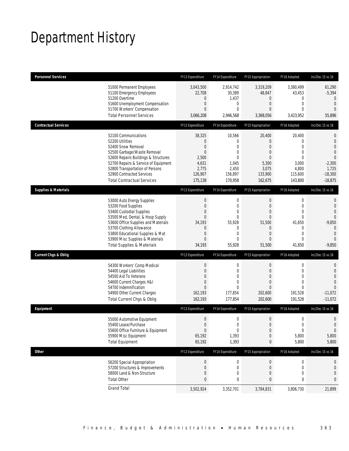## Department History

| <b>Personnel Services</b>       |                                                                                                                                                                                                                                                                                                      | FY13 Expenditure                                                                                    | FY14 Expenditure                                                                                        | FY15 Appropriation                                                                               | FY16 Adopted                                                                                                   | Inc/Dec 15 vs 16                                                                                                                |
|---------------------------------|------------------------------------------------------------------------------------------------------------------------------------------------------------------------------------------------------------------------------------------------------------------------------------------------------|-----------------------------------------------------------------------------------------------------|---------------------------------------------------------------------------------------------------------|--------------------------------------------------------------------------------------------------|----------------------------------------------------------------------------------------------------------------|---------------------------------------------------------------------------------------------------------------------------------|
|                                 | 51000 Permanent Employees<br>51100 Emergency Employees<br>51200 Overtime<br>51600 Unemployment Compensation<br>51700 Workers' Compensation<br><b>Total Personnel Services</b>                                                                                                                        | 3,043,500<br>22,708<br>0<br>0<br>$\overline{0}$<br>3,066,208                                        | 2,914,742<br>30,389<br>1,437<br>0<br>0<br>2,946,568                                                     | 3,319,209<br>48,847<br>$\mathbf 0$<br>$\mathbf{0}$<br>0<br>3,368,056                             | 3,380,499<br>43,453<br>0<br>$\mathbf{0}$<br>$\mathbf{0}$<br>3,423,952                                          | 61,290<br>$-5,394$<br>$\theta$<br>$\mathbf{0}$<br>$\overline{0}$<br>55,896                                                      |
| <b>Contractual Services</b>     |                                                                                                                                                                                                                                                                                                      | FY13 Expenditure                                                                                    | FY14 Expenditure                                                                                        | FY15 Appropriation                                                                               | FY16 Adopted                                                                                                   | Inc/Dec 15 vs 16                                                                                                                |
|                                 | 52100 Communications<br>52200 Utilities<br>52400 Snow Removal<br>52500 Garbage/Waste Removal<br>52600 Repairs Buildings & Structures<br>52700 Repairs & Service of Equipment<br>52800 Transportation of Persons<br>52900 Contracted Services<br><b>Total Contractual Services</b>                    | 38,325<br>0<br>$\overline{0}$<br>$\overline{0}$<br>2,500<br>4,631<br>2,775<br>126,907<br>175,138    | 10,566<br>0<br>$\overline{0}$<br>$\overline{0}$<br>$\mathbf{0}$<br>1,045<br>2,450<br>156,897<br>170,958 | 20,400<br>$\mathbf{0}$<br>0<br>0<br>$\mathbf{0}$<br>5,300<br>3,075<br>133,900<br>162,675         | 20,400<br>$\mathbf{0}$<br>$\mathbf{0}$<br>$\mathbf{0}$<br>$\mathbf{0}$<br>3,000<br>4,800<br>115,600<br>143,800 | $\mathbf 0$<br>$\mathbf 0$<br>$\overline{0}$<br>$\overline{0}$<br>$\overline{0}$<br>$-2,300$<br>1,725<br>$-18,300$<br>$-18,875$ |
| <b>Supplies &amp; Materials</b> |                                                                                                                                                                                                                                                                                                      | FY13 Expenditure                                                                                    | FY14 Expenditure                                                                                        | FY15 Appropriation                                                                               | FY16 Adopted                                                                                                   | Inc/Dec 15 vs 16                                                                                                                |
|                                 | 53000 Auto Energy Supplies<br>53200 Food Supplies<br>53400 Custodial Supplies<br>53500 Med, Dental, & Hosp Supply<br>53600 Office Supplies and Materials<br>53700 Clothing Allowance<br>53800 Educational Supplies & Mat<br>53900 Misc Supplies & Materials<br><b>Total Supplies &amp; Materials</b> | $\boldsymbol{0}$<br>$\boldsymbol{0}$<br>0<br>$\mathbf{0}$<br>34,193<br>0<br>0<br>$\Omega$<br>34,193 | 0<br>$\mathbf 0$<br>$\mathbf{0}$<br>$\mathbf 0$<br>55,928<br>0<br>$\mathbf{0}$<br>$\Omega$<br>55,928    | $\mathbf 0$<br>$\mathbf{0}$<br>0<br>$\mathbf{0}$<br>51,500<br>0<br>$\overline{0}$<br>0<br>51,500 | 0<br>$\mathbf 0$<br>$\mathbf{0}$<br>$\mathbf 0$<br>41,650<br>0<br>$\mathbf{0}$<br>$\mathbf{0}$<br>41,650       | 0<br>$\mathbf 0$<br>$\overline{0}$<br>$\Omega$<br>$-9,850$<br>$\mathbf{0}$<br>$\overline{0}$<br>$\Omega$<br>$-9,850$            |
| <b>Current Chgs &amp; Oblig</b> |                                                                                                                                                                                                                                                                                                      | FY13 Expenditure                                                                                    | FY14 Expenditure                                                                                        | FY15 Appropriation                                                                               | FY16 Adopted                                                                                                   | Inc/Dec 15 vs 16                                                                                                                |
|                                 | 54300 Workers' Comp Medical<br>54400 Legal Liabilities<br>54500 Aid To Veterans<br>54600 Current Charges H&I<br>54700 Indemnification<br>54900 Other Current Charges<br>Total Current Chgs & Oblig                                                                                                   | $\boldsymbol{0}$<br>$\boldsymbol{0}$<br>0<br>$\mathbf 0$<br>$\Omega$<br>162,193<br>162,193          | 0<br>$\mathbf 0$<br>0<br>$\overline{0}$<br>$\Omega$<br>177,854<br>177,854                               | $\boldsymbol{0}$<br>$\mathbf{0}$<br>0<br>0<br>0<br>202,600<br>202,600                            | 0<br>$\mathbf 0$<br>$\mathbf{0}$<br>$\mathbf{0}$<br>$\theta$<br>191,528<br>191,528                             | $\mathbf 0$<br>$\mathbf{0}$<br>$\overline{0}$<br>$\Omega$<br>$\Omega$<br>$-11,072$<br>$-11,072$                                 |
| Equipment                       |                                                                                                                                                                                                                                                                                                      | FY13 Expenditure                                                                                    | FY14 Expenditure                                                                                        | FY15 Appropriation                                                                               | FY16 Adopted                                                                                                   | Inc/Dec 15 vs 16                                                                                                                |
|                                 | 55000 Automotive Equipment<br>55400 Lease/Purchase<br>55600 Office Furniture & Equipment<br>55900 Misc Equipment<br><b>Total Equipment</b>                                                                                                                                                           | $\boldsymbol{0}$<br>$\Omega$<br>$\boldsymbol{0}$<br>65,192<br>65,192                                | 0<br>$\mathbf 0$<br>0<br>1,393<br>1,393                                                                 | $\boldsymbol{0}$<br>$\mathbf{0}$<br>$\boldsymbol{0}$<br>$\mathbf 0$<br>0                         | $\boldsymbol{0}$<br>$\mathbf 0$<br>$\boldsymbol{0}$<br>5,800<br>5,800                                          | $\mathbf 0$<br>$\overline{0}$<br>$\mathbf 0$<br>5,800<br>5,800                                                                  |
| <b>Other</b>                    |                                                                                                                                                                                                                                                                                                      | FY13 Expenditure                                                                                    | FY14 Expenditure                                                                                        | FY15 Appropriation                                                                               | FY16 Adopted                                                                                                   | Inc/Dec 15 vs 16                                                                                                                |
|                                 | 56200 Special Appropriation<br>57200 Structures & Improvements<br>58000 Land & Non-Structure<br><b>Total Other</b>                                                                                                                                                                                   | $\boldsymbol{0}$<br>0<br>0<br>0                                                                     | 0<br>0<br>0<br>0                                                                                        | $\boldsymbol{0}$<br>$\mathbf 0$<br>0<br>0                                                        | 0<br>0<br>$\mathbf 0$<br>0                                                                                     | 0<br>0<br>0<br>0                                                                                                                |
|                                 | <b>Grand Total</b>                                                                                                                                                                                                                                                                                   | 3,502,924                                                                                           | 3,352,701                                                                                               | 3,784,831                                                                                        | 3,806,730                                                                                                      | 21,899                                                                                                                          |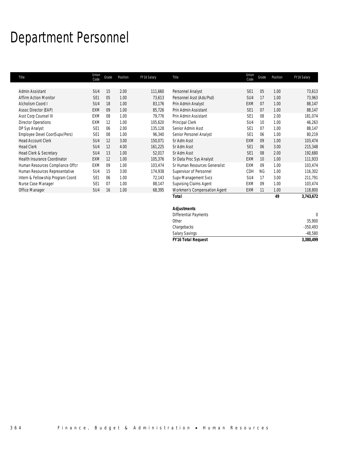## Department Personnel

| Title                               | Union<br>Code   | Grade | Position | FY16 Salary | Title                         | Union<br>Code   | Grade           | Position | FY16 Salary |
|-------------------------------------|-----------------|-------|----------|-------------|-------------------------------|-----------------|-----------------|----------|-------------|
|                                     |                 |       |          |             |                               |                 |                 |          |             |
| Admin Assistant                     | SU <sub>4</sub> | 15    | 2.00     | 111,660     | Personnel Analyst             | SE <sub>1</sub> | 05              | 1.00     | 73,613      |
| <b>Affirm Action Monitor</b>        | SE <sub>1</sub> | 05    | 1.00     | 73,613      | Personnel Asst (Ads/Psd)      | SU4             | 17              | 1.00     | 73,963      |
| Alcholism Coord I                   | SU4             | 18    | 1.00     | 83,176      | Prin Admin Analyst            | <b>EXM</b>      | 07              | 1.00     | 88,147      |
| Assoc Director (EAP)                | EXM             | 09    | 1.00     | 85,726      | Prin Admin Assistant          | SE <sub>1</sub> | 07              | 1.00     | 88,147      |
| Asst Corp Counsel III               | <b>EXM</b>      | 08    | 1.00     | 79,776      | Prin Admin Assistant          | SE <sub>1</sub> | 08              | 2.00     | 181,074     |
| <b>Director Operations</b>          | EXM             | 12    | 1.00     | 105,620     | Principal Clerk               | SU4             | 10 <sup>1</sup> | 1.00     | 46,263      |
| DP Sys Analyst                      | SE <sub>1</sub> | 06    | 2.00     | 135,128     | Senior Admin Asst             | SE <sub>1</sub> | 07              | 1.00     | 88,147      |
| Employee Devel Coor(Supv/Pers)      | SE <sub>1</sub> | 08    | 1.00     | 96,340      | Senior Personel Analyst       | SE <sub>1</sub> | 06              | 1.00     | 80,219      |
| <b>Head Account Clerk</b>           | SU <sub>4</sub> | 12    | 3.00     | 150,071     | Sr Adm Asst                   | <b>EXM</b>      | 09              | 1.00     | 103,474     |
| <b>Head Clerk</b>                   | SU <sub>4</sub> | 12    | 4.00     | 161,225     | Sr Adm Asst                   | SE <sub>1</sub> | 06              | 3.00     | 215,348     |
| Head Clerk & Secretary              | SU <sub>4</sub> | 13    | 1.00     | 52,017      | Sr Adm Asst                   | SE <sub>1</sub> | 08              | 2.00     | 192,680     |
| <b>Health Insurance Coordinator</b> | EXM             | 12    | 1.00     | 105,376     | Sr Data Proc Sys Analyst      | <b>EXM</b>      | 10              | 1.00     | 111,933     |
| Human Resources Compliance Offcr    | <b>EXM</b>      | 09    | 1.00     | 103,474     | Sr Human Resources Generalist | EXM             | 09              | 1.00     | 103,474     |
| Human Resources Representative      | SU <sub>4</sub> | 15    | 3.00     | 174,938     | Supervisor of Personnel       | CDH             | NG              | 1.00     | 116,302     |
| Intern & Fellowship Program Coord   | SE <sub>1</sub> | 06    | 1.00     | 72,143      | Supv Management Svcs          | SU4             | 17              | 3.00     | 211,791     |
| Nurse Case Manager                  | SE <sub>1</sub> | 07    | 1.00     | 88,147      | Supvising Claims Agent        | EXM             | 09              | 1.00     | 103,474     |
| Office Manager                      | SU <sub>4</sub> | 16    | 1.00     | 68,395      | Workmen's Compensation Agent  | EXM             | 11              | 1.00     | 118,800     |
|                                     |                 |       |          |             | <b>Total</b>                  |                 |                 | 49       | 3,743,672   |
|                                     |                 |       |          |             |                               |                 |                 |          |             |

| <b>Total</b>                 | 49 | 3,743,672  |
|------------------------------|----|------------|
| Adjustments                  |    |            |
| <b>Differential Payments</b> |    | 0          |
| Other                        |    | 35,900     |
| Chargebacks                  |    | $-350,493$ |
| Salary Savings               |    | $-48,580$  |
| <b>FY16 Total Request</b>    |    | 3,380,499  |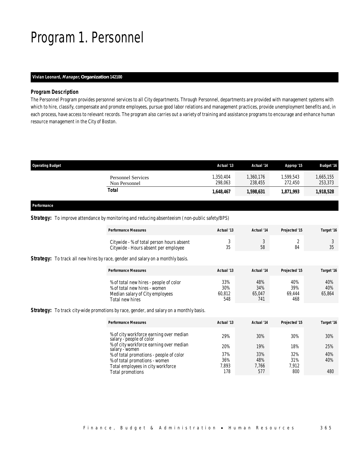## Program 1. Personnel

#### *Vivian Leonard, Manager, Organization 142100*

#### *Program Description*

The Personnel Program provides personnel services to all City departments. Through Personnel, departments are provided with management systems with which to hire, classify, compensate and promote employees, pursue good labor relations and management practices, provide unemployment benefits and, in each process, have access to relevant records. The program also carries out a variety of training and assistance programs to encourage and enhance human resource management in the City of Boston.

| <b>Operating Budget</b>                    | Actual '13          | Actual '14           | Approp '15           | <b>Budget '16</b>   |
|--------------------------------------------|---------------------|----------------------|----------------------|---------------------|
| <b>Personnel Services</b><br>Non Personnel | ,350,404<br>298.063 | 1,360,176<br>238,455 | 1.599.543<br>272.450 | ,665,155<br>253,373 |
| Total                                      | 1,648,467           | 1,598,631            | 1.871.993            | 1,918,528           |

#### *Performance*

#### **Strategy:** To improve attendance by monitoring and reducing absenteeism (non-public safety/BPS)

| <b>Performance Measures</b>                                                       | Actual '13 | Actual '14 | Projected '15 | Target '16 |
|-----------------------------------------------------------------------------------|------------|------------|---------------|------------|
| Citywide - % of total person hours absent<br>Citywide - Hours absent per employee | २६         | 58         | 84            |            |

#### Strategy: To track all new hires by race, gender and salary on a monthly basis.

| <b>Performance Measures</b>                                                                                                  | Actual '13                  | Actual '14                  | Projected '15               | Target '16           |
|------------------------------------------------------------------------------------------------------------------------------|-----------------------------|-----------------------------|-----------------------------|----------------------|
| % of total new hires - people of color<br>% of total new hires - women<br>Median salary of City employees<br>Total new hires | 33%<br>30%<br>60.812<br>548 | 48%<br>34%<br>65.047<br>741 | 40%<br>39%<br>69.444<br>468 | 40%<br>40%<br>65.864 |

### **Strategy:** To track city-wide promotions by race, gender, and salary on a monthly basis.

| <b>Performance Measures</b>                                         | Actual '13 | Actual '14 | Projected '15 | Target '16 |
|---------------------------------------------------------------------|------------|------------|---------------|------------|
| % of city workforce earning over median<br>salary - people of color | 29%        | 30%        | 30%           | 30%        |
| % of city workforce earning over median<br>salary - women           | 20%        | 19%        | 18%           | 25%        |
| % of total promotions - people of color                             | 37%        | 33%        | 32%           | 40%        |
| % of total promotions - women                                       | 36%        | 48%        | 31%           | 40%        |
| Total employees in city workforce                                   | 7,893      | 7,766      | 7.912         |            |
| Total promotions                                                    | 178        | 577        | 800           | 480        |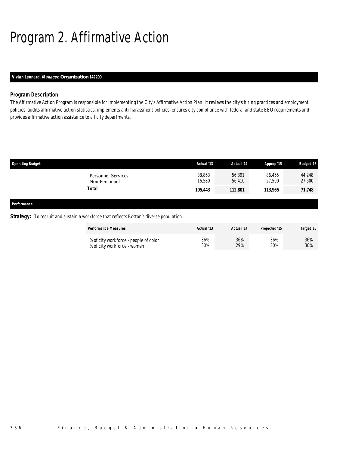# Program 2. Affirmative Action

## *Vivian Leonard, Manager, Organization 142200*

#### *Program Description*

The Affirmative Action Program is responsible for implementing the City's Affirmative Action Plan. It reviews the city's hiring practices and employment policies, audits affirmative action statistics, implements anti-harassment policies, ensures city compliance with federal and state EEO requirements and provides affirmative action assistance to all city departments.

| <b>Operating Budget</b>                    | Actual '13       | Actual '14       | Approp '15       | <b>Budget '16</b> |
|--------------------------------------------|------------------|------------------|------------------|-------------------|
| <b>Personnel Services</b><br>Non Personnel | 88,863<br>16,580 | 56,391<br>56,410 | 86,465<br>27,500 | 44,248<br>27,500  |
| Total                                      | 105,443          | 112,801          | 113,965          | 71,748            |
|                                            |                  |                  |                  |                   |
| Performance                                |                  |                  |                  |                   |

#### **Strategy:** To recruit and sustain a workforce that reflects Boston's diverse population.

| <b>Performance Measures</b>           | Actual '13 | Actual '14 | Projected '15 | Target '16 |
|---------------------------------------|------------|------------|---------------|------------|
| % of city workforce - people of color | 36%        | 36%        | 36%           | 36%        |
| % of city workforce - women           | 30%        | 29%        | 30%           | 30%        |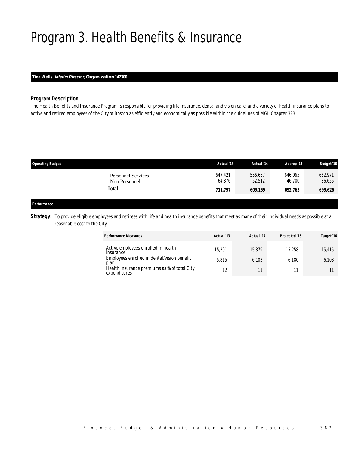## Program 3. Health Benefits & Insurance

## *Tina Wells, Interim Director, Organization 142300*

#### *Program Description*

The Health Benefits and Insurance Program is responsible for providing life insurance, dental and vision care, and a variety of health insurance plans to active and retired employees of the City of Boston as efficiently and economically as possible within the guidelines of MGL Chapter 32B.

| <b>Operating Budget</b>                    | Actual '13        | Actual '14        | Approp '15        | <b>Budget '16</b> |
|--------------------------------------------|-------------------|-------------------|-------------------|-------------------|
| <b>Personnel Services</b><br>Non Personnel | 647,421<br>64.376 | 556,657<br>52,512 | 646,065<br>46,700 | 662,971<br>36,655 |
| Total                                      | 711,797           | 609,169           | 692.765           | 699,626           |
|                                            |                   |                   |                   |                   |

#### *Performance*

Strategy: To provide eligible employees and retirees with life and health insurance benefits that meet as many of their individual needs as possible at a reasonable cost to the City.

| <b>Performance Measures</b>                                  | Actual '13 | Actual '14 | Projected '15 | Target '16 |
|--------------------------------------------------------------|------------|------------|---------------|------------|
| Active employees enrolled in health<br>insurance             | 15.291     | 15,379     | 15,258        | 15.415     |
| Employees enrolled in dental/vision benefit<br>plan          | 5.815      | 6.103      | 6.180         | 6,103      |
| Health insurance premiums as % of total City<br>expenditures |            |            |               |            |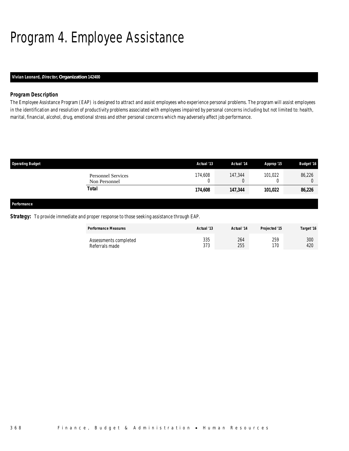# Program 4. Employee Assistance

## *Vivian Leonard, Director, Organization 142400*

#### *Program Description*

The Employee Assistance Program (EAP) is designed to attract and assist employees who experience personal problems. The program will assist employees in the identification and resolution of productivity problems associated with employees impaired by personal concerns including but not limited to: health, marital, financial, alcohol, drug, emotional stress and other personal concerns which may adversely affect job performance.

| <b>Operating Budget</b>                    | Actual '13              | Actual '14 | Approp '15 | <b>Budget '16</b> |
|--------------------------------------------|-------------------------|------------|------------|-------------------|
| <b>Personnel Services</b><br>Non Personnel | 174,608<br>$\mathbf{0}$ | 147,344    | 101,022    | 86,226            |
| <b>Total</b>                               | 174,608                 | 147,344    | 101,022    | 86,226            |
|                                            |                         |            |            |                   |
| Performance                                |                         |            |            |                   |

**Strategy:** To provide immediate and proper response to those seeking assistance through EAP.

|                | <b>Performance Measures</b> | Actual '13          | Actual '14 | Projected '15 | Target '16 |
|----------------|-----------------------------|---------------------|------------|---------------|------------|
| Referrals made | Assessments completed       | 335<br>つつつ<br>J I J | 264<br>255 | 259<br>170    | 300<br>420 |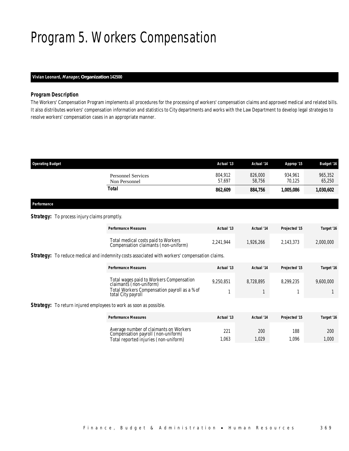# Program 5. Workers Compensation

### *Vivian Leonard, Manager, Organization 142500*

#### *Program Description*

The Workers' Compensation Program implements all procedures for the processing of workers' compensation claims and approved medical and related bills. It also distributes workers' compensation information and statistics to City departments and works with the Law Department to develop legal strategies to resolve workers' compensation cases in an appropriate manner.

| <b>Operating Budget</b>             | Actual '13        | Actual '14        | Approp '15        | <b>Budget '16</b> |
|-------------------------------------|-------------------|-------------------|-------------------|-------------------|
| Personnel Services<br>Non Personnel | 804.912<br>57.697 | 826,000<br>58.756 | 934.961<br>70.125 | 965,352<br>65,250 |
| Total                               | 862,609           | 884,756           | 1.005.086         | 1,030,602         |

### *Performance*

### **Strategy:** To process injury claims promptly.

| <b>Performance Measures</b>                                                 | Actual '13 | Actual '14 | <b>Projected '15</b> | Target '16 |
|-----------------------------------------------------------------------------|------------|------------|----------------------|------------|
| Total medical costs paid to Workers<br>Compensation claimants (non-uniform) | 2.241.944  | 1,926.266  | 2.143.373            | 2,000,000  |

**Strategy:** To reduce medical and indemnity costs associated with workers' compensation claims.

| <b>Performance Measures</b>                                         | Actual '13 | Actual '14 | Projected '15 | Target '16 |
|---------------------------------------------------------------------|------------|------------|---------------|------------|
| Total wages paid to Workers Compensation<br>claimants (non-uniform) | 9.250.851  | 8.728.895  | 8.299.235     | 9.600.000  |
| Total Workers Compensation payroll as a % of<br>total City payroll  |            |            |               |            |

*Strategy:* To return injured employees to work as soon as possible.

| <b>Performance Measures</b>                                                  | Actual '13      | Actual '14 | Projected '15 | Target '16 |
|------------------------------------------------------------------------------|-----------------|------------|---------------|------------|
| Average number of claimants on Workers<br>Compensation payroll (non-uniform) | 22 <sup>1</sup> | 200        | 188           | 200        |
| Total reported injuries (non-uniform)                                        | 063             | .029       | .096          | 000.       |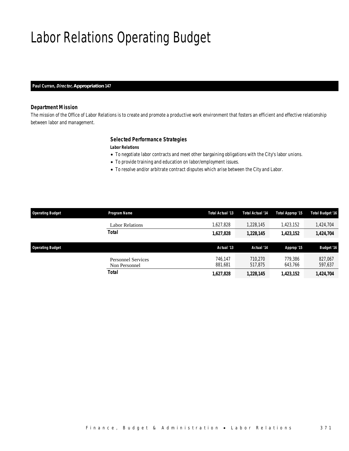## Labor Relations Operating Budget

#### *Paul Curran, Director, Appropriation 147*

#### *Department Mission*

The mission of the Office of Labor Relations is to create and promote a productive work environment that fosters an efficient and effective relationship between labor and management.

### *Selected Performance Strategies*

*Labor Relations* 

- To negotiate labor contracts and meet other bargaining obligations with the City's labor unions.
- To provide training and education on labor/employment issues.
- To resolve and/or arbitrate contract disputes which arise between the City and Labor.

| <b>Operating Budget</b> | Program Name              | Total Actual '13 | <b>Total Actual '14</b> | Total Approp '15 | <b>Total Budget '16</b> |
|-------------------------|---------------------------|------------------|-------------------------|------------------|-------------------------|
|                         | <b>Labor Relations</b>    | 1,627,828        | 1,228,145               | 1,423,152        | 1,424,704               |
|                         | <b>Total</b>              | 1,627,828        | 1,228,145               | 1,423,152        | 1,424,704               |
| <b>Operating Budget</b> |                           | Actual '13       | Actual '14              | Approp '15       | <b>Budget '16</b>       |
|                         | <b>Personnel Services</b> | 746.147          | 710.270                 | 779.386          | 827.067                 |
|                         | Non Personnel             | 881.681          | 517.875                 | 643,766          | 597,637                 |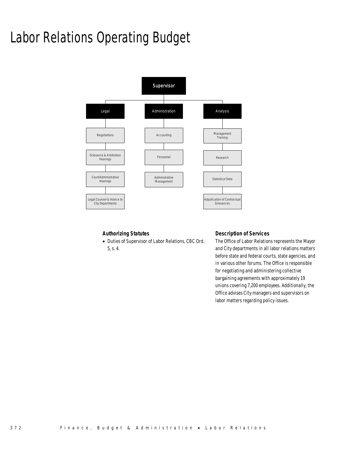## Labor Relations Operating Budget



## *Authorizing Statutes*

• Duties of Supervisor of Labor Relations, CBC Ord. 5, s. 4.

### *Description of Services*

The Office of Labor Relations represents the Mayor and City departments in all labor relations matters before state and federal courts, state agencies, and in various other forums. The Office is responsible for negotiating and administering collective bargaining agreements with approximately 19 unions covering 7,200 employees. Additionally, the Office advises City managers and supervisors on labor matters regarding policy issues.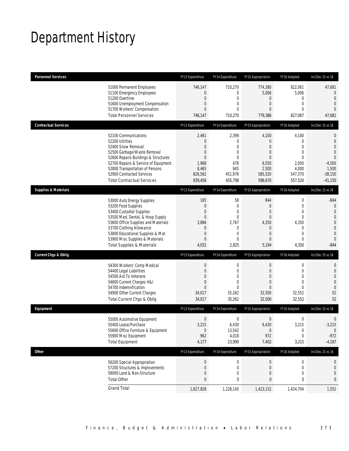## Department History

| <b>Personnel Services</b>       |                                                                                                                                                                                                                                                                                                      | FY13 Expenditure                                                                                                    | FY14 Expenditure                                                                                 | FY15 Appropriation                                                                                                 | FY16 Adopted                                                                                                     | Inc/Dec 15 vs 16                                                                                                      |
|---------------------------------|------------------------------------------------------------------------------------------------------------------------------------------------------------------------------------------------------------------------------------------------------------------------------------------------------|---------------------------------------------------------------------------------------------------------------------|--------------------------------------------------------------------------------------------------|--------------------------------------------------------------------------------------------------------------------|------------------------------------------------------------------------------------------------------------------|-----------------------------------------------------------------------------------------------------------------------|
|                                 | 51000 Permanent Employees<br>51100 Emergency Employees<br>51200 Overtime<br>51600 Unemployment Compensation<br>51700 Workers' Compensation<br><b>Total Personnel Services</b>                                                                                                                        | 746,147<br>$\overline{0}$<br>0<br>$\overline{0}$<br>$\overline{0}$<br>746,147                                       | 710,270<br>0<br>$\mathbf 0$<br>$\mathbf 0$<br>$\mathbf 0$<br>710,270                             | 774,380<br>5,006<br>$\mathbf 0$<br>$\mathbf{0}$<br>$\overline{0}$<br>779,386                                       | 822,061<br>5,006<br>$\mathbf 0$<br>$\mathbf{0}$<br>$\Omega$<br>827,067                                           | 47,681<br>0<br>$\theta$<br>$\overline{0}$<br>$\Omega$<br>47,681                                                       |
| <b>Contractual Services</b>     |                                                                                                                                                                                                                                                                                                      | FY13 Expenditure                                                                                                    | FY14 Expenditure                                                                                 | FY15 Appropriation                                                                                                 | FY16 Adopted                                                                                                     | Inc/Dec 15 vs 16                                                                                                      |
|                                 | 52100 Communications<br>52200 Utilities<br>52400 Snow Removal<br>52500 Garbage/Waste Removal<br>52600 Repairs Buildings & Structures<br>52700 Repairs & Service of Equipment<br>52800 Transportation of Persons<br>52900 Contracted Services<br><b>Total Contractual Services</b>                    | 2,461<br>0<br>$\Omega$<br>0<br>$\overline{0}$<br>1,968<br>8,465<br>826,562<br>839,456                               | 2,399<br>0<br>$\mathbf 0$<br>0<br>$\mathbf{0}$<br>478<br>945<br>451,976<br>455,798               | 4,100<br>$\mathbf 0$<br>$\overline{0}$<br>$\overline{0}$<br>$\overline{0}$<br>6,550<br>2,500<br>585,520<br>598,670 | 4,100<br>$\mathbf{0}$<br>$\mathbf 0$<br>$\overline{0}$<br>$\theta$<br>2,050<br>4,000<br>547,370<br>557,520       | 0<br>$\mathbf 0$<br>$\overline{0}$<br>$\overline{0}$<br>$\overline{0}$<br>$-4,500$<br>1,500<br>$-38,150$<br>$-41,150$ |
| <b>Supplies &amp; Materials</b> |                                                                                                                                                                                                                                                                                                      | FY13 Expenditure                                                                                                    | FY14 Expenditure                                                                                 | FY15 Appropriation                                                                                                 | FY16 Adopted                                                                                                     | Inc/Dec 15 vs 16                                                                                                      |
|                                 | 53000 Auto Energy Supplies<br>53200 Food Supplies<br>53400 Custodial Supplies<br>53500 Med, Dental, & Hosp Supply<br>53600 Office Supplies and Materials<br>53700 Clothing Allowance<br>53800 Educational Supplies & Mat<br>53900 Misc Supplies & Materials<br><b>Total Supplies &amp; Materials</b> | 165<br>$\boldsymbol{0}$<br>$\overline{0}$<br>$\overline{0}$<br>3,866<br>0<br>$\mathbf 0$<br>$\overline{0}$<br>4,031 | 58<br>$\mathbf 0$<br>$\mathbf 0$<br>$\overline{0}$<br>2,767<br>0<br>0<br>$\mathbf 0$<br>2,825    | 844<br>$\overline{0}$<br>$\overline{0}$<br>$\overline{0}$<br>4,350<br>$\mathbf 0$<br>$\overline{0}$<br>0<br>5,194  | 0<br>$\mathbf{0}$<br>$\mathbf{0}$<br>$\mathbf 0$<br>4,350<br>$\mathbf 0$<br>$\mathbf{0}$<br>$\mathbf 0$<br>4,350 | -844<br>$\theta$<br>$\overline{0}$<br>$\overline{0}$<br>0<br>$\mathbf 0$<br>$\mathbf 0$<br>$\Omega$<br>$-844$         |
| <b>Current Chgs &amp; Oblig</b> |                                                                                                                                                                                                                                                                                                      | FY13 Expenditure                                                                                                    | FY14 Expenditure                                                                                 | FY15 Appropriation                                                                                                 | FY16 Adopted                                                                                                     | Inc/Dec 15 vs 16                                                                                                      |
|                                 | 54300 Workers' Comp Medical<br>54400 Legal Liabilities<br>54500 Aid To Veterans<br>54600 Current Charges H&I<br>54700 Indemnification<br>54900 Other Current Charges<br>Total Current Chgs & Oblig                                                                                                   | $\boldsymbol{0}$<br>$\mathbf 0$<br>0<br>$\mathbf 0$<br>$\overline{0}$<br>34,017<br>34,017                           | $\boldsymbol{0}$<br>$\mathbf 0$<br>$\mathbf 0$<br>$\mathbf 0$<br>$\mathbf 0$<br>35,262<br>35,262 | $\boldsymbol{0}$<br>$\mathbf 0$<br>$\overline{0}$<br>$\overline{0}$<br>0<br>32,500<br>32,500                       | 0<br>$\mathbf 0$<br>$\mathbf{0}$<br>$\mathbf{0}$<br>$\theta$<br>32,552<br>32,552                                 | 0<br>$\mathbf 0$<br>$\overline{0}$<br>$\mathbf 0$<br>$\mathbf 0$<br>52<br>52                                          |
| Equipment                       |                                                                                                                                                                                                                                                                                                      | FY13 Expenditure                                                                                                    | FY14 Expenditure                                                                                 | FY15 Appropriation                                                                                                 | FY16 Adopted                                                                                                     | Inc/Dec 15 vs 16                                                                                                      |
|                                 | 55000 Automotive Equipment<br>55400 Lease/Purchase<br>55600 Office Furniture & Equipment<br>55900 Misc Equipment<br><b>Total Equipment</b>                                                                                                                                                           | $\boldsymbol{0}$<br>3,215<br>$\theta$<br>962<br>4,177                                                               | 0<br>6,430<br>13,542<br>4,018<br>23,990                                                          | $\boldsymbol{0}$<br>6,430<br>$\theta$<br>972<br>7,402                                                              | 0<br>3,215<br>$\boldsymbol{0}$<br>0<br>3,215                                                                     | 0<br>$-3,215$<br>$\theta$<br>$-972$<br>$-4,187$                                                                       |
| Other                           |                                                                                                                                                                                                                                                                                                      | FY13 Expenditure                                                                                                    | FY14 Expenditure                                                                                 | FY15 Appropriation                                                                                                 | FY16 Adopted                                                                                                     | Inc/Dec 15 vs 16                                                                                                      |
|                                 | 56200 Special Appropriation<br>57200 Structures & Improvements<br>58000 Land & Non-Structure<br><b>Total Other</b>                                                                                                                                                                                   | $\boldsymbol{0}$<br>0<br>0<br>0                                                                                     | 0<br>0<br>$\mathbf 0$<br>0                                                                       | $\theta$<br>$\theta$<br>$\mathbf 0$<br>0                                                                           | 0<br>0<br>$\mathbf 0$<br>0                                                                                       | 0<br>0<br>0<br>0                                                                                                      |
|                                 | <b>Grand Total</b>                                                                                                                                                                                                                                                                                   | 1,627,828                                                                                                           | 1,228,145                                                                                        | 1,423,152                                                                                                          | 1,424,704                                                                                                        | 1,552                                                                                                                 |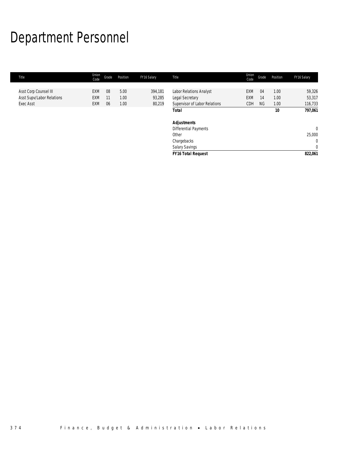# Department Personnel

| Title                            | Union<br>Code | Grade | Position | FY16 Salary | Title                         | Union<br>Code | Grade     | Position | FY16 Salary  |
|----------------------------------|---------------|-------|----------|-------------|-------------------------------|---------------|-----------|----------|--------------|
|                                  |               |       |          |             |                               |               |           |          |              |
| Asst Corp Counsel III            | <b>EXM</b>    | 08    | 5.00     | 394,181     | Labor Relations Analyst       | <b>EXM</b>    | 04        | 1.00     | 59,326       |
| <b>Asst Supv/Labor Relations</b> | <b>EXM</b>    | - 11  | 1.00     | 93,285      | Legal Secretary               | <b>EXM</b>    | 14        | 1.00     | 53,317       |
| <b>Exec Asst</b>                 | <b>EXM</b>    | 06    | 1.00     | 80,219      | Supervisor of Labor Relations | <b>CDH</b>    | <b>NG</b> | 1.00     | 116,733      |
|                                  |               |       |          |             | <b>Total</b>                  |               |           | 10       | 797,061      |
|                                  |               |       |          |             | <b>Adjustments</b>            |               |           |          |              |
|                                  |               |       |          |             | Differential Payments         |               |           |          | $\Omega$     |
|                                  |               |       |          |             | Other                         |               |           |          | 25,000       |
|                                  |               |       |          |             | Chargebacks                   |               |           |          | $\mathbf 0$  |
|                                  |               |       |          |             | Salary Savings                |               |           |          | $\mathbf{0}$ |
|                                  |               |       |          |             | <b>FY16 Total Request</b>     |               |           |          | 822,061      |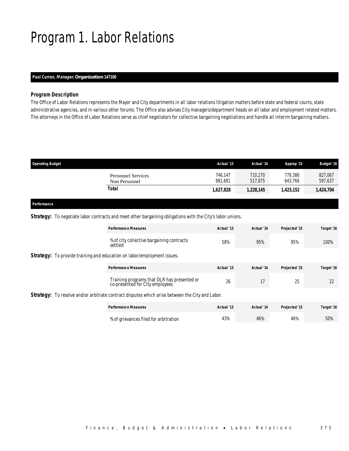## Program 1. Labor Relations

### *Paul Curran, Manager, Organization 147100*

#### *Program Description*

The Office of Labor Relations represents the Mayor and City departments in all labor relations litigation matters before state and federal courts, state administrative agencies, and in various other forums. The Office also advises City managers/department heads on all labor and employment related matters. The attorneys in the Office of Labor Relations serve as chief negotiators for collective bargaining negotiations and handle all interim bargaining matters.

| <b>Operating Budget</b>                    | Actual '13         | Actual '14         | Approp '15         | <b>Budget '16</b>  |
|--------------------------------------------|--------------------|--------------------|--------------------|--------------------|
| <b>Personnel Services</b><br>Non Personnel | 746.147<br>881.681 | 710.270<br>517.875 | 779,386<br>643.766 | 827,067<br>597,637 |
| Total                                      | 1,627,828          | 1,228,145          | 1,423,152          | 1,424,704          |
|                                            |                    |                    |                    |                    |

## *Performance*

**Strategy:** To negotiate labor contracts and meet other bargaining obligations with the City's labor unions.

|  | <b>Performance Measures</b>                                                                            | Actual '13 | Actual '14 | Projected '15 | Target '16 |
|--|--------------------------------------------------------------------------------------------------------|------------|------------|---------------|------------|
|  | % of city collective bargaining contracts<br>settled                                                   | 58%        | 95%        | 95%           | 100%       |
|  | <b>Strategy:</b> To provide training and education on labor/employment issues.                         |            |            |               |            |
|  | <b>Performance Measures</b>                                                                            | Actual '13 | Actual '14 | Projected '15 | Target '16 |
|  | Training programs that OLR has presented or<br>co-presented for City employees                         | 26         | 17         | 25            | 22         |
|  | <b>Strategy:</b> To resolve and/or arbitrate contract disputes which arise between the City and Labor. |            |            |               |            |

| <b>Performance Measures</b>           | Actual '13 | Actual '14 | Projected '15 | Target '16 |
|---------------------------------------|------------|------------|---------------|------------|
| % of grievances filed for arbitration | 43%        | 46%        | 46%           | 50%        |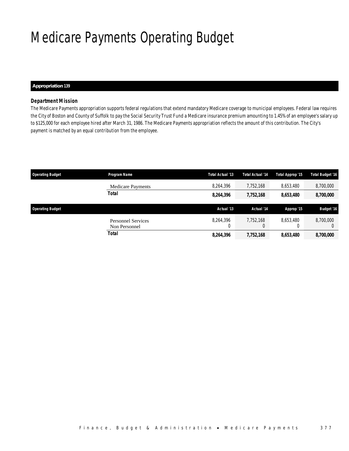# Medicare Payments Operating Budget

#### *Appropriation 139*

### *Department Mission*

The Medicare Payments appropriation supports federal regulations that extend mandatory Medicare coverage to municipal employees. Federal law requires the City of Boston and County of Suffolk to pay the Social Security Trust Fund a Medicare insurance premium amounting to 1.45% of an employee's salary up to \$125,000 for each employee hired after March 31, 1986. The Medicare Payments appropriation reflects the amount of this contribution. The City's payment is matched by an equal contribution from the employee.

| <b>Operating Budget</b> | Program Name                               | Total Actual '13 | <b>Total Actual '14</b> | Total Approp '15 | <b>Total Budget '16</b> |
|-------------------------|--------------------------------------------|------------------|-------------------------|------------------|-------------------------|
|                         | <b>Medicare Payments</b>                   | 8,264,396        | 7,752,168               | 8.653.480        | 8,700,000               |
|                         | Total                                      | 8,264,396        | 7,752,168               | 8,653,480        | <i>8,700,000</i>        |
| <b>Operating Budget</b> |                                            | Actual '13       | Actual '14              | Approp '15       | <b>Budget '16</b>       |
|                         | <b>Personnel Services</b><br>Non Personnel | 8,264,396        | 7.752.168<br>0          | 8.653.480        | 8,700,000               |
|                         | Total                                      | 8,264,396        | 7,752,168               | 8,653,480        | <i>8,700,000</i>        |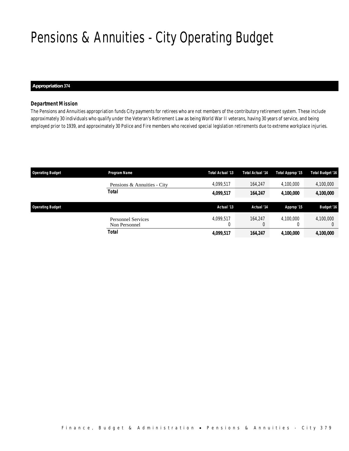# Pensions & Annuities - City Operating Budget

*Appropriation 374* 

#### *Department Mission*

The Pensions and Annuities appropriation funds City payments for retirees who are not members of the contributory retirement system. These include approximately 30 individuals who qualify under the Veteran's Retirement Law as being World War II veterans, having 30 years of service, and being employed prior to 1939, and approximately 30 Police and Fire members who received special legislation retirements due to extreme workplace injuries.

| <b>Operating Budget</b> | Program Name                               | Total Actual '13 | <b>Total Actual '14</b> | Total Approp '15 | <b>Total Budget '16</b> |
|-------------------------|--------------------------------------------|------------------|-------------------------|------------------|-------------------------|
|                         | Pensions & Annuities - City                | 4,099,517        | 164.247                 | 4,100,000        | 4,100,000               |
|                         | <b>Total</b>                               | 4,099,517        | 164,247                 | 4,100,000        | 4,100,000               |
| <b>Operating Budget</b> |                                            | Actual '13       | Actual '14              | Approp '15       | <b>Budget '16</b>       |
|                         | <b>Personnel Services</b><br>Non Personnel | 4.099.517        | 164.247<br>C            | 4.100.000        | 4.100.000               |
|                         | Total                                      | 4,099,517        | 164,247                 | 4,100,000        | 4,100,000               |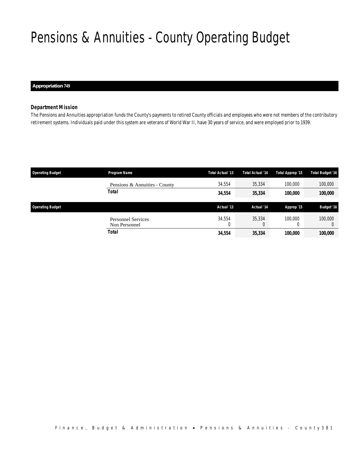# Pensions & Annuities - County Operating Budget

*Appropriation 749* 

### *Department Mission*

The Pensions and Annuities appropriation funds the County's payments to retired County officials and employees who were not members of the contributory retirement systems. Individuals paid under this system are veterans of World War II, have 30 years of service, and were employed prior to 1939.

| <b>Operating Budget</b> | Program Name                               | Total Actual '13 | <b>Total Actual '14</b> | Total Approp '15 | <b>Total Budget '16</b> |
|-------------------------|--------------------------------------------|------------------|-------------------------|------------------|-------------------------|
|                         | Pensions & Annuities - County              | 34.554           | 35,334                  | 100,000          | 100,000                 |
|                         | <b>Total</b>                               | 34,554           | 35,334                  | 100,000          | 100,000                 |
| <b>Operating Budget</b> |                                            | Actual '13       | Actual '14              | Approp '15       | <b>Budget '16</b>       |
|                         | <b>Personnel Services</b><br>Non Personnel | 34,554           | 35,334<br>$\Omega$      | 100,000          | 100,000                 |
|                         | <b>Total</b>                               | 34,554           | 35,334                  | 100.000          | <i><b>100,000</b></i>   |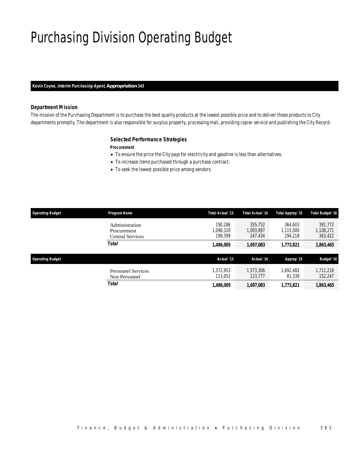# Purchasing Division Operating Budget

### *Kevin Coyne, Interim Purchasing Agent, Appropriation 143*

#### *Department Mission*

The mission of the Purchasing Department is to purchase the best quality products at the lowest possible price and to deliver those products to City departments promptly. The department is also responsible for surplus property, processing mail, providing copier service and publishing the City Record.

### *Selected Performance Strategies*

#### *Procurement*

- To ensure the price the City pays for electricity and gasoline is less than alternatives.
- To increase items purchased through a purchase contract.
- To seek the lowest possible price among vendors.

| <b>Operating Budget</b> | Program Name                                                    | Total Actual '13                | <b>Total Actual '14</b>         | Total Approp '15                | <b>Total Budget '16</b>         |
|-------------------------|-----------------------------------------------------------------|---------------------------------|---------------------------------|---------------------------------|---------------------------------|
|                         | Administration<br><b>Procurement</b><br><b>Central Services</b> | 190.286<br>1.096.320<br>199.399 | 355,752<br>1,093,897<br>247,434 | 364.603<br>1.115.000<br>294.218 | 391,772<br>1,108,271<br>363,422 |
|                         | Total                                                           | 1,486,005                       | 1,697,083                       | 1,773,821                       | 1,863,465                       |
| <b>Operating Budget</b> |                                                                 | Actual '13                      | Actual '14                      | Approp '15                      | <b>Budget '16</b>               |
|                         | <b>Personnel Services</b><br>Non Personnel                      | 1,372,953<br>113.052            | 1.573.306<br>123,777            | 1,692,482<br>81.339             | 1,711,218<br>152,247            |
|                         | Total                                                           | 1,486,005                       | 1,697,083                       | 1,773,821                       | 1,863,465                       |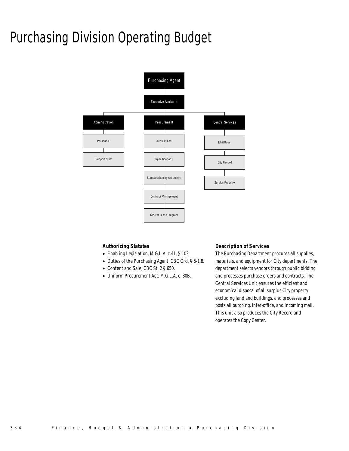## Purchasing Division Operating Budget



## *Authorizing Statutes*

- Enabling Legislation, M.G.L.A. c.41, § 103.
- Duties of the Purchasing Agent, CBC Ord. § 5-1.8.
- Content and Sale, CBC St. 2 § 650.
- Uniform Procurement Act, M.G.L.A. c. 30B.

#### *Description of Services*

The Purchasing Department procures all supplies, materials, and equipment for City departments. The department selects vendors through public bidding and processes purchase orders and contracts. The Central Services Unit ensures the efficient and economical disposal of all surplus City property excluding land and buildings, and processes and posts all outgoing, inter-office, and incoming mail. This unit also produces the City Record and operates the Copy Center.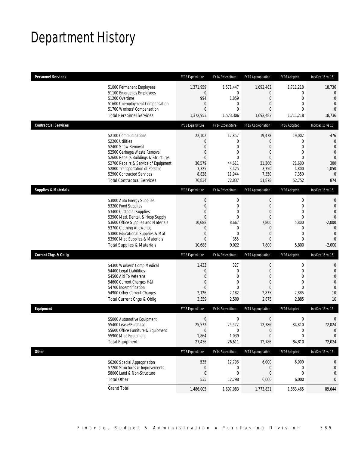## Department History

| <b>Personnel Services</b>       |                                                                                                                                                                                                                                                                                                      | FY13 Expenditure                                                                                                    | FY14 Expenditure                                                                              | FY15 Appropriation                                                                                                       | FY16 Adopted                                                                                                                           | Inc/Dec 15 vs 16                                                                                                                             |
|---------------------------------|------------------------------------------------------------------------------------------------------------------------------------------------------------------------------------------------------------------------------------------------------------------------------------------------------|---------------------------------------------------------------------------------------------------------------------|-----------------------------------------------------------------------------------------------|--------------------------------------------------------------------------------------------------------------------------|----------------------------------------------------------------------------------------------------------------------------------------|----------------------------------------------------------------------------------------------------------------------------------------------|
|                                 | 51000 Permanent Employees<br>51100 Emergency Employees<br>51200 Overtime<br>51600 Unemployment Compensation<br>51700 Workers' Compensation<br><b>Total Personnel Services</b>                                                                                                                        | 1,371,959<br>$\mathbf 0$<br>994<br>$\mathbf 0$<br>$\overline{0}$                                                    | 1,571,447<br>0<br>1,859<br>$\mathbf 0$<br>$\overline{0}$<br>1,573,306                         | 1,692,482<br>$\mathbf{0}$<br>$\overline{0}$<br>$\mathbf{0}$<br>0<br>1,692,482                                            | 1,711,218<br>0<br>$\mathbf 0$<br>$\mathbf{0}$<br>$\mathbf{0}$                                                                          | 18,736<br>$\overline{0}$<br>$\mathbf{0}$<br>$\overline{0}$<br>$\Omega$<br>18,736                                                             |
| <b>Contractual Services</b>     |                                                                                                                                                                                                                                                                                                      | 1,372,953<br>FY13 Expenditure                                                                                       | FY14 Expenditure                                                                              | FY15 Appropriation                                                                                                       | 1,711,218<br>FY16 Adopted                                                                                                              | Inc/Dec 15 vs 16                                                                                                                             |
|                                 | 52100 Communications<br>52200 Utilities<br>52400 Snow Removal<br>52500 Garbage/Waste Removal<br>52600 Repairs Buildings & Structures                                                                                                                                                                 | 22,102<br>0<br>$\boldsymbol{0}$<br>$\mathbf 0$<br>$\overline{0}$                                                    | 12,857<br>0<br>$\overline{0}$<br>$\mathbf 0$<br>$\Omega$                                      | 19,478<br>0<br>0<br>$\mathbf{0}$<br>$\mathbf{0}$                                                                         | 19,002<br>$\mathbf{0}$<br>$\mathbf 0$<br>$\mathbf 0$<br>$\mathbf{0}$                                                                   | -476<br>$\mathbf 0$<br>$\overline{0}$<br>$\overline{0}$<br>$\mathbf 0$                                                                       |
| <b>Supplies &amp; Materials</b> | 52700 Repairs & Service of Equipment<br>52800 Transportation of Persons<br>52900 Contracted Services<br><b>Total Contractual Services</b>                                                                                                                                                            | 36,579<br>3,325<br>8,828<br>70,834<br>FY13 Expenditure                                                              | 44,611<br>3,425<br>11,944<br>72,837<br>FY14 Expenditure                                       | 21,300<br>3,750<br>7,350<br>51,878                                                                                       | 21,600<br>4,800<br>7,350<br>52,752                                                                                                     | 300<br>1,050<br>$\mathbf{0}$<br>874<br>Inc/Dec 15 vs 16                                                                                      |
|                                 | 53000 Auto Energy Supplies<br>53200 Food Supplies<br>53400 Custodial Supplies<br>53500 Med, Dental, & Hosp Supply<br>53600 Office Supplies and Materials<br>53700 Clothing Allowance<br>53800 Educational Supplies & Mat<br>53900 Misc Supplies & Materials<br><b>Total Supplies &amp; Materials</b> | $\boldsymbol{0}$<br>$\overline{0}$<br>0<br>$\overline{0}$<br>10,688<br>0<br>$\mathbf 0$<br>$\overline{0}$<br>10,688 | $\mathbf 0$<br>$\mathbf 0$<br>0<br>$\mathbf 0$<br>8,667<br>0<br>$\mathbf{0}$<br>355<br>9,022  | FY15 Appropriation<br>$\boldsymbol{0}$<br>$\overline{0}$<br>0<br>$\mathbf{0}$<br>7,800<br>$\mathbf 0$<br>0<br>0<br>7,800 | FY16 Adopted<br>$\boldsymbol{0}$<br>$\mathbf{0}$<br>$\mathbf{0}$<br>$\mathbf 0$<br>5,800<br>0<br>$\mathbf{0}$<br>$\mathbf{0}$<br>5,800 | $\mathbf{0}$<br>$\mathbf{0}$<br>$\overline{0}$<br>$\overline{0}$<br>$-2,000$<br>$\mathbf{0}$<br>$\overline{0}$<br>$\overline{0}$<br>$-2,000$ |
| <b>Current Chgs &amp; Oblig</b> | 54300 Workers' Comp Medical<br>54400 Legal Liabilities<br>54500 Aid To Veterans<br>54600 Current Charges H&I<br>54700 Indemnification<br>54900 Other Current Charges<br>Total Current Chgs & Oblig                                                                                                   | FY13 Expenditure<br>1,433<br>0<br>$\overline{0}$<br>$\boldsymbol{0}$<br>$\overline{0}$<br>2,126<br>3,559            | FY14 Expenditure<br>327<br>$\mathbf 0$<br>0<br>$\mathbf{0}$<br>$\mathbf{0}$<br>2,182<br>2,509 | FY15 Appropriation<br>$\boldsymbol{0}$<br>$\overline{0}$<br>0<br>$\overline{0}$<br>0<br>2,875<br>2,875                   | FY16 Adopted<br>0<br>$\mathbf 0$<br>$\mathbf{0}$<br>$\mathbf{0}$<br>$\mathbf{0}$<br>2,885<br>2,885                                     | Inc/Dec 15 vs 16<br>$\mathbf 0$<br>$\mathbf 0$<br>$\mathbf{0}$<br>$\mathbf{0}$<br>$\theta$<br>10<br>10                                       |
| Equipment                       | 55000 Automotive Equipment<br>55400 Lease/Purchase<br>55600 Office Furniture & Equipment<br>55900 Misc Equipment<br><b>Total Equipment</b>                                                                                                                                                           | FY13 Expenditure<br>$\boldsymbol{0}$<br>25,572<br>0<br>1,864<br>27,436                                              | FY14 Expenditure<br>0<br>25,572<br>0<br>1,039<br>26,611                                       | FY15 Appropriation<br>$\boldsymbol{0}$<br>12,786<br>$\boldsymbol{0}$<br>$\mathbf 0$<br>12,786                            | FY16 Adopted<br>$\boldsymbol{0}$<br>84,810<br>0<br>$\boldsymbol{0}$<br>84,810                                                          | Inc/Dec 15 vs 16<br>$\mathbf 0$<br>72,024<br>$\mathbf 0$<br>0<br>72,024                                                                      |
| Other                           |                                                                                                                                                                                                                                                                                                      | FY13 Expenditure                                                                                                    | FY14 Expenditure                                                                              | FY15 Appropriation                                                                                                       | FY16 Adopted                                                                                                                           | Inc/Dec 15 vs 16                                                                                                                             |
|                                 | 56200 Special Appropriation<br>57200 Structures & Improvements<br>58000 Land & Non-Structure<br><b>Total Other</b>                                                                                                                                                                                   | 535<br>0<br>0<br>535                                                                                                | 12,798<br>0<br>0<br>12,798                                                                    | 6,000<br>0<br>$\mathbf{0}$<br>6,000                                                                                      | 6,000<br>0<br>$\mathbf{0}$<br>6,000                                                                                                    | 0<br>0<br>0<br>0                                                                                                                             |
|                                 | <b>Grand Total</b>                                                                                                                                                                                                                                                                                   | 1,486,005                                                                                                           | 1,697,083                                                                                     | 1,773,821                                                                                                                | 1,863,465                                                                                                                              | 89,644                                                                                                                                       |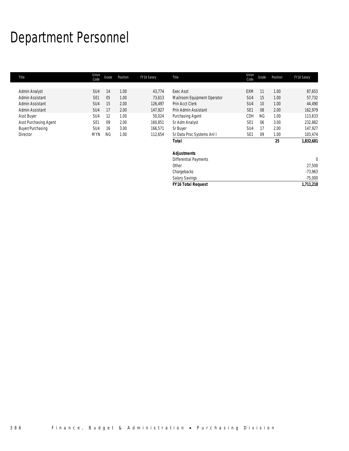## Department Personnel

F

| Title                 | Union<br>Code   | Grade     | Position | FY16 Salary | Title                        | Union<br>Code   | Grade             | Position | FY16 Salary |
|-----------------------|-----------------|-----------|----------|-------------|------------------------------|-----------------|-------------------|----------|-------------|
|                       |                 |           |          |             |                              |                 |                   |          |             |
| Admin Analyst         | SU <sub>4</sub> | 14        | 1.00     | 43,774      | <b>Exec Asst</b>             | <b>EXM</b>      | 11                | 1.00     | 87,653      |
| Admin Assistant       | SE <sub>1</sub> | 05        | 1.00     | 73,613      | Mailroom Equipment Operator  | SU <sub>4</sub> | 15                | 1.00     | 57,732      |
| Admin Assistant       | SU <sub>4</sub> | 15        | 2.00     | 126,497     | Prin Acct Clerk              | SU <sub>4</sub> | $10 \overline{)}$ | 1.00     | 44,490      |
| Admin Assistant       | SU <sub>4</sub> | 17        | 2.00     | 147,927     | Prin Admin Assistant         | SE <sub>1</sub> | 08                | 2.00     | 162,979     |
| Asst Buyer            | SU4             | 12        | 1.00     | 50,024      | Purchasing Agent             | CDH             | <b>NG</b>         | 1.00     | 113,633     |
| Asst Purchasing Agent | SE <sub>1</sub> | 09        | 2.00     | 160,851     | Sr Adm Analyst               | SE <sub>1</sub> | 06                | 3.00     | 232,882     |
| Buyer/Purchasing      | SU <sub>4</sub> | 16        | 3.00     | 166,571     | Sr Buyer                     | SU <sub>4</sub> | 17                | 2.00     | 147,927     |
| Director              | <b>MYN</b>      | <b>NG</b> | 1.00     | 112,654     | Sr Data Proc Systems Anl I   | SE <sub>1</sub> | 09                | 1.00     | 103,474     |
|                       |                 |           |          |             | <b>Total</b>                 |                 |                   | 25       | 1,832,681   |
|                       |                 |           |          |             | <b>Adjustments</b>           |                 |                   |          |             |
|                       |                 |           |          |             | <b>Differential Payments</b> |                 |                   |          | $\theta$    |
|                       |                 |           |          |             | Other                        |                 |                   |          | 27,500      |
|                       |                 |           |          |             | Chargebacks                  |                 |                   |          | $-73,963$   |
|                       |                 |           |          |             | Salary Savings               |                 |                   |          | $-75,000$   |
|                       |                 |           |          |             | <b>FY16 Total Request</b>    |                 |                   |          | 1,711,218   |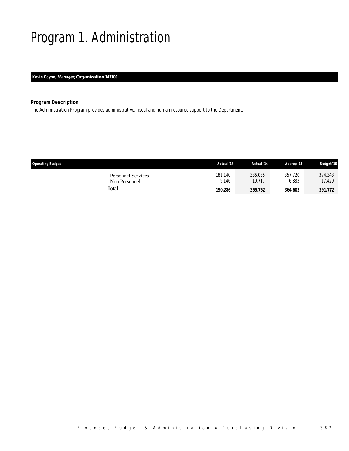# Program 1. Administration

*Kevin Coyne, Manager, Organization 143100* 

## *Program Description*

The Administration Program provides administrative, fiscal and human resource support to the Department.

| <b>Operating Budget</b>                    | Actual '13       | Actual '14        | Approp '15       | <b>Budget '16</b> |
|--------------------------------------------|------------------|-------------------|------------------|-------------------|
| <b>Personnel Services</b><br>Non Personnel | 181.140<br>9.146 | 336,035<br>19.717 | 357.720<br>6,883 | 374,343<br>17.429 |
| Total                                      | 190.286          | 355,752           | 364.603          | 391,772           |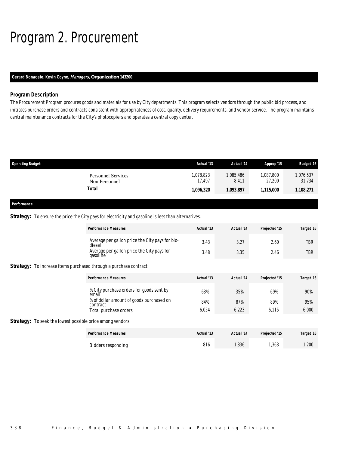## Program 2. Procurement

## *Gerard Bonaceto, Kevin Coyne, Managers, Organization 143200*

#### *Program Description*

The Procurement Program procures goods and materials for use by City departments. This program selects vendors through the public bid process, and initiates purchase orders and contracts consistent with appropriateness of cost, quality, delivery requirements, and vendor service. The program maintains central maintenance contracts for the City's photocopiers and operates a central copy center.

| <b>Operating Budget</b> |                                            | Actual '13          | Actual '14         | Approp '15          | <b>Budget '16</b> |
|-------------------------|--------------------------------------------|---------------------|--------------------|---------------------|-------------------|
|                         | <b>Personnel Services</b><br>Non Personnel | 1,078,823<br>17.497 | 1,085,486<br>8.411 | 1,087,800<br>27,200 | 076,537<br>31,734 |
|                         | <b>Total</b>                               | 1,096,320           | 1,093,897          | 1,115,000           | 1,108,271         |
|                         |                                            |                     |                    |                     |                   |
| Performance             |                                            |                     |                    |                     |                   |

#### **Strategy:** To ensure the price the City pays for electricity and gasoline is less than alternatives.

|                                                                           | <b>Performance Measures</b>                               | Actual '13 | Actual '14 | Projected '15 | Target '16 |
|---------------------------------------------------------------------------|-----------------------------------------------------------|------------|------------|---------------|------------|
|                                                                           | Average per gallon price the City pays for bio-<br>diesel | 3.43       | 3.27       | 2.60          | <b>TBR</b> |
|                                                                           | Average per gallon price the City pays for<br>gasoline    | 3.48       | 3.35       | 2.46          | TBR        |
| <b>Strategy:</b> To increase items purchased through a purchase contract. |                                                           |            |            |               |            |
|                                                                           | <b>Performance Measures</b>                               | Actual '13 | Actual '14 | Projected '15 | Target '16 |
|                                                                           | % City purchase orders for goods sent by<br>email         | 63%        | 35%        | 69%           | 90%        |
|                                                                           | % of dollar amount of goods purchased on<br>contract      | 84%        | 87%        | 89%           | 95%        |
|                                                                           | Total purchase orders                                     | 6,054      | 6,223      | 6,115         | 6,000      |
| <b>Strategy:</b> To seek the lowest possible price among vendors.         |                                                           |            |            |               |            |
|                                                                           | <b>Performance Measures</b>                               | Actual '13 | Actual '14 | Projected '15 | Target '16 |
|                                                                           | Bidders responding                                        | 816        | 1,336      | 1,363         | 1,200      |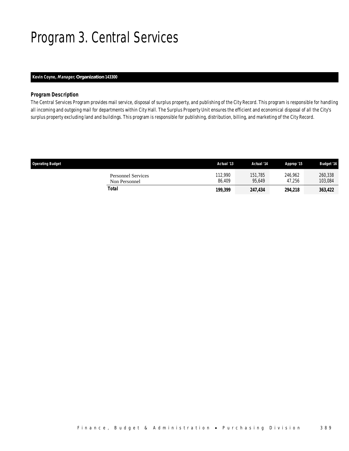# Program 3. Central Services

## *Kevin Coyne, Manager, Organization 143300*

#### *Program Description*

The Central Services Program provides mail service, disposal of surplus property, and publishing of the City Record. This program is responsible for handling all incoming and outgoing mail for departments within City Hall. The Surplus Property Unit ensures the efficient and economical disposal of all the City's surplus property excluding land and buildings. This program is responsible for publishing, distribution, billing, and marketing of the City Record.

| <b>Operating Budget</b>                    | Actual '13        | Actual '14        | Approp '15        | <b>Budget '16</b>  |
|--------------------------------------------|-------------------|-------------------|-------------------|--------------------|
| <b>Personnel Services</b><br>Non Personnel | 112.990<br>86.409 | 151.785<br>95.649 | 246.962<br>47.256 | 260,338<br>103,084 |
| Total                                      | 199,399           | 247.434           | 294.218           | 363,422            |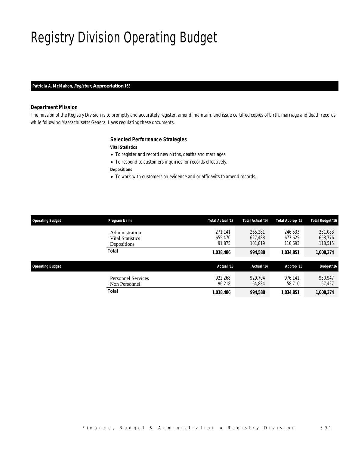# Registry Division Operating Budget

#### *Patricia A. McMahon, Registrar, Appropriation 163*

#### *Department Mission*

The mission of the Registry Division is to promptly and accurately register, amend, maintain, and issue certified copies of birth, marriage and death records while following Massachusetts General Laws regulating these documents.

#### *Selected Performance Strategies*

*Vital Statistics* 

- To register and record new births, deaths and marriages.
- To respond to customers inquiries for records effectively.
- *Depositions*
- To work with customers on evidence and or affidavits to amend records.

| <b>Operating Budget</b> | Program Name                                             | Total Actual '13             | <b>Total Actual '14</b>       | Total Approp '15              | <b>Total Budget '16</b>       |
|-------------------------|----------------------------------------------------------|------------------------------|-------------------------------|-------------------------------|-------------------------------|
|                         | Administration<br><b>Vital Statistics</b><br>Depositions | 271.141<br>655,470<br>91.875 | 265,281<br>627,488<br>101.819 | 246.533<br>677,625<br>110.693 | 231,083<br>658,776<br>118,515 |
|                         | Total                                                    | 1,018,486                    | 994,588                       | 1,034,851                     | 1,008,374                     |
| <b>Operating Budget</b> |                                                          | Actual '13                   | Actual '14                    | Approp '15                    | <b>Budget '16</b>             |
|                         | <b>Personnel Services</b><br>Non Personnel               | 922.268<br>96,218            | 929.704<br>64,884             | 976.141<br>58,710             | 950,947<br>57,427             |
|                         | Total                                                    | 1,018,486                    | 994,588                       | 1,034,851                     | 1,008,374                     |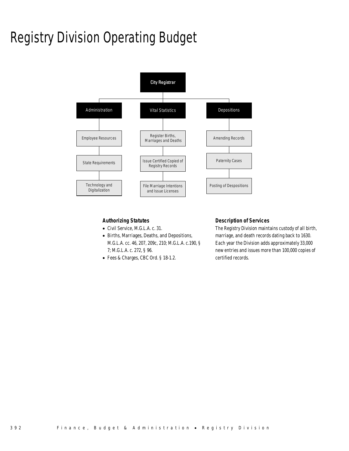# Registry Division Operating Budget



## *Authorizing Statutes*

- Civil Service, M.G.L.A. c. 31.
- Births, Marriages, Deaths, and Depositions, M.G.L.A. cc. 46, 207, 209c, 210; M.G.L.A. c.190, § 7; M.G.L.A. c. 272, § 96.
- Fees & Charges, CBC Ord. § 18-1.2.

#### *Description of Services*

The Registry Division maintains custody of all birth, marriage, and death records dating back to 1630. Each year the Division adds approximately 33,000 new entries and issues more than 100,000 copies of certified records.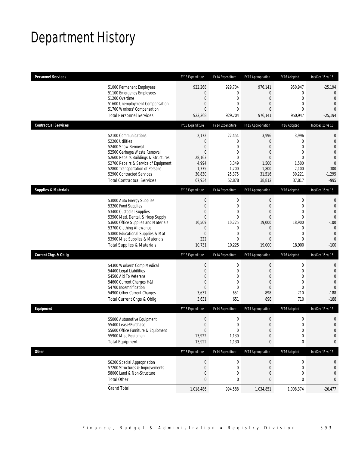# Department History

| <b>Personnel Services</b>       |                                                                                                                                                                                                                                                                                                      | FY13 Expenditure                                                                                                | FY14 Expenditure                                                                                                  | FY15 Appropriation                                                                                                 | FY16 Adopted                                                                                               | Inc/Dec 15 vs 16                                                                                                                    |
|---------------------------------|------------------------------------------------------------------------------------------------------------------------------------------------------------------------------------------------------------------------------------------------------------------------------------------------------|-----------------------------------------------------------------------------------------------------------------|-------------------------------------------------------------------------------------------------------------------|--------------------------------------------------------------------------------------------------------------------|------------------------------------------------------------------------------------------------------------|-------------------------------------------------------------------------------------------------------------------------------------|
|                                 | 51000 Permanent Employees<br>51100 Emergency Employees<br>51200 Overtime<br>51600 Unemployment Compensation<br>51700 Workers' Compensation<br><b>Total Personnel Services</b>                                                                                                                        | 922,268<br>0<br>$\boldsymbol{0}$<br>0<br>0<br>922,268                                                           | 929,704<br>0<br>$\mathbf 0$<br>$\mathbf 0$<br>$\Omega$<br>929,704                                                 | 976,141<br>0<br>$\boldsymbol{0}$<br>0<br>0<br>976,141                                                              | 950,947<br>0<br>$\boldsymbol{0}$<br>$\mathbf{0}$<br>$\mathbf{0}$<br>950,947                                | $-25,194$<br>$\overline{0}$<br>$\mathbf{0}$<br>$\overline{0}$<br>$\Omega$<br>$-25,194$                                              |
| <b>Contractual Services</b>     |                                                                                                                                                                                                                                                                                                      | FY13 Expenditure                                                                                                | FY14 Expenditure                                                                                                  | FY15 Appropriation                                                                                                 | FY16 Adopted                                                                                               | Inc/Dec 15 vs 16                                                                                                                    |
|                                 | 52100 Communications<br>52200 Utilities<br>52400 Snow Removal<br>52500 Garbage/Waste Removal<br>52600 Repairs Buildings & Structures<br>52700 Repairs & Service of Equipment<br>52800 Transportation of Persons<br>52900 Contracted Services<br><b>Total Contractual Services</b>                    | 2,172<br>$\boldsymbol{0}$<br>$\overline{0}$<br>$\mathbf 0$<br>28,163<br>4,994<br>1,775<br>30,830<br>67,934      | 22,454<br>$\mathbf 0$<br>$\mathbf{0}$<br>$\mathbf 0$<br>$\mathbf{0}$<br>3,349<br>1,700<br>25,375<br>52,878        | 3,996<br>$\mathbf{0}$<br>0<br>0<br>$\mathbf{0}$<br>1,500<br>1,800<br>31,516<br>38,812                              | 3,996<br>$\mathbf{0}$<br>$\mathbf{0}$<br>$\mathbf 0$<br>$\mathbf{0}$<br>1,500<br>2,100<br>30,221<br>37,817 | $\mathbf 0$<br>$\mathbf 0$<br>$\overline{0}$<br>$\overline{0}$<br>$\mathbf 0$<br>$\overline{0}$<br>300<br>$-1,295$<br>$-995$        |
| <b>Supplies &amp; Materials</b> |                                                                                                                                                                                                                                                                                                      | FY13 Expenditure                                                                                                | FY14 Expenditure                                                                                                  | FY15 Appropriation                                                                                                 | FY16 Adopted                                                                                               | Inc/Dec 15 vs 16                                                                                                                    |
|                                 | 53000 Auto Energy Supplies<br>53200 Food Supplies<br>53400 Custodial Supplies<br>53500 Med, Dental, & Hosp Supply<br>53600 Office Supplies and Materials<br>53700 Clothing Allowance<br>53800 Educational Supplies & Mat<br>53900 Misc Supplies & Materials<br><b>Total Supplies &amp; Materials</b> | $\boldsymbol{0}$<br>$\boldsymbol{0}$<br>0<br>$\overline{0}$<br>10,509<br>0<br>$\boldsymbol{0}$<br>222<br>10,731 | $\mathbf 0$<br>$\mathbf 0$<br>$\mathbf 0$<br>$\mathbf{0}$<br>10,225<br>0<br>$\mathbf{0}$<br>$\mathbf 0$<br>10,225 | $\mathbf 0$<br>$\boldsymbol{0}$<br>0<br>$\boldsymbol{0}$<br>19,000<br>$\mathbf 0$<br>$\overline{0}$<br>0<br>19,000 | 0<br>$\mathbf 0$<br>$\mathbf{0}$<br>$\mathbf 0$<br>18,900<br>0<br>$\mathbf{0}$<br>$\mathbf{0}$<br>18,900   | $\mathbf{0}$<br>$\mathbf 0$<br>$\overline{0}$<br>$\overline{0}$<br>$-100$<br>$\mathbf{0}$<br>$\mathbf{0}$<br>$\mathbf{0}$<br>$-100$ |
| <b>Current Chgs &amp; Oblig</b> |                                                                                                                                                                                                                                                                                                      | FY13 Expenditure                                                                                                | FY14 Expenditure                                                                                                  | FY15 Appropriation                                                                                                 | FY16 Adopted                                                                                               | Inc/Dec 15 vs 16                                                                                                                    |
|                                 | 54300 Workers' Comp Medical<br>54400 Legal Liabilities<br>54500 Aid To Veterans<br>54600 Current Charges H&I<br>54700 Indemnification<br>54900 Other Current Charges<br>Total Current Chgs & Oblig                                                                                                   | $\boldsymbol{0}$<br>$\boldsymbol{0}$<br>0<br>$\mathbf 0$<br>$\overline{0}$<br>3,631<br>3,631                    | $\boldsymbol{0}$<br>$\mathbf 0$<br>$\mathbf 0$<br>$\mathbf 0$<br>$\mathbf{0}$<br>651<br>651                       | $\boldsymbol{0}$<br>$\boldsymbol{0}$<br>0<br>$\mathbf 0$<br>$\mathbf{0}$<br>898<br>898                             | 0<br>$\mathbf 0$<br>$\mathbf{0}$<br>$\mathbf 0$<br>$\mathbf{0}$<br>710<br>710                              | $\mathbf 0$<br>$\mathbf 0$<br>$\overline{0}$<br>$\overline{0}$<br>$\theta$<br>$-188$<br>$-188$                                      |
| Equipment                       |                                                                                                                                                                                                                                                                                                      | FY13 Expenditure                                                                                                | FY14 Expenditure                                                                                                  | FY15 Appropriation                                                                                                 | FY16 Adopted                                                                                               | Inc/Dec 15 vs 16                                                                                                                    |
|                                 | 55000 Automotive Equipment<br>55400 Lease/Purchase<br>55600 Office Furniture & Equipment<br>55900 Misc Equipment<br><b>Total Equipment</b>                                                                                                                                                           | $\boldsymbol{0}$<br>$\boldsymbol{0}$<br>$\boldsymbol{0}$<br>13,922<br>13,922                                    | 0<br>$\overline{0}$<br>$\boldsymbol{0}$<br>1,130<br>1,130                                                         | $\boldsymbol{0}$<br>$\mathbf{0}$<br>$\boldsymbol{0}$<br>$\boldsymbol{0}$<br>0                                      | $\boldsymbol{0}$<br>$\mathbf 0$<br>$\boldsymbol{0}$<br>$\boldsymbol{0}$<br>0                               | $\mathbf 0$<br>$\overline{0}$<br>$\mathbf 0$<br>$\mathbf 0$<br>0                                                                    |
| <b>Other</b>                    |                                                                                                                                                                                                                                                                                                      | FY13 Expenditure                                                                                                | FY14 Expenditure                                                                                                  | FY15 Appropriation                                                                                                 | FY16 Adopted                                                                                               | Inc/Dec 15 vs 16                                                                                                                    |
|                                 | 56200 Special Appropriation<br>57200 Structures & Improvements<br>58000 Land & Non-Structure<br><b>Total Other</b>                                                                                                                                                                                   | $\boldsymbol{0}$<br>$\boldsymbol{0}$<br>0<br>$\pmb{0}$                                                          | 0<br>0<br>$\mathbf 0$<br>0                                                                                        | $\bf{0}$<br>$\mathbf 0$<br>$\boldsymbol{0}$<br>0                                                                   | 0<br>0<br>$\mathbf 0$<br>0                                                                                 | 0<br>0<br>$\mathbf 0$<br>0                                                                                                          |
|                                 | <b>Grand Total</b>                                                                                                                                                                                                                                                                                   | 1,018,486                                                                                                       | 994,588                                                                                                           | 1,034,851                                                                                                          | 1,008,374                                                                                                  | $-26,477$                                                                                                                           |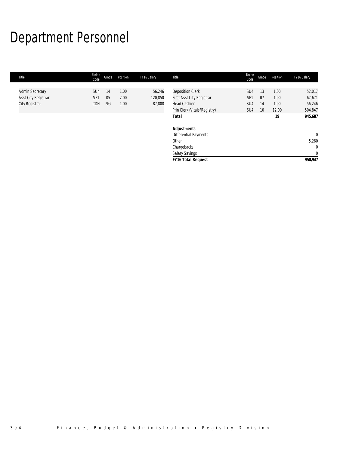# Department Personnel

| Title                  | Union<br>Code   | Grade     | Position | FY16 Salary | Title                        | Union<br>Code   | Grade | Position | FY16 Salary    |
|------------------------|-----------------|-----------|----------|-------------|------------------------------|-----------------|-------|----------|----------------|
| <b>Admin Secretary</b> | SU4             | 14        | 1.00     | 56,246      | Deposition Clerk             | SU <sub>4</sub> | 13    | 1.00     | 52,017         |
| Asst City Registrar    | SE <sub>1</sub> | 05        | 2.00     | 120,850     | First Asst City Registrar    | SE <sub>1</sub> | 07    | 1.00     | 67,671         |
| City Registrar         | CDH             | <b>NG</b> | 1.00     | 87,808      | <b>Head Cashier</b>          | SU <sub>4</sub> | 14    | 1.00     | 56,246         |
|                        |                 |           |          |             | Prin Clerk (Vitals/Registry) | SU <sub>4</sub> | 10    | 12.00    | 504,847        |
|                        |                 |           |          |             | <b>Total</b>                 |                 |       | 19       | 945,687        |
|                        |                 |           |          |             | <b>Adjustments</b>           |                 |       |          |                |
|                        |                 |           |          |             | <b>Differential Payments</b> |                 |       |          | $\overline{0}$ |
|                        |                 |           |          |             | Other                        |                 |       |          | 5,260          |
|                        |                 |           |          |             | Chargebacks                  |                 |       |          | $\mathbf{0}$   |
|                        |                 |           |          |             | Salary Savings               |                 |       |          | $\mathbf 0$    |
|                        |                 |           |          |             | <b>FY16 Total Request</b>    |                 |       |          | 950,947        |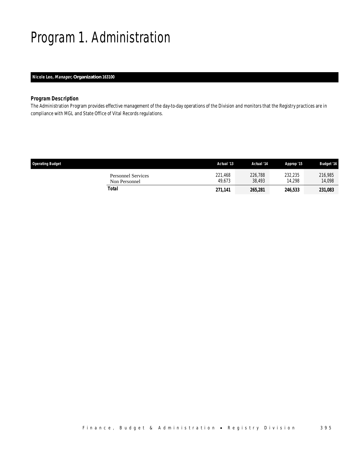# Program 1. Administration

## *Nicole Leo, Manager, Organization 163100*

## *Program Description*

The Administration Program provides effective management of the day-to-day operations of the Division and monitors that the Registry practices are in compliance with MGL and State Office of Vital Records regulations.

| <b>Operating Budget</b>                    | Actual '13        | Actual '14        | Approp '15        | <b>Budget '16</b> |
|--------------------------------------------|-------------------|-------------------|-------------------|-------------------|
| <b>Personnel Services</b><br>Non Personnel | 221,468<br>49.673 | 226.788<br>38.493 | 232,235<br>14.298 | 216,985<br>14.098 |
| Total                                      | 271,141           | 265,281           | 246,533           | 231,083           |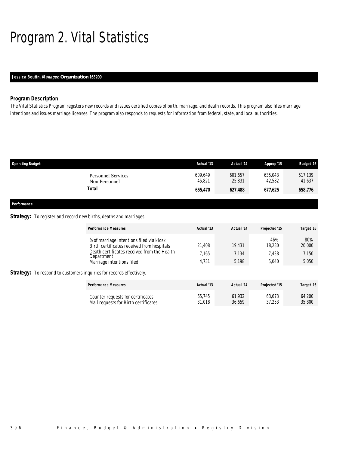# Program 2. Vital Statistics

## *Jessica Boutin, Manager, Organization 163200*

## *Program Description*

The Vital Statistics Program registers new records and issues certified copies of birth, marriage, and death records. This program also files marriage intentions and issues marriage licenses. The program also responds to requests for information from federal, state, and local authorities.

| <b>Operating Budget</b>                    | Actual '13        | Actual '14        | Approp '15        | <b>Budget '16</b> |
|--------------------------------------------|-------------------|-------------------|-------------------|-------------------|
| <b>Personnel Services</b><br>Non Personnel | 609,649<br>45.821 | 601,657<br>25,831 | 635,043<br>42,582 | 617,139<br>41,637 |
| Total                                      | 655,470           | 627,488           | 677,625           | 658,776           |
|                                            |                   |                   |                   |                   |

#### *Performance*

#### **Strategy:** To register and record new births, deaths and marriages.

|                                                                             | <b>Performance Measures</b>                                                                                                                                                      | Actual '13               | Actual '14               | Projected '15                   | Target '16                      |
|-----------------------------------------------------------------------------|----------------------------------------------------------------------------------------------------------------------------------------------------------------------------------|--------------------------|--------------------------|---------------------------------|---------------------------------|
|                                                                             | % of marriage intentions filed via kiosk<br>Birth certificates received from hospitals<br>Death certificates received from the Health<br>Department<br>Marriage intentions filed | 21,408<br>7.165<br>4,731 | 19.431<br>7.134<br>5,198 | 46%<br>18,230<br>7.438<br>5.040 | 80%<br>20,000<br>7,150<br>5,050 |
| <b>Strategy:</b> To respond to customers inquiries for records effectively. |                                                                                                                                                                                  |                          |                          |                                 |                                 |
|                                                                             | <b>Performance Measures</b>                                                                                                                                                      | Actual '13               | Actual '14               | Projected '15                   | Target '16                      |
|                                                                             | Counter requests for certificates<br>Mail requests for Birth certificates                                                                                                        | 65.745<br>31,018         | 61,932<br>36.659         | 63.673<br>37.253                | 64,200<br>35,800                |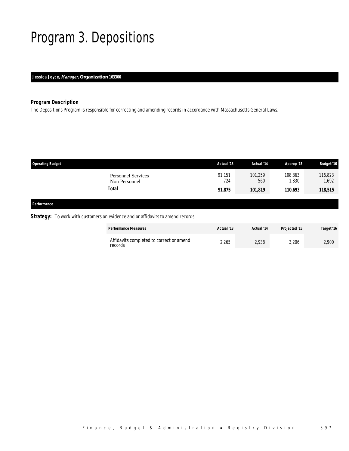# Program 3. Depositions

# *Jessica Joyce, Manager, Organization 163300*

# *Program Description*

The Depositions Program is responsible for correcting and amending records in accordance with Massachusetts General Laws.

| <b>Operating Budget</b> |                                            | Actual '13    | Actual '14     | Approp '15       | <b>Budget '16</b> |
|-------------------------|--------------------------------------------|---------------|----------------|------------------|-------------------|
|                         | <b>Personnel Services</b><br>Non Personnel | 91,151<br>724 | 101,259<br>560 | 108,863<br>1,830 | 116,823<br>1,692  |
|                         | Total                                      | 91,875        | 101,819        | 110,693          | 118,515           |
| Performance             |                                            |               |                |                  |                   |

## **Strategy:** To work with customers on evidence and or affidavits to amend records.

| <b>Performance Measures</b>                         | Actual '13 | Actual '14 | Projected '15 | Target '16 |
|-----------------------------------------------------|------------|------------|---------------|------------|
| Affidavits completed to correct or amend<br>records | 2,265      | 2,938      | 3.206         | 2,900      |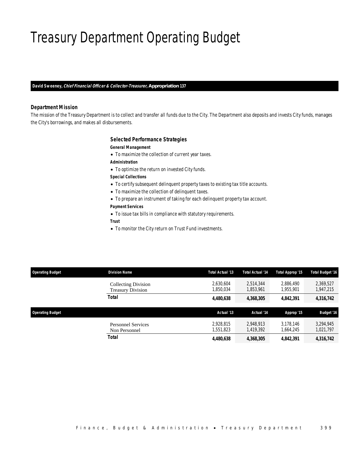# Treasury Department Operating Budget

*David Sweeney, Chief Financial Officer & Collector-Treasurer, Appropriation 137* 

#### *Department Mission*

The mission of the Treasury Department is to collect and transfer all funds due to the City. The Department also deposits and invests City funds, manages the City's borrowings, and makes all disbursements.

#### *Selected Performance Strategies*

#### *General Management*

• To maximize the collection of current year taxes.

*Administration* 

- To optimize the return on invested City funds.
- *Special Collections*
- To certify subsequent delinquent property taxes to existing tax title accounts.
- To maximize the collection of delinquent taxes.
- To prepare an instrument of taking for each delinquent property tax account.

# *Payment Services*

• To issue tax bills in compliance with statutory requirements.

#### *Trust*

• To monitor the City return on Trust Fund investments.

| <b>Operating Budget</b> | <b>Division Name</b>                                   | Total Actual '13      | <b>Total Actual '14</b> | Total Approp '15       | <b>Total Budget '16</b> |
|-------------------------|--------------------------------------------------------|-----------------------|-------------------------|------------------------|-------------------------|
|                         | <b>Collecting Division</b><br><b>Treasury Division</b> | 2.630.604<br>,850,034 | 2.514.344<br>1,853,961  | 2.886.490<br>1,955,901 | 2.369.527<br>1,947,215  |
|                         | <b>Total</b>                                           | 4,480,638             | 4,368,305               | 4,842,391              | 4,316,742               |
|                         |                                                        |                       |                         |                        |                         |
| <b>Operating Budget</b> |                                                        | Actual '13            | Actual '14              | Approp '15             | <b>Budget '16</b>       |
|                         | <b>Personnel Services</b><br>Non Personnel             | 2,928,815<br>,551,823 | 2.948.913<br>1.419.392  | 3.178.146<br>1.664.245 | 3.294.945<br>1,021,797  |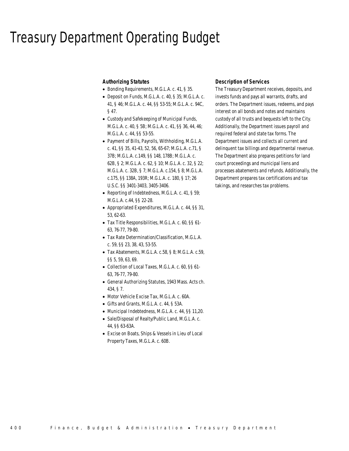# Treasury Department Operating Budget

### *Authorizing Statutes*

- Bonding Requirements, M.G.L.A. c. 41, § 35.
- Deposit on Funds, M.G.L.A. c. 40, § 35; M.G.L.A. c. 41, § 46; M.G.L.A. c. 44, §§ 53-55; M.G.L.A. c. 94C, § 47.
- Custody and Safekeeping of Municipal Funds, M.G.L.A. c. 40, § 5B; M.G.L.A. c. 41, §§ 36, 44, 46; M.G.L.A. c. 44, §§ 53-55.
- Payment of Bills, Payrolls, Withholding, M.G.L.A. c. 41, §§ 35, 41-43, 52, 56, 65-67; M.G.L.A. c.71, § 37B; M.G.L.A. c.149, §§ 148, 178B; M.G.L.A. c. 62B, § 2; M.G.L.A. c. 62, § 10; M.G.L.A. c. 32, § 22; M.G.L.A. c. 32B, § 7; M.G.L.A. c.154, § 8; M.G.L.A. c.175, §§ 138A, 193R; M.G.L.A. c. 180, § 17; 26 U.S.C. §§ 3401-3403, 3405-3406.
- Reporting of Indebtedness, M.G.L.A. c. 41, § 59; M.G.L.A. c.44, §§ 22-28.
- Appropriated Expenditures, M.G.L.A. c. 44, §§ 31, 53, 62-63.
- Tax Title Responsibilities, M.G.L.A. c. 60, §§ 61- 63, 76-77, 79-80.
- Tax Rate Determination/Classification, M.G.L.A. c. 59, §§ 23, 38, 43, 53-55.
- Tax Abatements, M.G.L.A. c.58, § 8; M.G.L.A. c.59, §§ 5, 59, 63, 69.
- Collection of Local Taxes, M.G.L.A. c. 60, §§ 61- 63, 76-77, 79-80.
- General Authorizing Statutes, 1943 Mass. Acts ch. 434, § 7.
- Motor Vehicle Excise Tax, M.G.L.A. c. 60A.
- Gifts and Grants, M.G.L.A. c. 44, § 53A.
- Municipal Indebtedness, M.G.L.A. c. 44, §§ 11,20.
- Sale/Disposal of Realty/Public Land, M.G.L.A. c. 44, §§ 63-63A.
- Excise on Boats, Ships & Vessels in Lieu of Local Property Taxes, M.G.L.A. c. 60B.

# *Description of Services*

The Treasury Department receives, deposits, and invests funds and pays all warrants, drafts, and orders. The Department issues, redeems, and pays interest on all bonds and notes and maintains custody of all trusts and bequests left to the City. Additionally, the Department issues payroll and required federal and state tax forms. The Department issues and collects all current and delinquent tax billings and departmental revenue. The Department also prepares petitions for land court proceedings and municipal liens and processes abatements and refunds. Additionally, the Department prepares tax certifications and tax takings, and researches tax problems.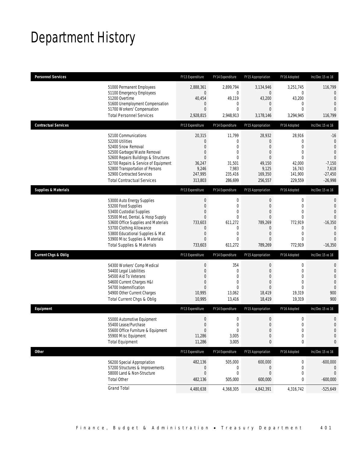# Department History

| <b>Personnel Services</b>                                                                                                                                                                                                                                                                 | FY13 Expenditure                                                                                                       | FY14 Expenditure                                                                             | FY15 Appropriation                                                                                                       | FY16 Adopted                                                                                               | Inc/Dec 15 vs 16                                                                                                          |
|-------------------------------------------------------------------------------------------------------------------------------------------------------------------------------------------------------------------------------------------------------------------------------------------|------------------------------------------------------------------------------------------------------------------------|----------------------------------------------------------------------------------------------|--------------------------------------------------------------------------------------------------------------------------|------------------------------------------------------------------------------------------------------------|---------------------------------------------------------------------------------------------------------------------------|
| 51000 Permanent Employees<br>51100 Emergency Employees<br>51200 Overtime<br>51600 Unemployment Compensation<br>51700 Workers' Compensation                                                                                                                                                | 2,888,361<br>0<br>40,454<br>$\mathbf 0$<br>$\overline{0}$                                                              | 2,899,794<br>$\mathbf{0}$<br>49,119<br>0<br>$\overline{0}$                                   | 3,134,946<br>$\mathbf 0$<br>43,200<br>$\theta$<br>$\overline{0}$                                                         | 3,251,745<br>0<br>43,200<br>0<br>$\overline{0}$                                                            | 116,799<br>0<br>$\mathbf{0}$<br>$\overline{0}$<br>$\Omega$                                                                |
| <b>Total Personnel Services</b>                                                                                                                                                                                                                                                           | 2,928,815                                                                                                              | 2,948,913                                                                                    | 3,178,146                                                                                                                | 3,294,945                                                                                                  | 116,799                                                                                                                   |
| <b>Contractual Services</b>                                                                                                                                                                                                                                                               | FY13 Expenditure                                                                                                       | FY14 Expenditure                                                                             | FY15 Appropriation                                                                                                       | FY16 Adopted                                                                                               | Inc/Dec 15 vs 16                                                                                                          |
| 52100 Communications<br>52200 Utilities<br>52400 Snow Removal<br>52500 Garbage/Waste Removal<br>52600 Repairs Buildings & Structures<br>52700 Repairs & Service of Equipment<br>52800 Transportation of Persons<br>52900 Contracted Services<br><b>Total Contractual Services</b>         | 20,315<br>0<br>$\overline{0}$<br>$\overline{0}$<br>$\overline{0}$<br>36,247<br>9,246<br>247,995<br>313,803             | 11,799<br>0<br>$\overline{0}$<br>0<br>$\theta$<br>31,501<br>7,983<br>235,416<br>286,699      | 28,932<br>$\overline{0}$<br>$\theta$<br>$\overline{0}$<br>$\overline{0}$<br>49,150<br>9,125<br>169,350<br>256,557        | 28,916<br>0<br>$\Omega$<br>$\overline{0}$<br>$\theta$<br>42,000<br>16,743<br>141,900<br>229,559            | $-16$<br>$\mathbf 0$<br>$\overline{0}$<br>$\overline{0}$<br>$\overline{0}$<br>$-7,150$<br>7,618<br>$-27,450$<br>$-26,998$ |
| <b>Supplies &amp; Materials</b>                                                                                                                                                                                                                                                           | FY13 Expenditure                                                                                                       | FY14 Expenditure                                                                             | FY15 Appropriation                                                                                                       | FY16 Adopted                                                                                               | Inc/Dec 15 vs 16                                                                                                          |
| 53000 Auto Energy Supplies<br>53200 Food Supplies<br>53400 Custodial Supplies<br>53500 Med, Dental, & Hosp Supply<br>53600 Office Supplies and Materials<br>53700 Clothing Allowance<br>53800 Educational Supplies & Mat<br>53900 Misc Supplies & Materials<br>Total Supplies & Materials | $\boldsymbol{0}$<br>$\overline{0}$<br>$\overline{0}$<br>$\mathbf{0}$<br>733,603<br>0<br>0<br>$\overline{0}$<br>733,603 | 0<br>$\overline{0}$<br>0<br>$\overline{0}$<br>611,272<br>0<br>0<br>$\overline{0}$<br>611,272 | $\theta$<br>$\theta$<br>$\overline{0}$<br>$\theta$<br>789,269<br>$\theta$<br>$\overline{0}$<br>$\overline{0}$<br>789,269 | 0<br>$\overline{0}$<br>$\Omega$<br>$\overline{0}$<br>772,919<br>0<br>$\overline{0}$<br>$\Omega$<br>772,919 | 0<br>$\overline{0}$<br>$\Omega$<br>$\Omega$<br>$-16,350$<br>$\mathbf{0}$<br>$\overline{0}$<br>$\Omega$<br>$-16,350$       |
| <b>Current Chgs &amp; Oblig</b>                                                                                                                                                                                                                                                           | FY13 Expenditure                                                                                                       | FY14 Expenditure                                                                             | FY15 Appropriation                                                                                                       | FY16 Adopted                                                                                               | Inc/Dec 15 vs 16                                                                                                          |
| 54300 Workers' Comp Medical<br>54400 Legal Liabilities<br>54500 Aid To Veterans<br>54600 Current Charges H&I<br>54700 Indemnification<br>54900 Other Current Charges<br>Total Current Chgs & Oblig                                                                                        | $\boldsymbol{0}$<br>$\overline{0}$<br>$\overline{0}$<br>$\overline{0}$<br>$\Omega$<br>10,995<br>10,995                 | 354<br>$\mathbf 0$<br>$\Omega$<br>0<br>$\theta$<br>13,062<br>13,416                          | $\theta$<br>$\theta$<br>$\overline{0}$<br>$\theta$<br>$\overline{0}$<br>18,419<br>18,419                                 | $\mathbf 0$<br>$\overline{0}$<br>$\Omega$<br>$\overline{0}$<br>$\theta$<br>19,319<br>19,319                | 0<br>$\mathbf 0$<br>$\overline{0}$<br>$\overline{0}$<br>$\mathbf 0$<br>900<br>900                                         |
| Equipment                                                                                                                                                                                                                                                                                 | FY13 Expenditure                                                                                                       | FY14 Expenditure                                                                             | FY15 Appropriation                                                                                                       | FY16 Adopted                                                                                               | Inc/Dec 15 vs 16                                                                                                          |
| 55000 Automotive Equipment<br>55400 Lease/Purchase<br>55600 Office Furniture & Equipment<br>55900 Misc Equipment<br><b>Total Equipment</b>                                                                                                                                                | $\boldsymbol{0}$<br>$\Omega$<br>$\boldsymbol{0}$<br>11,286<br>11,286                                                   | $\mathbf 0$<br>$\theta$<br>$\boldsymbol{0}$<br>3,005<br>3,005                                | $\boldsymbol{0}$<br>$\Omega$<br>$\boldsymbol{0}$<br>$\theta$<br>0                                                        | $\mathbf 0$<br>$\Omega$<br>$\boldsymbol{0}$<br>$\mathbf 0$<br>0                                            | $\mathbf 0$<br>$\Omega$<br>$\mathbf 0$<br>0<br>0                                                                          |
| Other                                                                                                                                                                                                                                                                                     | FY13 Expenditure                                                                                                       | FY14 Expenditure                                                                             | FY15 Appropriation                                                                                                       | FY16 Adopted                                                                                               | Inc/Dec 15 vs 16                                                                                                          |
| 56200 Special Appropriation<br>57200 Structures & Improvements<br>58000 Land & Non-Structure<br><b>Total Other</b>                                                                                                                                                                        | 482,136<br>0<br>$\boldsymbol{0}$<br>482,136                                                                            | 505,000<br>0<br>$\mathbf 0$<br>505,000                                                       | 600,000<br>$\theta$<br>$\mathbf 0$<br>600,000                                                                            | 0<br>0<br>0<br>0                                                                                           | $-600,000$<br>$\theta$<br>$\mathbf{0}$<br>$-600,000$                                                                      |
| <b>Grand Total</b>                                                                                                                                                                                                                                                                        | 4,480,638                                                                                                              | 4,368,305                                                                                    | 4,842,391                                                                                                                | 4,316,742                                                                                                  | $-525,649$                                                                                                                |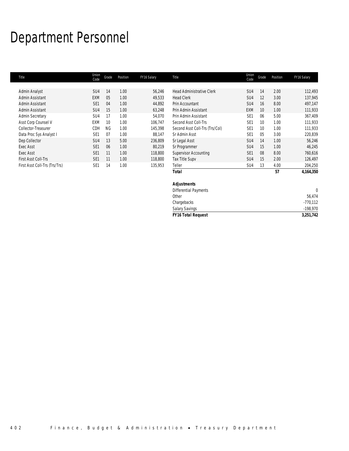# Department Personnel

| Title                         | Union<br>Code   | Grade          | Position | FY16 Salary | Title                            | Union<br>Code   | Grade           | Position | FY16 Salary |
|-------------------------------|-----------------|----------------|----------|-------------|----------------------------------|-----------------|-----------------|----------|-------------|
|                               |                 |                |          |             |                                  |                 |                 |          |             |
| Admin Analyst                 | SU <sub>4</sub> | 14             | 1.00     | 56,246      | <b>Head Administrative Clerk</b> | SU <sub>4</sub> | 14              | 2.00     | 112,493     |
| Admin Assistant               | <b>EXM</b>      | 0 <sub>5</sub> | 1.00     | 49.533      | <b>Head Clerk</b>                | SU <sub>4</sub> | 12              | 3.00     | 137.945     |
| Admin Assistant               | SE <sub>1</sub> | 04             | 1.00     | 44,892      | Prin Accountant                  | SU <sub>4</sub> | 16              | 8.00     | 497,147     |
| Admin Assistant               | SU <sub>4</sub> | 15             | 1.00     | 63,248      | Prin Admin Assistant             | <b>EXM</b>      | 10 <sup>1</sup> | 1.00     | 111,933     |
| <b>Admin Secretary</b>        | SU <sub>4</sub> | 17             | 1.00     | 54.070      | Prin Admin Assistant             | SF <sub>1</sub> | 06              | 5.00     | 367,409     |
| Asst Corp Counsel V           | <b>EXM</b>      | 10             | 1.00     | 106.747     | Second Asst Coll-Trs             | SF <sub>1</sub> | 10              | 1.00     | 111,933     |
| Collector-Treasurer           | CDH             | <b>NG</b>      | 1.00     | 145.398     | Second Asst Coll-Trs (Trs/Col)   | SE <sub>1</sub> | 10              | 1.00     | 111,933     |
| Data Proc Sys Analyst I       | SE <sub>1</sub> | 07             | 1.00     | 88,147      | Sr Admin Asst                    | SE <sub>1</sub> | 05              | 3.00     | 220,839     |
| Dep Collector                 | SU <sub>4</sub> | 13             | 5.00     | 236.809     | Sr Legal Asst                    | SU <sub>4</sub> | 14              | 1.00     | 56,246      |
| <b>Exec Asst</b>              | SE <sub>1</sub> | 06             | 1.00     | 80.219      | Sr Programmer                    | SU <sub>4</sub> | 15              | 1.00     | 46,245      |
| Exec Asst                     | SF <sub>1</sub> | 11             | 1.00     | 118,800     | <b>Supervisor Accounting</b>     | SE <sub>1</sub> | 08              | 8.00     | 760,616     |
| <b>First Asst Coll-Trs</b>    | SE <sub>1</sub> | 11             | 1.00     | 118,800     | <b>Tax Title Supv</b>            | SU4             | 15              | 2.00     | 126,497     |
| First Asst Coll-Trs (Trs/Trs) | SE <sub>1</sub> | 14             | 1.00     | 135.953     | Teller                           | SU <sub>4</sub> | 13              | 4.00     | 204,250     |
|                               |                 |                |          |             | Total                            |                 |                 | 57       | 4.164.350   |

|  | . | $\cdots$ | 100,700 | 1011                      | $\sim$ $\sim$ $\sim$<br>. | $\cdots$ | 1011200    |
|--|---|----------|---------|---------------------------|---------------------------|----------|------------|
|  |   |          |         | <b>Total</b>              |                           | 57       | 4,164,350  |
|  |   |          |         | Adjustments               |                           |          |            |
|  |   |          |         | Differential Payments     |                           |          | 0          |
|  |   |          |         | Other                     |                           |          | 56,474     |
|  |   |          |         | Chargebacks               |                           |          | $-770,112$ |
|  |   |          |         | <b>Salary Savings</b>     |                           |          | $-198,970$ |
|  |   |          |         | <b>FY16 Total Request</b> |                           |          | 3,251,742  |
|  |   |          |         |                           |                           |          |            |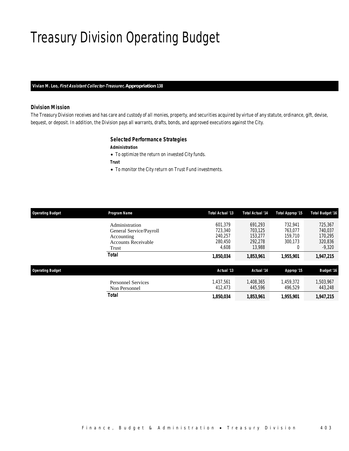# Treasury Division Operating Budget

*Vivian M. Leo, First Assistant Collector-Treasurer, Appropriation 138* 

## *Division Mission*

The Treasury Division receives and has care and custody of all monies, property, and securities acquired by virtue of any statute, ordinance, gift, devise, bequest, or deposit. In addition, the Division pays all warrants, drafts, bonds, and approved executions against the City.

### *Selected Performance Strategies*

*Administration* 

• To optimize the return on invested City funds.

*Trust* 

• To monitor the City return on Trust Fund investments.

| <b>Operating Budget</b> | <b>Program Name</b>                                                                            | Total Actual '13                                  | <b>Total Actual '14</b>                            | Total Approp '15                         | <b>Total Budget '16</b>                              |
|-------------------------|------------------------------------------------------------------------------------------------|---------------------------------------------------|----------------------------------------------------|------------------------------------------|------------------------------------------------------|
|                         | Administration<br>General Service/Payroll<br>Accounting<br><b>Accounts Receivable</b><br>Trust | 601.379<br>723,340<br>240.257<br>280.450<br>4,608 | 691.293<br>703.125<br>153,277<br>292,278<br>13.988 | 732.941<br>763.077<br>159,710<br>300.173 | 725,367<br>740.037<br>170.295<br>320,836<br>$-9,320$ |
|                         | Total                                                                                          | 1,850,034                                         | 1,853,961                                          | 1.955.901                                | 1,947,215                                            |
| <b>Operating Budget</b> |                                                                                                | Actual '13                                        | Actual '14                                         | Approp '15                               | <b>Budget '16</b>                                    |
|                         | <b>Personnel Services</b><br>Non Personnel                                                     | 1.437.561<br>412.473                              | 1.408.365<br>445,596                               | 1.459.372<br>496.529                     | 1,503,967<br>443,248                                 |
|                         | Total                                                                                          | 1,850,034                                         | 1,853,961                                          | 1.955.901                                | 1,947,215                                            |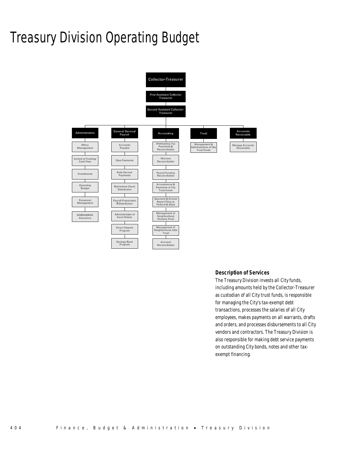# Treasury Division Operating Budget



#### *Description of Services*

The Treasury Division invests all City funds, including amounts held by the Collector-Treasurer as custodian of all City trust funds, is responsible for managing the City's tax-exempt debt transactions, processes the salaries of all City employees, makes payments on all warrants, drafts and orders, and processes disbursements to all City vendors and contractors. The Treasury Division is also responsible for making debt service payments on outstanding City bonds, notes and other taxexempt financing.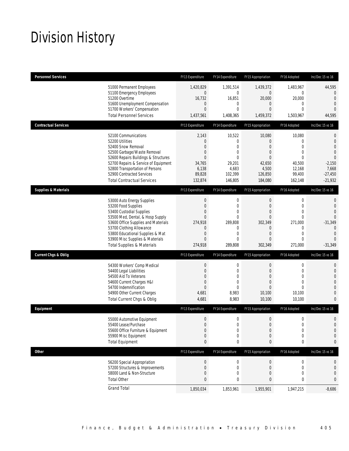# Division History

| <b>Personnel Services</b>       |                                                                                                                                                                                                                                                                                                      | FY13 Expenditure                                                                                                        | FY14 Expenditure                                                                              | FY15 Appropriation                                                                                                     | FY16 Adopted                                                                                             | Inc/Dec 15 vs 16                                                                                                                 |
|---------------------------------|------------------------------------------------------------------------------------------------------------------------------------------------------------------------------------------------------------------------------------------------------------------------------------------------------|-------------------------------------------------------------------------------------------------------------------------|-----------------------------------------------------------------------------------------------|------------------------------------------------------------------------------------------------------------------------|----------------------------------------------------------------------------------------------------------|----------------------------------------------------------------------------------------------------------------------------------|
|                                 | 51000 Permanent Employees<br>51100 Emergency Employees<br>51200 Overtime<br>51600 Unemployment Compensation<br>51700 Workers' Compensation<br><b>Total Personnel Services</b>                                                                                                                        | 1,420,829<br>$\overline{0}$<br>16,732<br>0<br>$\overline{0}$<br>1,437,561                                               | 1,391,514<br>0<br>16,851<br>0<br>$\mathbf{0}$<br>1,408,365                                    | 1,439,372<br>0<br>20,000<br>$\mathbf 0$<br>$\mathbf{0}$<br>1,459,372                                                   | 1,483,967<br>0<br>20,000<br>0<br>$\mathbf{0}$<br>1,503,967                                               | 44,595<br>$\mathbf{0}$<br>$\mathbf{0}$<br>$\mathbf{0}$<br>$\overline{0}$<br>44,595                                               |
| <b>Contractual Services</b>     |                                                                                                                                                                                                                                                                                                      | FY13 Expenditure                                                                                                        | FY14 Expenditure                                                                              | FY15 Appropriation                                                                                                     | FY16 Adopted                                                                                             | Inc/Dec 15 vs 16                                                                                                                 |
|                                 | 52100 Communications<br>52200 Utilities<br>52400 Snow Removal<br>52500 Garbage/Waste Removal<br>52600 Repairs Buildings & Structures<br>52700 Repairs & Service of Equipment<br>52800 Transportation of Persons<br>52900 Contracted Services<br><b>Total Contractual Services</b>                    | 2,143<br>0<br>$\mathbf{0}$<br>0<br>$\overline{0}$<br>34,765<br>6,138<br>89,828<br>132,874                               | 10,522<br>0<br>$\overline{0}$<br>0<br>$\Omega$<br>29,201<br>4,683<br>102,399<br>146,805       | 10,080<br>$\mathbf{0}$<br>$\overline{0}$<br>0<br>0<br>42,650<br>4,500<br>126,850<br>184,080                            | 10,080<br>0<br>$\overline{0}$<br>$\mathbf{0}$<br>$\mathbf{0}$<br>40,500<br>12,168<br>99,400<br>162,148   | $\mathbf{0}$<br>$\mathbf 0$<br>$\overline{0}$<br>$\overline{0}$<br>$\overline{0}$<br>$-2,150$<br>7,668<br>$-27,450$<br>$-21,932$ |
| <b>Supplies &amp; Materials</b> |                                                                                                                                                                                                                                                                                                      | FY13 Expenditure                                                                                                        | FY14 Expenditure                                                                              | FY15 Appropriation                                                                                                     | FY16 Adopted                                                                                             | Inc/Dec 15 vs 16                                                                                                                 |
|                                 | 53000 Auto Energy Supplies<br>53200 Food Supplies<br>53400 Custodial Supplies<br>53500 Med, Dental, & Hosp Supply<br>53600 Office Supplies and Materials<br>53700 Clothing Allowance<br>53800 Educational Supplies & Mat<br>53900 Misc Supplies & Materials<br><b>Total Supplies &amp; Materials</b> | $\boldsymbol{0}$<br>$\boldsymbol{0}$<br>$\mathbf 0$<br>$\overline{0}$<br>274,918<br>0<br>0<br>$\overline{0}$<br>274,918 | $\mathbf 0$<br>$\boldsymbol{0}$<br>$\boldsymbol{0}$<br>0<br>289.808<br>0<br>0<br>0<br>289,808 | $\boldsymbol{0}$<br>$\mathbf{0}$<br>$\boldsymbol{0}$<br>$\mathbf{0}$<br>302,349<br>0<br>$\overline{0}$<br>0<br>302,349 | $\mathbf 0$<br>$\mathbf 0$<br>$\mathbf 0$<br>$\mathbf 0$<br>271,000<br>0<br>0<br>$\mathbf{0}$<br>271,000 | 0<br>$\mathbf 0$<br>$\overline{0}$<br>$\overline{0}$<br>$-31,349$<br>$\overline{0}$<br>$\overline{0}$<br>$\Omega$<br>$-31,349$   |
| <b>Current Chgs &amp; Oblig</b> |                                                                                                                                                                                                                                                                                                      | FY13 Expenditure                                                                                                        | FY14 Expenditure                                                                              | FY15 Appropriation                                                                                                     | FY16 Adopted                                                                                             | Inc/Dec 15 vs 16                                                                                                                 |
|                                 | 54300 Workers' Comp Medical<br>54400 Legal Liabilities<br>54500 Aid To Veterans<br>54600 Current Charges H&I<br>54700 Indemnification<br>54900 Other Current Charges<br>Total Current Chgs & Oblig                                                                                                   | $\boldsymbol{0}$<br>$\overline{0}$<br>$\mathbf 0$<br>0<br>$\overline{0}$<br>4,681<br>4,681                              | $\boldsymbol{0}$<br>0<br>$\mathbf 0$<br>$\mathbf{0}$<br>0<br>8,983<br>8,983                   | $\boldsymbol{0}$<br>0<br>$\overline{0}$<br>0<br>0<br>10,100<br>10,100                                                  | $\boldsymbol{0}$<br>$\mathbf{0}$<br>$\mathbf{0}$<br>$\mathbf{0}$<br>$\theta$<br>10,100<br>10,100         | $\mathbf{0}$<br>$\mathbf 0$<br>$\overline{0}$<br>$\mathbf{0}$<br>$\overline{0}$<br>$\mathbf{0}$<br>$\mathbf{0}$                  |
| Equipment                       |                                                                                                                                                                                                                                                                                                      | FY13 Expenditure                                                                                                        | FY14 Expenditure                                                                              | FY15 Appropriation                                                                                                     | FY16 Adopted                                                                                             | Inc/Dec 15 vs 16                                                                                                                 |
|                                 | 55000 Automotive Equipment<br>55400 Lease/Purchase<br>55600 Office Furniture & Equipment<br>55900 Misc Equipment<br><b>Total Equipment</b>                                                                                                                                                           | $\boldsymbol{0}$<br>$\Omega$<br>$\boldsymbol{0}$<br>$\boldsymbol{0}$<br>$\pmb{0}$                                       | $\boldsymbol{0}$<br>0<br>$\boldsymbol{0}$<br>0<br>0                                           | $\boldsymbol{0}$<br>$\overline{0}$<br>$\boldsymbol{0}$<br>$\mathbf 0$<br>0                                             | $\boldsymbol{0}$<br>$\mathbf 0$<br>$\boldsymbol{0}$<br>$\boldsymbol{0}$<br>$\pmb{0}$                     | $\mathbf 0$<br>$\Omega$<br>$\mathbf 0$<br>0<br>0                                                                                 |
| <b>Other</b>                    |                                                                                                                                                                                                                                                                                                      | FY13 Expenditure                                                                                                        | FY14 Expenditure                                                                              | FY15 Appropriation                                                                                                     | FY16 Adopted                                                                                             | Inc/Dec 15 vs 16                                                                                                                 |
|                                 | 56200 Special Appropriation<br>57200 Structures & Improvements<br>58000 Land & Non-Structure<br><b>Total Other</b>                                                                                                                                                                                   | 0<br>$\boldsymbol{0}$<br>0<br>0                                                                                         | 0<br>$\boldsymbol{0}$<br>0<br>0                                                               | $\bf{0}$<br>$\boldsymbol{0}$<br>0<br>0                                                                                 | 0<br>$\boldsymbol{0}$<br>0<br>0                                                                          | 0<br>$\mathbf 0$<br>0<br>$\mathbf{0}$                                                                                            |
|                                 | <b>Grand Total</b>                                                                                                                                                                                                                                                                                   | 1,850,034                                                                                                               | 1,853,961                                                                                     | 1,955,901                                                                                                              | 1,947,215                                                                                                | $-8,686$                                                                                                                         |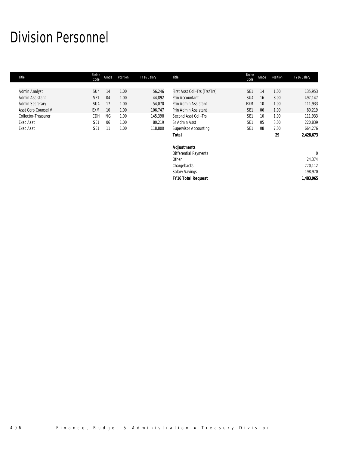# Division Personnel

| Title                  | Union<br>Code   | Grade     | Position | FY16 Salary | Title                         | Union<br>Code   | Grade | Position | FY16 Salary  |
|------------------------|-----------------|-----------|----------|-------------|-------------------------------|-----------------|-------|----------|--------------|
|                        |                 |           |          |             |                               |                 |       |          |              |
| <b>Admin Analyst</b>   | SU <sub>4</sub> | 14        | 1.00     | 56,246      | First Asst Coll-Trs (Trs/Trs) | SE <sub>1</sub> | 14    | 1.00     | 135,953      |
| Admin Assistant        | SE <sub>1</sub> | 04        | 1.00     | 44,892      | Prin Accountant               | SU4             | 16    | 8.00     | 497,147      |
| <b>Admin Secretary</b> | SU <sub>4</sub> | 17        | 1.00     | 54,070      | Prin Admin Assistant          | <b>EXM</b>      | 10    | 1.00     | 111,933      |
| Asst Corp Counsel V    | <b>EXM</b>      | 10        | 1.00     | 106,747     | Prin Admin Assistant          | SE <sub>1</sub> | 06    | 1.00     | 80,219       |
| Collector-Treasurer    | CDH             | <b>NG</b> | 1.00     | 145,398     | Second Asst Coll-Trs          | SE <sub>1</sub> | 10    | 1.00     | 111,933      |
| Exec Asst              | SE <sub>1</sub> | 06        | 1.00     | 80,219      | Sr Admin Asst                 | SE <sub>1</sub> | 05    | 3.00     | 220,839      |
| Exec Asst              | SE <sub>1</sub> | 11        | 1.00     | 118,800     | <b>Supervisor Accounting</b>  | SE <sub>1</sub> | 08    | 7.00     | 664,276      |
|                        |                 |           |          |             | <b>Total</b>                  |                 |       | 29       | 2,428,673    |
|                        |                 |           |          |             | Adjustments                   |                 |       |          |              |
|                        |                 |           |          |             | Differential Payments         |                 |       |          | $\mathbf{0}$ |
|                        |                 |           |          |             | Other                         |                 |       |          | 24,374       |
|                        |                 |           |          |             | Chargebacks                   |                 |       |          | $-770,112$   |
|                        |                 |           |          |             | Salary Savings                |                 |       |          | $-198,970$   |
|                        |                 |           |          |             | <b>FY16 Total Request</b>     |                 |       |          | 1,483,965    |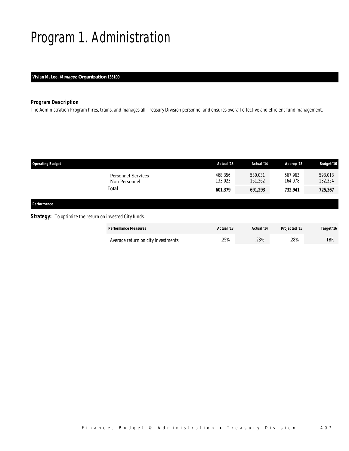# Program 1. Administration

## *Vivian M. Leo, Manager, Organization 138100*

# *Program Description*

The Administration Program hires, trains, and manages all Treasury Division personnel and ensures overall effective and efficient fund management.

| <b>Operating Budget</b>                    | Actual '13         | Actual '14         | Approp '15         | <b>Budget '16</b>  |
|--------------------------------------------|--------------------|--------------------|--------------------|--------------------|
| <b>Personnel Services</b><br>Non Personnel | 468,356<br>133,023 | 530,031<br>161,262 | 567,963<br>164,978 | 593,013<br>132,354 |
| Total                                      | 601,379            | 691,293            | 732,941            | 725,367            |
| Performance                                |                    |                    |                    |                    |

## **Strategy:** To optimize the return on invested City funds.

| <b>Performance Measures</b>        | Actual '13 | Actual '14 | Projected '15 | Target '16 |
|------------------------------------|------------|------------|---------------|------------|
| Average return on city investments | .25%       | .23%       | .28%          | <b>TBR</b> |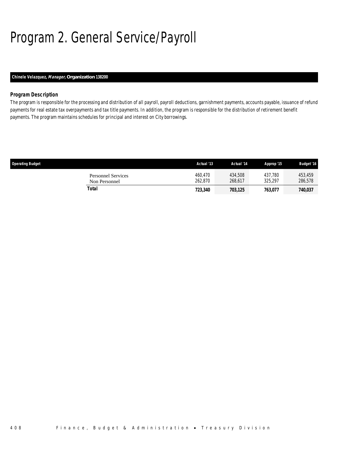# Program 2. General Service/Payroll

# *Chinele Velazquez, Manager, Organization 138200*

#### *Program Description*

The program is responsible for the processing and distribution of all payroll, payroll deductions, garnishment payments, accounts payable, issuance of refund payments for real estate tax overpayments and tax title payments. In addition, the program is responsible for the distribution of retirement benefit payments. The program maintains schedules for principal and interest on City borrowings.

| <b>Operating Budget</b>                    | Actual '13         | Actual '14         | Approp '15         | <b>Budget '16</b>  |
|--------------------------------------------|--------------------|--------------------|--------------------|--------------------|
| <b>Personnel Services</b><br>Non Personnel | 460.470<br>262.870 | 434,508<br>268.617 | 437.780<br>325.297 | 453.459<br>286,578 |
| Total                                      | 723,340            | 703,125            | 763.077            | 740,037            |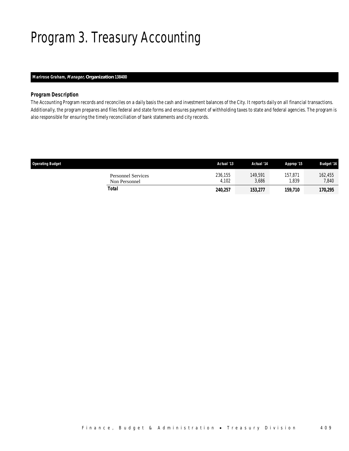# Program 3. Treasury Accounting

## *Marirose Graham, Manager, Organization 138400*

#### *Program Description*

The Accounting Program records and reconciles on a daily basis the cash and investment balances of the City. It reports daily on all financial transactions. Additionally, the program prepares and files federal and state forms and ensures payment of withholding taxes to state and federal agencies. The program is also responsible for ensuring the timely reconciliation of bank statements and city records.

| <b>Operating Budget</b>                    | Actual '13       | Actual '14       | Approp '15       | <b>Budget '16</b> |
|--------------------------------------------|------------------|------------------|------------------|-------------------|
| <b>Personnel Services</b><br>Non Personnel | 236,155<br>4.102 | 149,591<br>3.686 | 157,871<br>1.839 | 162,455<br>7,840  |
| Total                                      | 240,257          | 153,277          | 159,710          | 170,295           |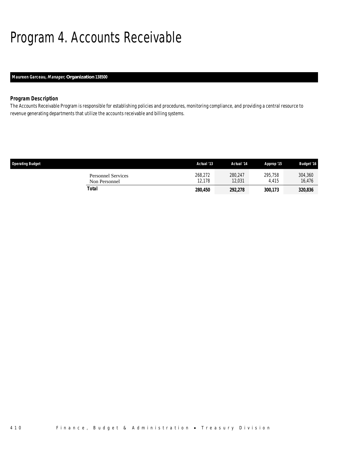# Program 4. Accounts Receivable

# *Maureen Garceau, Manager, Organization 138500*

## *Program Description*

The Accounts Receivable Program is responsible for establishing policies and procedures, monitoring compliance, and providing a central resource to revenue generating departments that utilize the accounts receivable and billing systems.

| <b>Operating Budget</b>                    | Actual '13            | Actual '14        | Approp '15       | <b>Budget '16</b> |
|--------------------------------------------|-----------------------|-------------------|------------------|-------------------|
| <b>Personnel Services</b><br>Non Personnel | 268,272<br>12.178     | 280.247<br>12,031 | 295.758<br>4.415 | 304,360<br>16.476 |
| Total                                      | <i><b>280.450</b></i> | 292,278           | 300,173          | 320,836           |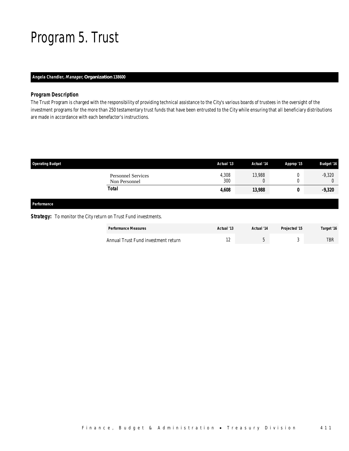# Program 5. Trust

## *Angela Chandler, Manager, Organization 138600*

#### *Program Description*

The Trust Program is charged with the responsibility of providing technical assistance to the City's various boards of trustees in the oversight of the investment programs for the more than 250 testamentary trust funds that have been entrusted to the City while ensuring that all beneficiary distributions are made in accordance with each benefactor's instructions.

| <b>Operating Budget</b>                    | Actual '13   | Actual '14 | Approp '15 | <b>Budget '16</b> |
|--------------------------------------------|--------------|------------|------------|-------------------|
| <b>Personnel Services</b><br>Non Personnel | 4,308<br>300 | 13,988     |            | $-9,320$          |
| <b>Total</b>                               | 4,608        | 13,988     |            | $-9,320$          |
| Performance                                |              |            |            |                   |

## **Strategy:** To monitor the City return on Trust Fund investments.

| <b>Performance Measures</b>         | Actual '13 | Actual '14 | Projected '15 | Target '16 |
|-------------------------------------|------------|------------|---------------|------------|
| Annual Trust Fund investment return | . .        |            |               | TBR        |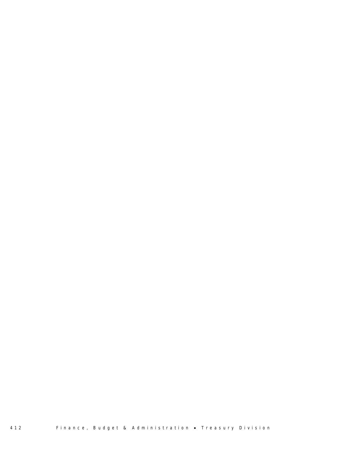4 1 2 Finance, Budget & Administration • Treasury Division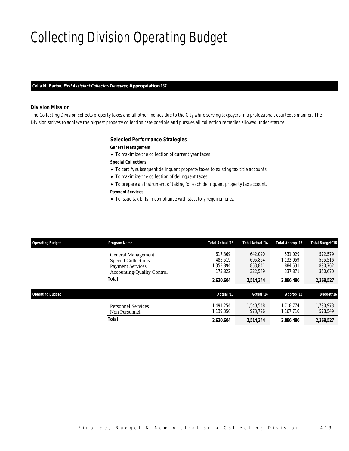# Collecting Division Operating Budget

*Celia M. Barton, First Assistant Collector-Treasurer, Appropriation 137* 

#### *Division Mission*

The Collecting Division collects property taxes and all other monies due to the City while serving taxpayers in a professional, courteous manner. The Division strives to achieve the highest property collection rate possible and pursues all collection remedies allowed under statute.

#### *Selected Performance Strategies*

#### *General Management*

• To maximize the collection of current year taxes.

*Special Collections* 

- To certify subsequent delinquent property taxes to existing tax title accounts.
- To maximize the collection of delinquent taxes.
- To prepare an instrument of taking for each delinquent property tax account.

#### *Payment Services*

• To issue tax bills in compliance with statutory requirements.

| <b>Operating Budget</b> | <b>Program Name</b>                                                                                       | Total Actual '13                          | <b>Total Actual '14</b>                  | Total Approp '15                           | <b>Total Budget '16</b>                  |
|-------------------------|-----------------------------------------------------------------------------------------------------------|-------------------------------------------|------------------------------------------|--------------------------------------------|------------------------------------------|
|                         | General Management<br>Special Collections<br><b>Payment Services</b><br><b>Accounting/Quality Control</b> | 617.369<br>485,519<br>,353,894<br>173,822 | 642.090<br>695.864<br>853.841<br>322,549 | 531.029<br>1,133,059<br>884.531<br>337.871 | 572.579<br>555,516<br>890,762<br>350,670 |
|                         | <b>Total</b>                                                                                              | 2,630,604                                 | 2,514,344                                | 2,886,490                                  | 2,369,527                                |
| <b>Operating Budget</b> |                                                                                                           | Actual '13                                | Actual '14                               | Approp '15                                 | <b>Budget '16</b>                        |
|                         | <b>Personnel Services</b><br>Non Personnel                                                                | 1.491.254<br>1,139,350                    | 1.540.548<br>973.796                     | 1.718.774<br>1.167.716                     | 1,790,978<br>578,549                     |
|                         | Total                                                                                                     | 2,630,604                                 | 2,514,344                                | 2.886.490                                  | 2,369,527                                |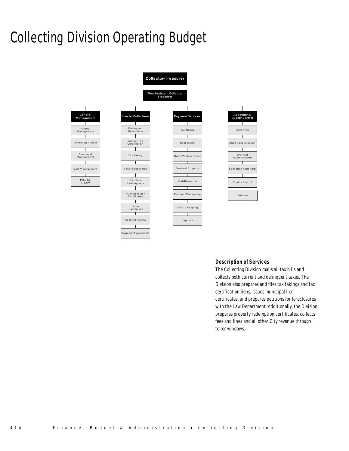# Collecting Division Operating Budget



## *Description of Services*

The Collecting Division mails all tax bills and collects both current and delinquent taxes. The Division also prepares and files tax takings and tax certification liens, issues municipal lien certificates, and prepares petitions for foreclosures with the Law Department. Additionally, the Division prepares property redemption certificates, collects fees and fines and all other City revenue through teller windows.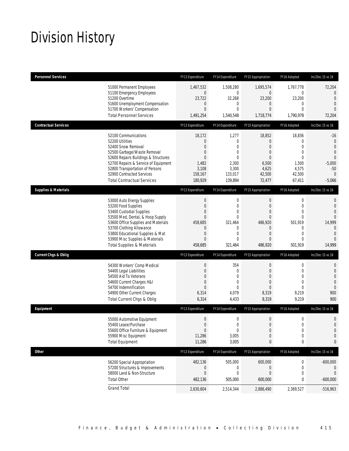# Division History

| <b>Personnel Services</b>       |                                                                                                                                                                                                                                                             | FY13 Expenditure                                                                                                             | FY14 Expenditure                                                                                        | FY15 Appropriation                                                                                                     | FY16 Adopted                                                                                                  | Inc/Dec 15 vs 16                                                                                                 |
|---------------------------------|-------------------------------------------------------------------------------------------------------------------------------------------------------------------------------------------------------------------------------------------------------------|------------------------------------------------------------------------------------------------------------------------------|---------------------------------------------------------------------------------------------------------|------------------------------------------------------------------------------------------------------------------------|---------------------------------------------------------------------------------------------------------------|------------------------------------------------------------------------------------------------------------------|
|                                 | 51000 Permanent Employees<br>51100 Emergency Employees<br>51200 Overtime<br>51600 Unemployment Compensation<br>51700 Workers' Compensation<br><b>Total Personnel Services</b>                                                                               | 1,467,532<br>$\overline{0}$<br>23,722<br>0<br>$\overline{0}$<br>1,491,254                                                    | 1,508,280<br>0<br>32,268<br>$\mathbf 0$<br>$\mathbf 0$<br>1,540,548                                     | 1,695,574<br>$\overline{0}$<br>23,200<br>$\overline{0}$<br>$\theta$<br>1,718,774                                       | 1,767,778<br>0<br>23,200<br>0<br>$\mathbf{0}$<br>1,790,978                                                    | 72,204<br>$\mathbf{0}$<br>$\mathbf{0}$<br>$\overline{0}$<br>$\Omega$<br>72,204                                   |
|                                 |                                                                                                                                                                                                                                                             |                                                                                                                              |                                                                                                         |                                                                                                                        |                                                                                                               |                                                                                                                  |
| <b>Contractual Services</b>     | 52100 Communications<br>52200 Utilities                                                                                                                                                                                                                     | FY13 Expenditure<br>18,172<br>$\boldsymbol{0}$                                                                               | FY14 Expenditure<br>1,277<br>0                                                                          | FY15 Appropriation<br>18,852<br>$\theta$                                                                               | FY16 Adopted<br>18,836<br>0                                                                                   | Inc/Dec 15 vs 16<br>$-16$<br>$\mathbf 0$                                                                         |
|                                 | 52400 Snow Removal<br>52500 Garbage/Waste Removal<br>52600 Repairs Buildings & Structures                                                                                                                                                                   | $\overline{0}$<br>0<br>$\overline{0}$                                                                                        | $\mathbf{0}$<br>$\mathbf{0}$<br>$\mathbf{0}$                                                            | $\overline{0}$<br>$\theta$<br>$\theta$                                                                                 | $\overline{0}$<br>$\mathbf{0}$<br>$\Omega$                                                                    | $\overline{0}$<br>$\overline{0}$<br>$\mathbf 0$                                                                  |
|                                 | 52700 Repairs & Service of Equipment<br>52800 Transportation of Persons<br>52900 Contracted Services<br><b>Total Contractual Services</b>                                                                                                                   | 1,482<br>3,108<br>158,167<br>180,929                                                                                         | 2,300<br>3,300<br>133,017<br>139,894                                                                    | 6,500<br>4,625<br>42,500<br>72,477                                                                                     | 1,500<br>4,575<br>42,500<br>67,411                                                                            | $-5,000$<br>$-50$<br>$\mathbf{0}$<br>$-5,066$                                                                    |
| <b>Supplies &amp; Materials</b> |                                                                                                                                                                                                                                                             | FY13 Expenditure                                                                                                             | FY14 Expenditure                                                                                        | FY15 Appropriation                                                                                                     | FY16 Adopted                                                                                                  | Inc/Dec 15 vs 16                                                                                                 |
|                                 | 53000 Auto Energy Supplies<br>53200 Food Supplies<br>53400 Custodial Supplies<br>53500 Med, Dental, & Hosp Supply<br>53600 Office Supplies and Materials<br>53700 Clothing Allowance<br>53800 Educational Supplies & Mat<br>53900 Misc Supplies & Materials | $\boldsymbol{0}$<br>$\boldsymbol{0}$<br>$\overline{0}$<br>$\mathbf{0}$<br>458,685<br>0<br>$\boldsymbol{0}$<br>$\overline{0}$ | 0<br>$\mathbf 0$<br>$\mathbf{0}$<br>$\mathbf{0}$<br>321,464<br>0<br>$\mathbf{0}$<br>$\Omega$            | $\mathbf 0$<br>$\overline{0}$<br>$\theta$<br>$\overline{0}$<br>486,920<br>$\theta$<br>$\overline{0}$<br>$\overline{0}$ | $\mathbf 0$<br>$\mathbf{0}$<br>$\mathbf{0}$<br>$\mathbf{0}$<br>501,919<br>0<br>$\mathbf{0}$<br>$\overline{0}$ | 0<br>$\mathbf{0}$<br>$\overline{0}$<br>$\Omega$<br>14,999<br>$\overline{0}$<br>$\overline{0}$<br>$\Omega$        |
|                                 | <b>Total Supplies &amp; Materials</b>                                                                                                                                                                                                                       | 458,685                                                                                                                      | 321,464                                                                                                 | 486,920                                                                                                                | 501,919                                                                                                       | 14,999                                                                                                           |
| <b>Current Chgs &amp; Oblig</b> | 54300 Workers' Comp Medical<br>54400 Legal Liabilities<br>54500 Aid To Veterans<br>54600 Current Charges H&I<br>54700 Indemnification<br>54900 Other Current Charges<br>Total Current Chgs & Oblig                                                          | FY13 Expenditure<br>$\boldsymbol{0}$<br>$\boldsymbol{0}$<br>0<br>$\mathbf 0$<br>$\overline{0}$<br>6,314<br>6,314             | FY14 Expenditure<br>354<br>$\mathbf 0$<br>$\mathbf{0}$<br>$\mathbf 0$<br>$\mathbf{0}$<br>4,079<br>4,433 | FY15 Appropriation<br>$\mathbf 0$<br>$\overline{0}$<br>$\theta$<br>$\overline{0}$<br>$\overline{0}$<br>8,319<br>8,319  | FY16 Adopted<br>0<br>$\mathbf 0$<br>$\mathbf{0}$<br>$\overline{0}$<br>$\Omega$<br>9,219<br>9,219              | Inc/Dec 15 vs 16<br>$\mathbf 0$<br>$\mathbf 0$<br>$\overline{0}$<br>$\overline{0}$<br>$\mathbf{0}$<br>900<br>900 |
| Equipment                       |                                                                                                                                                                                                                                                             | FY13 Expenditure                                                                                                             | FY14 Expenditure                                                                                        | FY15 Appropriation                                                                                                     | FY16 Adopted                                                                                                  | Inc/Dec 15 vs 16                                                                                                 |
|                                 | 55000 Automotive Equipment<br>55400 Lease/Purchase<br>55600 Office Furniture & Equipment<br>55900 Misc Equipment<br><b>Total Equipment</b>                                                                                                                  | $\boldsymbol{0}$<br>$\Omega$<br>$\boldsymbol{0}$<br>11,286<br>11,286                                                         | 0<br>$\mathbf 0$<br>$\boldsymbol{0}$<br>3,005<br>3,005                                                  | $\boldsymbol{0}$<br>$\mathbf{0}$<br>$\theta$<br>$\theta$<br>0                                                          | $\mathbf 0$<br>$\mathbf 0$<br>0<br>$\mathbf 0$<br>0                                                           | $\mathbf 0$<br>$\overline{0}$<br>$\mathbf 0$<br>$\mathbf 0$<br>0                                                 |
| <b>Other</b>                    |                                                                                                                                                                                                                                                             | FY13 Expenditure                                                                                                             | FY14 Expenditure                                                                                        | FY15 Appropriation                                                                                                     | FY16 Adopted                                                                                                  | Inc/Dec 15 vs 16                                                                                                 |
|                                 | 56200 Special Appropriation<br>57200 Structures & Improvements<br>58000 Land & Non-Structure<br><b>Total Other</b>                                                                                                                                          | 482,136<br>0<br>$\boldsymbol{0}$<br>482,136                                                                                  | 505,000<br>0<br>$\mathbf 0$<br>505,000                                                                  | 600,000<br>$\boldsymbol{0}$<br>$\mathbf 0$<br>600,000                                                                  | 0<br>0<br>0<br>0                                                                                              | $-600,000$<br>0<br>$\mathbf 0$<br>$-600,000$                                                                     |
|                                 | <b>Grand Total</b>                                                                                                                                                                                                                                          | 2,630,604                                                                                                                    | 2,514,344                                                                                               | 2,886,490                                                                                                              | 2,369,527                                                                                                     | -516,963                                                                                                         |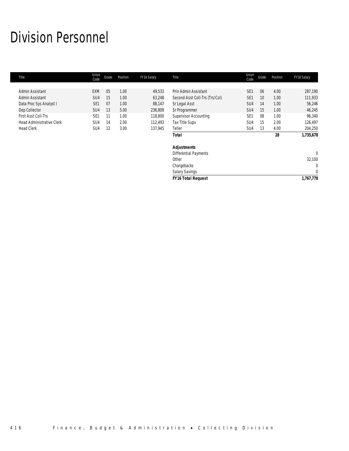# Division Personnel

| Union<br>Code   | Grade | Position | FY16 Salary | Title                          | Union<br>Code   | Grade | Position | FY16 Salary  |
|-----------------|-------|----------|-------------|--------------------------------|-----------------|-------|----------|--------------|
|                 |       |          |             |                                |                 |       |          |              |
| EXM             | 05    | 1.00     | 49,533      | Prin Admin Assistant           | SE <sub>1</sub> | 06    | 4.00     | 287,190      |
| SU <sub>4</sub> | 15    | 1.00     | 63,248      | Second Asst Coll-Trs (Trs/Col) | SE <sub>1</sub> | 10    | 1.00     | 111,933      |
| SE <sub>1</sub> | 07    | 1.00     | 88,147      | Sr Legal Asst                  | SU <sub>4</sub> | 14    | 1.00     | 56,246       |
| SU <sub>4</sub> | 13    | 5.00     | 236,809     | Sr Programmer                  | SU <sub>4</sub> | 15    | 1.00     | 46,245       |
| SE <sub>1</sub> | 11    | 1.00     | 118,800     | <b>Supervisor Accounting</b>   | SE <sub>1</sub> | 08    | 1.00     | 96,340       |
| SU <sub>4</sub> | 14    | 2.00     | 112,493     | Tax Title Supv                 | SU4             | 15    | 2.00     | 126,497      |
| SU <sub>4</sub> | 12    | 3.00     | 137,945     | Teller                         | SU4             | 13    | 4.00     | 204,250      |
|                 |       |          |             | <b>Total</b>                   |                 |       | 28       | 1,735,678    |
|                 |       |          |             | <b>Adjustments</b>             |                 |       |          |              |
|                 |       |          |             | Differential Payments          |                 |       |          | $\Omega$     |
|                 |       |          |             | Other                          |                 |       |          | 32,100       |
|                 |       |          |             | Chargebacks                    |                 |       |          | $\mathbf{0}$ |
|                 |       |          |             | Salary Savings                 |                 |       |          | $\mathbf 0$  |
|                 |       |          |             | <b>FY16 Total Request</b>      |                 |       |          | 1,767,778    |
|                 |       |          |             |                                |                 |       |          |              |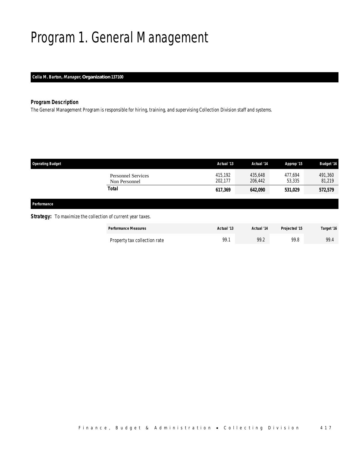# Program 1. General Management

# *Celia M. Barton, Manager, Organization 137100*

## *Program Description*

The General Management Program is responsible for hiring, training, and supervising Collection Division staff and systems.

| Actual '13         | Actual '14         | Approp '15        | <b>Budget '16</b> |
|--------------------|--------------------|-------------------|-------------------|
| 415,192<br>202,177 | 435,648<br>206.442 | 477,694<br>53,335 | 491,360<br>81,219 |
|                    |                    |                   | 572,579           |
|                    |                    |                   |                   |
|                    | 617,369            | 642,090           | 531,029           |

## **Strategy:** To maximize the collection of current year taxes.

| <b>Performance Measures</b>  | Actual '13 | Actual '14 | Projected '15 | Target '16 |
|------------------------------|------------|------------|---------------|------------|
| Property tax collection rate | QQ         | 99.2       | 99.8          | 99.4       |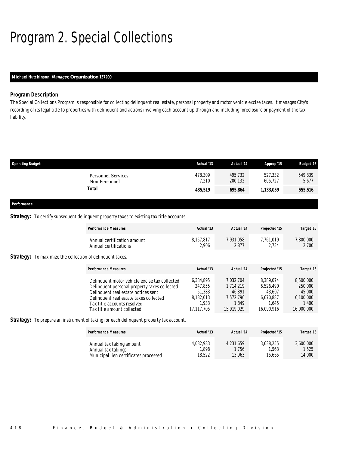# Program 2. Special Collections

# *Michael Hutchinson, Manager, Organization 137200*

#### *Program Description*

The Special Collections Program is responsible for collecting delinquent real estate, personal property and motor vehicle excise taxes. It manages City's recording of its legal title to properties with delinquent and actions involving each account up through and including foreclosure or payment of the tax liability.

| <b>Operating Budget</b>                    | Actual '13       | Actual '14         | Approp '15         | <b>Budget '16</b> |
|--------------------------------------------|------------------|--------------------|--------------------|-------------------|
| <b>Personnel Services</b><br>Non Personnel | 478,309<br>7,210 | 495.732<br>200,132 | 527,332<br>605,727 | 549,839<br>5,677  |
| <b>Total</b>                               | 485,519          | 695,864            | 1,133,059          | 555,516           |
|                                            |                  |                    |                    |                   |
| Performance                                |                  |                    |                    |                   |

### **Strategy:** To certify subsequent delinquent property taxes to existing tax title accounts.

|                                                                  | <b>Performance Measures</b>                                                                                                                                                                                                                 | Actual '13                                                         | Actual '14                                                           | Projected '15                                                        | Target '16                                                         |
|------------------------------------------------------------------|---------------------------------------------------------------------------------------------------------------------------------------------------------------------------------------------------------------------------------------------|--------------------------------------------------------------------|----------------------------------------------------------------------|----------------------------------------------------------------------|--------------------------------------------------------------------|
|                                                                  | Annual certification amount<br>Annual certifications                                                                                                                                                                                        | 8.157.817<br>2.906                                                 | 7.931.058<br>2,877                                                   | 7.761.019<br>2.734                                                   | 7,800,000<br>2,700                                                 |
| <b>Strategy:</b> To maximize the collection of delinquent taxes. |                                                                                                                                                                                                                                             |                                                                    |                                                                      |                                                                      |                                                                    |
|                                                                  | <b>Performance Measures</b>                                                                                                                                                                                                                 | Actual '13                                                         | Actual '14                                                           | Projected '15                                                        | Target '16                                                         |
|                                                                  | Delinquent motor vehicle excise tax collected<br>Delinquent personal property taxes collected<br>Delinquent real estate notices sent<br>Delinquent real estate taxes collected<br>Tax title accounts resolved<br>Tax title amount collected | 6,384,895<br>247.855<br>51,383<br>8,182,013<br>1.933<br>17.117.705 | 7.032.704<br>1.714.219<br>46.391<br>7.572.796<br>1.849<br>15,919,029 | 8.389.074<br>6.526.490<br>43.607<br>6.670.887<br>1.645<br>16.090.916 | 8,500,000<br>250,000<br>45,000<br>6,100,000<br>1.400<br>16,000,000 |

#### **Strategy:** To prepare an instrument of taking for each delinquent property tax account.

| <b>Performance Measures</b>           | Actual '13 | Actual '14 | Projected '15 | Target '16 |
|---------------------------------------|------------|------------|---------------|------------|
| Annual tax taking amount              | 4.082.983  | 4.231.659  | 3,638,255     | 3,600,000  |
| Annual tax takings                    | ,898       | .756       | ,563          | 1.525      |
| Municipal lien certificates processed | 18,522     | 13.963     | 15,665        | 14.000     |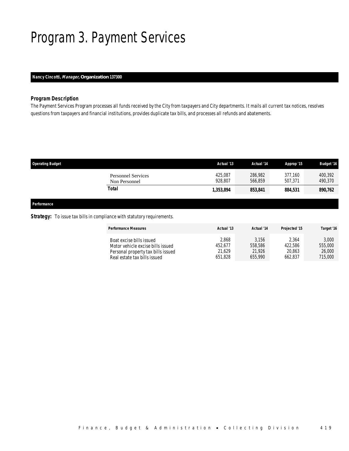# Program 3. Payment Services

## *Nancy Cincotti, Manager, Organization 137300*

## *Program Description*

The Payment Services Program processes all funds received by the City from taxpayers and City departments. It mails all current tax notices, resolves questions from taxpayers and financial institutions, provides duplicate tax bills, and processes all refunds and abatements.

| <b>Operating Budget</b>                    | Actual '13         | Actual '14         | Approp '15         | <b>Budget '16</b>  |
|--------------------------------------------|--------------------|--------------------|--------------------|--------------------|
| <b>Personnel Services</b><br>Non Personnel | 425,087<br>928.807 | 286.982<br>566.859 | 377.160<br>507.371 | 400,392<br>490,370 |
| Total                                      | 1,353,894          | 853,841            | 884,531            | 890,762            |
|                                            |                    |                    |                    |                    |

## *Performance*

### **Strategy:** To issue tax bills in compliance with statutory requirements.

| <b>Performance Measures</b>        | Actual '13 | Actual '14 | Projected '15 | Target '16 |
|------------------------------------|------------|------------|---------------|------------|
| Boat excise bills issued           | 2,868      | 3,156      | 2.364         | 3.000      |
| Motor vehicle excise bills issued  | 452.677    | 558,586    | 422.586       | 555,000    |
| Personal property tax bills issued | 21.629     | 21.926     | 20.863        | 26,000     |
| Real estate tax bills issued       | 651.828    | 655,990    | 662.837       | 715,000    |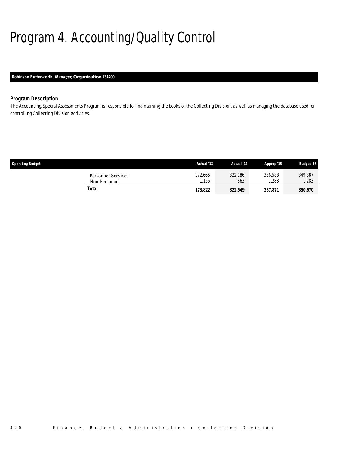# Program 4. Accounting/Quality Control

# *Robinson Butterworth, Manager, Organization 137400*

## *Program Description*

The Accounting/Special Assessments Program is responsible for maintaining the books of the Collecting Division, as well as managing the database used for controlling Collecting Division activities.

| <b>Operating Budget</b>                    | Actual '13       | Actual '14     | Approp '15       | <b>Budget '16</b> |
|--------------------------------------------|------------------|----------------|------------------|-------------------|
| <b>Personnel Services</b><br>Non Personnel | 172,666<br>1.156 | 322,186<br>363 | 336,588<br>1,283 | 349,387<br>1,283  |
| Total                                      | 173.822          | 322,549        | 337,871          | <i>350,670</i>    |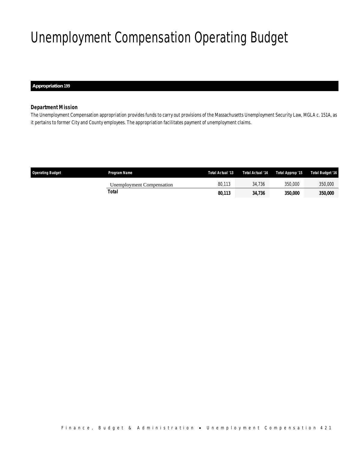# Unemployment Compensation Operating Budget

*Appropriation 199* 

## *Department Mission*

The Unemployment Compensation appropriation provides funds to carry out provisions of the Massachusetts Unemployment Security Law, MGLA c. 151A, as it pertains to former City and County employees. The appropriation facilitates payment of unemployment claims.

| <b>Operating Budget</b> | Program Name                     | Total Actual '13 | Total Actual '14 | Total Approp '15      | Total Budget '16 |
|-------------------------|----------------------------------|------------------|------------------|-----------------------|------------------|
|                         | <b>Unemployment Compensation</b> | 80.113           | 34.736           | 350,000               | 350,000          |
|                         | Total                            | 80,113           | 34.736           | <i><b>350.000</b></i> | <i>350,000</i>   |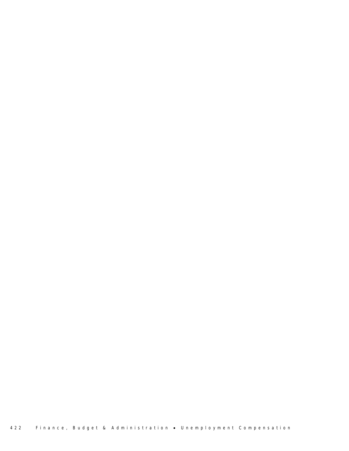4 2 2 Pinance, Budget & Administration • Unemployment Compensation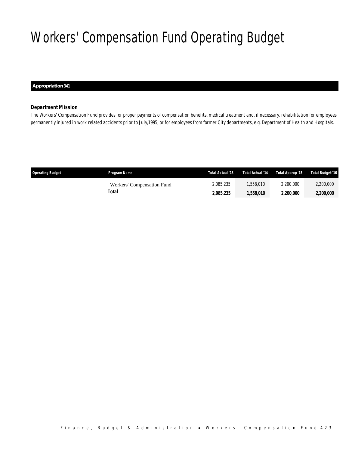# Workers' Compensation Fund Operating Budget

*Appropriation 341* 

## *Department Mission*

The Workers' Compensation Fund provides for proper payments of compensation benefits, medical treatment and, if necessary, rehabilitation for employees permanently injured in work related accidents prior to July,1995, or for employees from former City departments, e.g. Department of Health and Hospitals.

| Operating Budget | Program Name               | Total Actual '13 | Total Actual '14 | Total Approp '15 | Total Budget '16 |
|------------------|----------------------------|------------------|------------------|------------------|------------------|
|                  | Workers' Compensation Fund | 2,085,235        | .558.010         | 2.200.000        | 2,200,000        |
|                  | Total                      | 2,085,235        | 558.010.         | 2,200,000        | 2,200,000        |